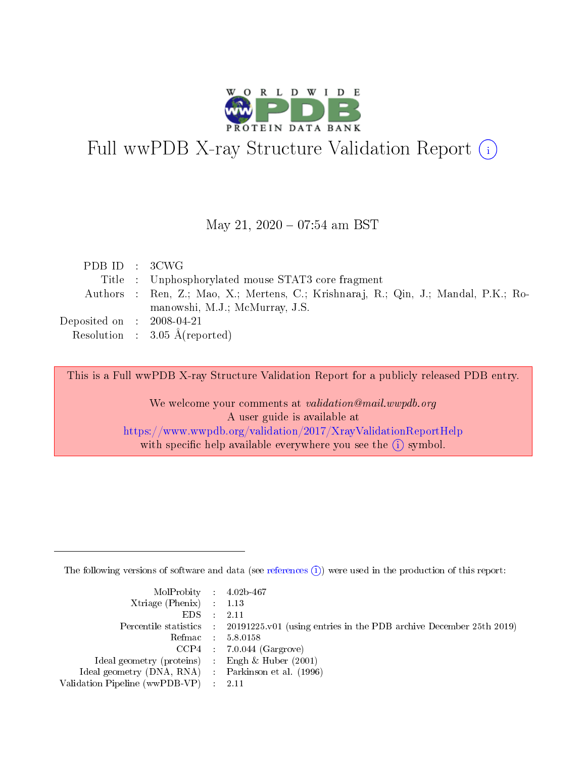

# Full wwPDB X-ray Structure Validation Report (i)

#### May 21,  $2020 - 07:54$  am BST

| PDB ID : 3CWG                  |                                                                                     |
|--------------------------------|-------------------------------------------------------------------------------------|
|                                | Title : Unphosphorylated mouse STAT3 core fragment                                  |
|                                | Authors : Ren, Z.; Mao, X.; Mertens, C.; Krishnaraj, R.; Qin, J.; Mandal, P.K.; Ro- |
|                                | manowshi, M.J.; McMurray, J.S.                                                      |
| Deposited on $\;$ : 2008-04-21 |                                                                                     |
|                                | Resolution : $3.05 \text{ Å}$ (reported)                                            |

This is a Full wwPDB X-ray Structure Validation Report for a publicly released PDB entry.

We welcome your comments at validation@mail.wwpdb.org A user guide is available at <https://www.wwpdb.org/validation/2017/XrayValidationReportHelp> with specific help available everywhere you see the  $(i)$  symbol.

The following versions of software and data (see [references](https://www.wwpdb.org/validation/2017/XrayValidationReportHelp#references)  $(i)$ ) were used in the production of this report:

| MolProbity : 4.02b-467                              |                                                                                            |
|-----------------------------------------------------|--------------------------------------------------------------------------------------------|
| $Xtriangle (Phenix)$ : 1.13                         |                                                                                            |
| $EDS = 2.11$                                        |                                                                                            |
|                                                     | Percentile statistics : 20191225.v01 (using entries in the PDB archive December 25th 2019) |
|                                                     | Refmac : 5.8.0158                                                                          |
|                                                     | $CCP4$ : 7.0.044 (Gargrove)                                                                |
| Ideal geometry (proteins) : Engh $\&$ Huber (2001)  |                                                                                            |
| Ideal geometry (DNA, RNA) : Parkinson et al. (1996) |                                                                                            |
| Validation Pipeline (wwPDB-VP) : 2.11               |                                                                                            |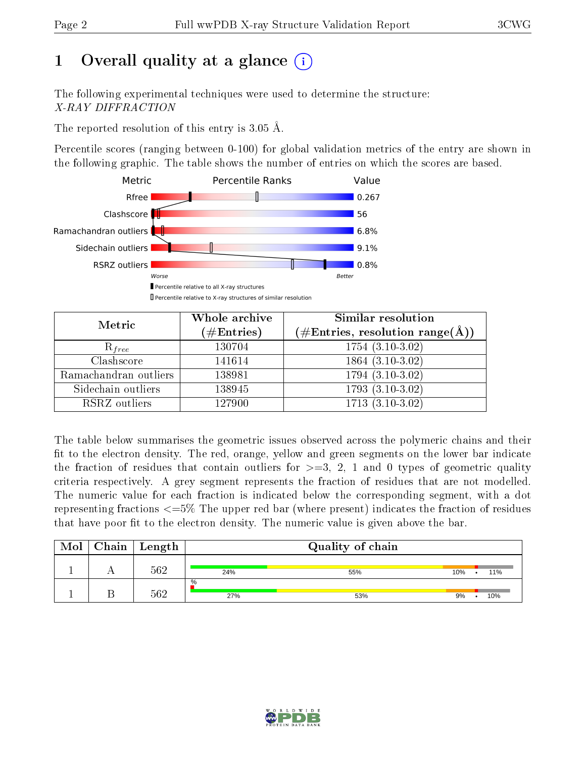# 1 [O](https://www.wwpdb.org/validation/2017/XrayValidationReportHelp#overall_quality)verall quality at a glance  $(i)$

The following experimental techniques were used to determine the structure: X-RAY DIFFRACTION

The reported resolution of this entry is 3.05 Å.

Percentile scores (ranging between 0-100) for global validation metrics of the entry are shown in the following graphic. The table shows the number of entries on which the scores are based.



| Metric                | Whole archive<br>$(\#\text{Entries})$ | Similar resolution<br>$(\#\text{Entries},\,\text{resolution}\,\,\text{range}(\textup{\AA}))$ |
|-----------------------|---------------------------------------|----------------------------------------------------------------------------------------------|
| $R_{free}$            | 130704                                | $1754(3.10-3.02)$                                                                            |
| Clashscore            | 141614                                | 1864 (3.10-3.02)                                                                             |
| Ramachandran outliers | 138981                                | $1794(3.10-3.02)$                                                                            |
| Sidechain outliers    | 138945                                | $1793(3.10-3.02)$                                                                            |
| RSRZ outliers         | 127900                                | $1713$ $(3.\overline{10-3.02})$                                                              |

The table below summarises the geometric issues observed across the polymeric chains and their fit to the electron density. The red, orange, yellow and green segments on the lower bar indicate the fraction of residues that contain outliers for  $>=3, 2, 1$  and 0 types of geometric quality criteria respectively. A grey segment represents the fraction of residues that are not modelled. The numeric value for each fraction is indicated below the corresponding segment, with a dot representing fractions <=5% The upper red bar (where present) indicates the fraction of residues that have poor fit to the electron density. The numeric value is given above the bar.

| Mol | Chain | $\vert$ Length |             | Quality of chain |            |
|-----|-------|----------------|-------------|------------------|------------|
|     |       | 562            | 24%         | 55%              | 10%<br>11% |
|     |       | 562            | $\%$<br>27% | 53%              | 9%<br>10%  |

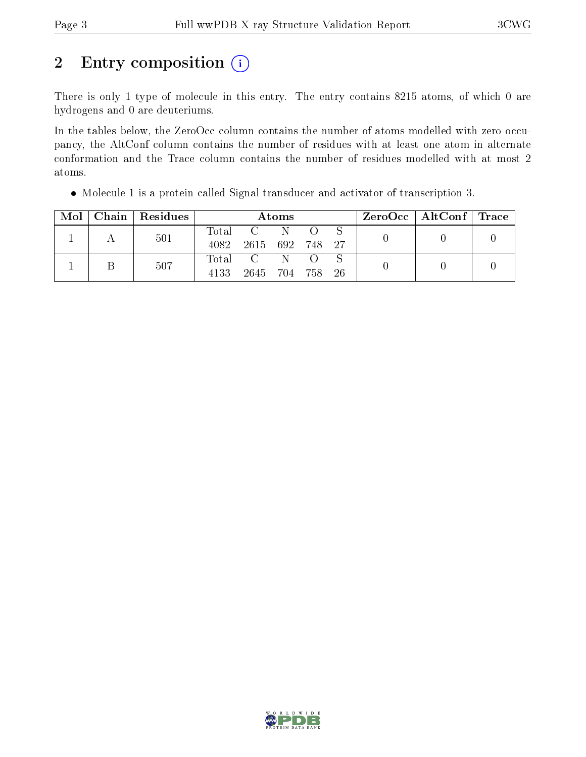# 2 Entry composition (i)

There is only 1 type of molecule in this entry. The entry contains 8215 atoms, of which 0 are hydrogens and 0 are deuteriums.

In the tables below, the ZeroOcc column contains the number of atoms modelled with zero occupancy, the AltConf column contains the number of residues with at least one atom in alternate conformation and the Trace column contains the number of residues modelled with at most 2 atoms.

| $\mathrm{Mol}^+$ | Chain   Residues |       |                 | Atoms |                  | $ZeroOcc \   \ AltConf \   \ Trace$ |  |  |
|------------------|------------------|-------|-----------------|-------|------------------|-------------------------------------|--|--|
|                  | 501              | Total | C N             |       |                  |                                     |  |  |
|                  |                  | 4082  | 2615 692 748 27 |       |                  |                                     |  |  |
|                  | 507              | Total | $\overline{C}$  | - N   | $\left( \right)$ |                                     |  |  |
|                  |                  | 4133  | 2645 704 758 26 |       |                  |                                     |  |  |

Molecule 1 is a protein called Signal transducer and activator of transcription 3.

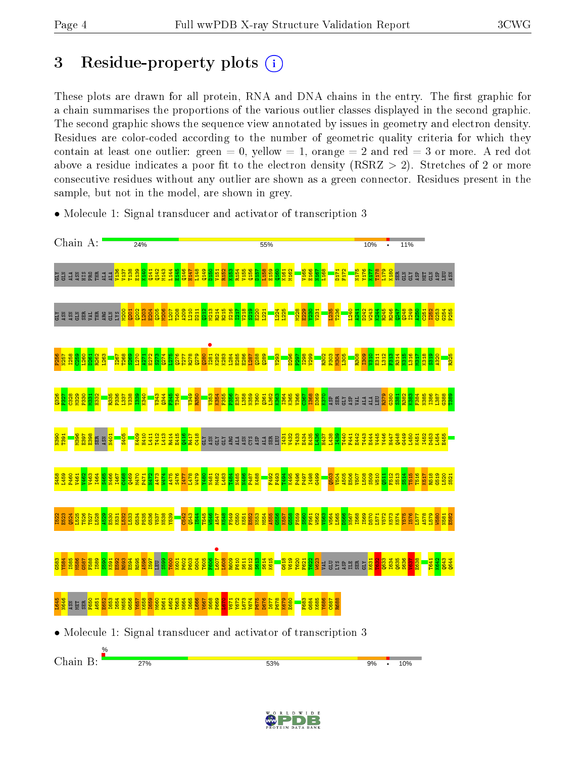## 3 Residue-property plots  $(i)$

These plots are drawn for all protein, RNA and DNA chains in the entry. The first graphic for a chain summarises the proportions of the various outlier classes displayed in the second graphic. The second graphic shows the sequence view annotated by issues in geometry and electron density. Residues are color-coded according to the number of geometric quality criteria for which they contain at least one outlier: green  $= 0$ , yellow  $= 1$ , orange  $= 2$  and red  $= 3$  or more. A red dot above a residue indicates a poor fit to the electron density (RSRZ  $> 2$ ). Stretches of 2 or more consecutive residues without any outlier are shown as a green connector. Residues present in the sample, but not in the model, are shown in grey.



• Molecule 1: Signal transducer and activator of transcription 3

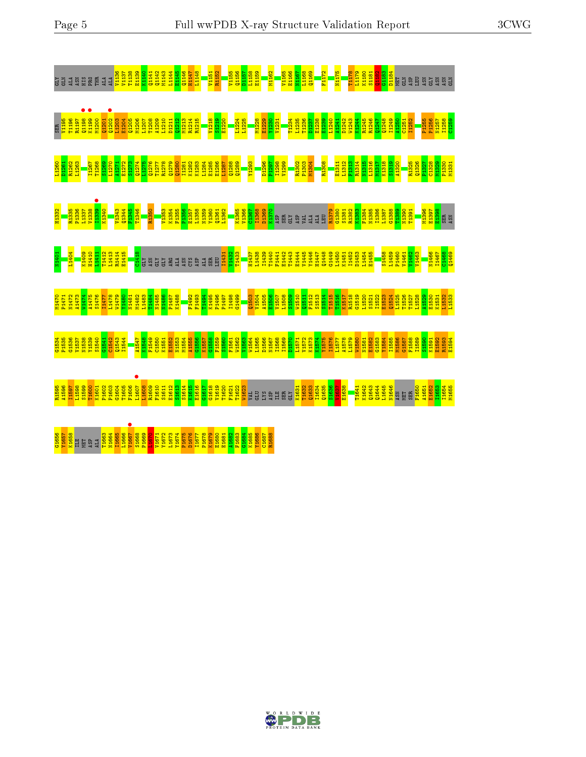| <b>ATD</b>        | GLIA<br>ALA                                                                                                                     |       |                   |                   | <b>SHREE</b>                                                                                                                                                                                                                            | $\mathbf{1}$      |      |                   |                           |                   |                   |                  |                      | <b>En En En En En En Eliza</b><br>En En Eliza de la Estado de Estado de Estado de Estado de Estado de Estado de Estado de Estado de Estado de Es<br>En Estado de Estado de Estado de Estado de Estado de Estado de Estado de Estado de Es           |     |            |     |                                                                         |                                                      |                |      |       | na <mark>1986</mark><br>The Battle<br><mark>Explorer</mark>                                                                                                                                                                                                                                                                                              | <b>NHS2</b> | V1165                                                                       |                         |            | E1166<br>E1167<br>E1168<br>E1168        | F1172                                                                                                                                                                                                                            |       | N1175                                      | <b>T1178</b> | L1179             |                         |                                                                | KH80<br>KH81<br>CH81<br>CH84 | <b>NET</b>                                                                  | <b>GLN</b> | ទ្ធគ                                     | ASN               | <b>KTD</b><br><b>ASN</b>                                                                                            | ASN | GLN |
|-------------------|---------------------------------------------------------------------------------------------------------------------------------|-------|-------------------|-------------------|-----------------------------------------------------------------------------------------------------------------------------------------------------------------------------------------------------------------------------------------|-------------------|------|-------------------|---------------------------|-------------------|-------------------|------------------|----------------------|-----------------------------------------------------------------------------------------------------------------------------------------------------------------------------------------------------------------------------------------------------|-----|------------|-----|-------------------------------------------------------------------------|------------------------------------------------------|----------------|------|-------|----------------------------------------------------------------------------------------------------------------------------------------------------------------------------------------------------------------------------------------------------------------------------------------------------------------------------------------------------------|-------------|-----------------------------------------------------------------------------|-------------------------|------------|-----------------------------------------|----------------------------------------------------------------------------------------------------------------------------------------------------------------------------------------------------------------------------------|-------|--------------------------------------------|--------------|-------------------|-------------------------|----------------------------------------------------------------|------------------------------|-----------------------------------------------------------------------------|------------|------------------------------------------|-------------------|---------------------------------------------------------------------------------------------------------------------|-----|-----|
| SER <sub></sub>   |                                                                                                                                 |       |                   |                   |                                                                                                                                                                                                                                         |                   |      |                   |                           |                   |                   |                  |                      |                                                                                                                                                                                                                                                     |     |            |     |                                                                         |                                                      | L1224          |      | L1225 |                                                                                                                                                                                                                                                                                                                                                          |             |                                                                             |                         |            |                                         | as as a sessa as as a seguente de la seguente de la seguente de la seguente de la seguente de la seguente de l<br>La seguente de la seguente de la seguente de la seguente de la seguente de la seguente de la seguente de la se |       |                                            |              |                   |                         |                                                                |                              |                                                                             |            |                                          |                   | Ense<br>Ense<br>Ense<br>Ense                                                                                        |     |     |
|                   | <mark>ន្ត្តី ខ្លួន</mark><br><mark>ដឹងខ្លួន</mark>                                                                              |       |                   |                   |                                                                                                                                                                                                                                         |                   |      |                   |                           |                   |                   |                  |                      |                                                                                                                                                                                                                                                     |     |            |     |                                                                         |                                                      |                |      |       |                                                                                                                                                                                                                                                                                                                                                          |             | <mark>– 888 88</mark><br>– 8388 888 888 889<br>– <mark>여자 보호 - 여자 보호</mark> |                         |            |                                         | <b>808R</b>                                                                                                                                                                                                                      |       |                                            |              |                   |                         |                                                                |                              | <u>, 1388 a 1989</u><br>E 1388 a 1989 a 1989 a 1980<br>E 1288 a 1388 a 1388 |            |                                          |                   | <mark>្គូន ន</mark> ្តុ<br><mark>ខ្លួន ន្ត្រី ន្តុន្ត្រី ន្ត្តី ន្ត្តី</mark><br><mark>ដូម្ជី ដូម្</mark> ពី ដូម្ពី |     |     |
| H1332             |                                                                                                                                 | R1335 |                   |                   | nas<br>England Band<br>England Band<br>England Band                                                                                                                                                                                     |                   |      |                   |                           |                   | R1350             |                  | V1353<br>K1354       | E1356<br>E1357<br>E1358985381                                                                                                                                                                                                                       |     |            |     |                                                                         |                                                      |                |      |       | $\begin{array}{r} \frac{1365}{1366} \\ \frac{1366}{1367} \\ \frac{1367}{1367} \\ \frac{1368}{1367} \\ \frac{1370}{137} \\ \frac{1370}{137} \\ \frac{1370}{137} \\ \frac{1370}{137} \\ \frac{1370}{137} \\ \frac{1370}{137} \\ \frac{1370}{137} \\ \frac{1370}{137} \\ \frac{1370}{137} \\ \frac{1370}{137} \\ \frac{1370}{137} \\ \frac{1370}{137} \\ \$ |             | <b>SER</b>                                                                  | <b>CLY</b>              | <b>ASP</b> |                                         | 14M                                                                                                                                                                                                                              |       | <b>R1379</b><br>C1380<br>S1381             | R1382        |                   |                         | $\frac{1383}{11384}$ $\frac{1384}{11385}$ $\frac{1384}{11387}$ |                              | es<br>Engel<br><mark>Engel</mark>                                           |            |                                          |                   | <mark>1.396</mark><br><mark>1.397</mark><br><mark>El B.88</mark><br>ស្វារ                                           |     |     |
| N1401             |                                                                                                                                 | L1404 |                   |                   | <mark>8881183335 8</mark><br><mark>1989 889 88</mark><br>1989 889 889 889                                                                                                                                                               |                   |      |                   |                           |                   | ASN<br>GLY        | TLY <sub>3</sub> | <b>BG</b>            | <b>KSN</b>                                                                                                                                                                                                                                          | SXL | ASP<br>ALA | SER | EU                                                                      | <mark>로 없음</mark><br>그 사이 <mark>그 그 그 그 그 그 그</mark> |                |      |       | n<br><mark>- 1437</mark><br>- 1438<br>- 1439<br>- 1430                                                                                                                                                                                                                                                                                                   |             | F1441<br>E1442                                                              |                         |            | <b>JRARA</b><br>BRARA<br>BRARA<br>BRARA |                                                                                                                                                                                                                                  |       | 01448<br>014450<br>01450<br>01452<br>01452 |              | D <sub>1453</sub> | 11454<br>E1455<br>E1455 |                                                                |                              |                                                                             |            | Endered Engineer<br>Engineer<br>Engineer |                   | egerd<br>Entand<br>Entand<br>Entand                                                                                 |     |     |
|                   |                                                                                                                                 |       |                   |                   | s Hada<br>André Anglica de Santa Santa Santa<br>Control de La Santa Santa Santa Santa Santa Santa Santa Santa Santa Santa Santa Santa Santa Santa Santa Santa<br>Control de La Santa Santa Santa Santa Santa Santa Santa Santa Santa Sa |                   |      |                   |                           |                   |                   |                  |                      |                                                                                                                                                                                                                                                     |     |            |     | a sa sa sa sa sa sa<br><mark>-</mark> 육육화육육육원<br>- 디 <u>지 디</u> 즈 디그 디그 |                                                      |                |      |       |                                                                                                                                                                                                                                                                                                                                                          |             |                                                                             |                         |            |                                         |                                                                                                                                                                                                                                  |       |                                            |              |                   |                         |                                                                |                              |                                                                             |            |                                          |                   |                                                                                                                     |     |     |
|                   |                                                                                                                                 |       |                   |                   |                                                                                                                                                                                                                                         |                   |      |                   |                           |                   |                   |                  |                      |                                                                                                                                                                                                                                                     |     |            |     |                                                                         |                                                      |                |      |       | a sena de la construir de la construcción de la construcción de la construcción de la construcción de la const<br>En 1983, en 1983, en 1983, en 1983, en 1983, en 1983, en 1983, en 1983, en 1983, en 1983, en 1983, en 1983, en                                                                                                                         |             |                                                                             |                         |            |                                         |                                                                                                                                                                                                                                  |       |                                            |              |                   |                         |                                                                |                              |                                                                             |            |                                          |                   |                                                                                                                     |     |     |
| R <sub>1595</sub> | $\begin{array}{r}\n 11596 \\ \underline{11597} \\ \underline{11598}\n \end{array}$                                              |       | S <sub>1599</sub> | T <sub>1600</sub> | K <sub>1601</sub><br>P <sub>1602</sub>                                                                                                                                                                                                  | P <sub>1603</sub> | 1604 | T <sub>1605</sub> | 1606<br>L <sub>1607</sub> | L <sub>1608</sub> | R <sub>1609</sub> |                  | $\frac{1610}{51612}$ | $\begin{array}{r} \textbf{31614} \\ \textbf{31615} \\ \textbf{31616} \\ \textbf{31616} \\ \textbf{31617} \\ \textbf{31618} \\ \textbf{31619} \\ \textbf{31619} \\ \textbf{31619} \\ \textbf{31619} \\ \textbf{31629} \\ \textbf{31620} \end{array}$ |     |            |     |                                                                         |                                                      | F1621<br>T1622 | 1623 |       | GLU                                                                                                                                                                                                                                                                                                                                                      | <b>SP</b>   | ♦<br>SER                                                                    | $\overline{\mathbf{L}}$ |            | K1631<br>T1632<br>Q1633<br>L1634        | <b>Q1635</b>                                                                                                                                                                                                                     | S1636 |                                            | E1638        | T <sub>1641</sub> | K1642<br>Q1643          | 01644<br>L1645                                                 | N <sub>1646</sub>            |                                                                             |            |                                          | A <sub>1651</sub> | E1652<br>E1653<br>E1655<br>E1655                                                                                    |     |     |
|                   | $\begin{array}{l} \frac{\textbf{0.1656}}{\textbf{0.1657}} \\ \textbf{0.1657} \\ \textbf{1.1658} \\ \textbf{1.1659} \end{array}$ |       | MET<br>ASP        |                   | <b>1663</b><br>ALA                                                                                                                                                                                                                      | N1664<br>I1665    |      | L <sub>1666</sub> | V1667<br>S1668<br>P1669   |                   |                   |                  |                      |                                                                                                                                                                                                                                                     |     |            |     |                                                                         |                                                      |                |      |       |                                                                                                                                                                                                                                                                                                                                                          |             |                                                                             |                         |            |                                         |                                                                                                                                                                                                                                  |       |                                            |              |                   |                         |                                                                |                              |                                                                             |            |                                          |                   |                                                                                                                     |     |     |



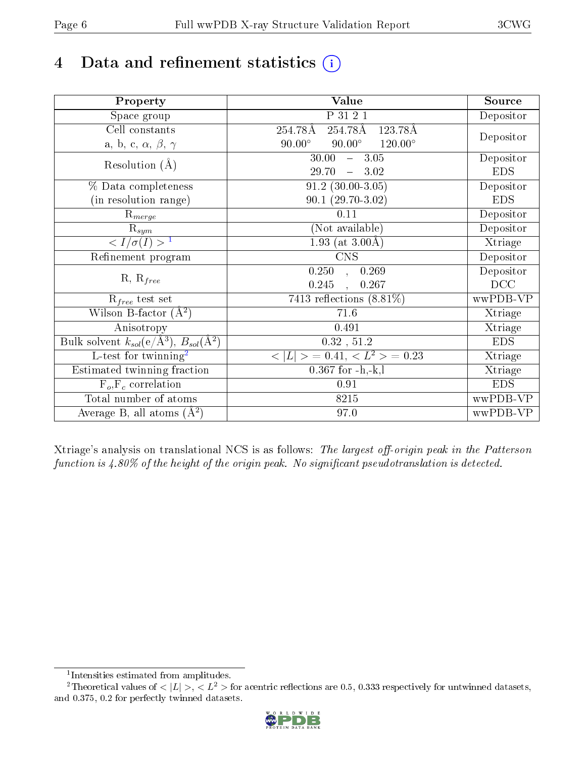# 4 Data and refinement statistics  $(i)$

| Property                                                   | <b>Value</b>                                       | Source     |
|------------------------------------------------------------|----------------------------------------------------|------------|
| Space group                                                | P 31 2 1                                           | Depositor  |
| Cell constants                                             | 254.78Å<br>254.78Å<br>123.78Å                      |            |
| a, b, c, $\alpha$ , $\beta$ , $\gamma$                     | $90.00^\circ$<br>$90.00^\circ$<br>$120.00^{\circ}$ | Depositor  |
| Resolution $(A)$                                           | $-3.05$<br>30.00                                   | Depositor  |
|                                                            | 29.70<br>3.02<br>$\frac{1}{2}$ and $\frac{1}{2}$   | <b>EDS</b> |
| % Data completeness                                        | $91.2$ $(30.00-3.05)$                              | Depositor  |
| (in resolution range)                                      | $90.1(29.70-3.02)$                                 | <b>EDS</b> |
| $R_{merge}$                                                | $0.11\,$                                           | Depositor  |
| $\mathrm{R}_{sym}$                                         | (Not available)                                    | Depositor  |
| $\sqrt{I/\sigma}(I) > 1$                                   | 1.93 (at $3.00\text{\AA}$ )                        | Xtriage    |
| Refinement program                                         | <b>CNS</b>                                         | Depositor  |
|                                                            | 0.250<br>0.269<br>$\mathbf{A}$                     | Depositor  |
| $R, R_{free}$                                              | 0.245<br>0.267                                     | DCC        |
| $R_{free}$ test set                                        | 7413 reflections $(8.81\%)$                        | wwPDB-VP   |
| Wilson B-factor $(A^2)$                                    | 71.6                                               | Xtriage    |
| Anisotropy                                                 | 0.491                                              | Xtriage    |
| Bulk solvent $k_{sol}$ (e/Å <sup>3</sup> ), $B_{sol}(A^2)$ | 0.32, 51.2                                         | <b>EDS</b> |
| $\overline{L-test for}$ twinning <sup>2</sup>              | $< L >$ = 0.41, $< L2$ = 0.23                      | Xtriage    |
| Estimated twinning fraction                                | $0.367$ for $-h,-k,l$                              | Xtriage    |
| $F_o, F_c$ correlation                                     | 0.91                                               | <b>EDS</b> |
| Total number of atoms                                      | 8215                                               | wwPDB-VP   |
| Average B, all atoms $(A^2)$                               | 97.0                                               | wwPDB-VP   |

Xtriage's analysis on translational NCS is as follows: The largest off-origin peak in the Patterson function is  $4.80\%$  of the height of the origin peak. No significant pseudotranslation is detected.

<sup>&</sup>lt;sup>2</sup>Theoretical values of  $\langle |L| \rangle$ ,  $\langle L^2 \rangle$  for acentric reflections are 0.5, 0.333 respectively for untwinned datasets, and 0.375, 0.2 for perfectly twinned datasets.



<span id="page-5-1"></span><span id="page-5-0"></span><sup>1</sup> Intensities estimated from amplitudes.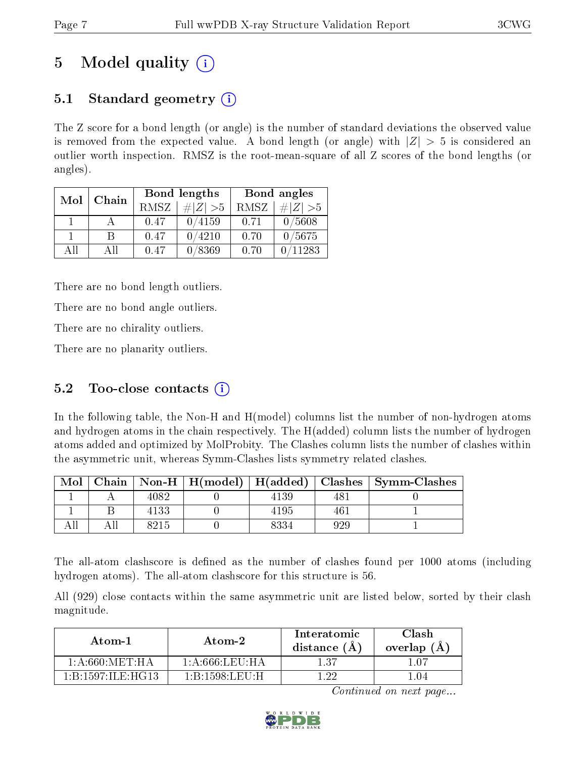# 5 Model quality  $(i)$

## 5.1 Standard geometry (i)

The Z score for a bond length (or angle) is the number of standard deviations the observed value is removed from the expected value. A bond length (or angle) with  $|Z| > 5$  is considered an outlier worth inspection. RMSZ is the root-mean-square of all Z scores of the bond lengths (or angles).

| Mol | Chain |      | Bond lengths |      | Bond angles |
|-----|-------|------|--------------|------|-------------|
|     |       | RMSZ | # Z  > 5     | RMSZ | $\ Z\  > 5$ |
|     |       | 0.47 | 0/4159       | 0.71 | 0/5608      |
|     | R     | 0.47 | 0/4210       | 0.70 | 0/5675      |
| AH  | All   | 0.47 | 0/8369       | 0.70 | 11283       |

There are no bond length outliers.

There are no bond angle outliers.

There are no chirality outliers.

There are no planarity outliers.

### $5.2$  Too-close contacts  $(i)$

In the following table, the Non-H and H(model) columns list the number of non-hydrogen atoms and hydrogen atoms in the chain respectively. The H(added) column lists the number of hydrogen atoms added and optimized by MolProbity. The Clashes column lists the number of clashes within the asymmetric unit, whereas Symm-Clashes lists symmetry related clashes.

| Mol |      | Chain   Non-H   $H (model)$   $H (added)$ |      |     | Clashes   Symm-Clashes |
|-----|------|-------------------------------------------|------|-----|------------------------|
|     | 4082 |                                           | 4139 | 48. |                        |
|     | 4133 |                                           | 4195 | 461 |                        |
|     | 8215 |                                           | 8334 | 929 |                        |

The all-atom clashscore is defined as the number of clashes found per 1000 atoms (including hydrogen atoms). The all-atom clashscore for this structure is 56.

All (929) close contacts within the same asymmetric unit are listed below, sorted by their clash magnitude.

| Atom-1                                           | Atom-2          | Interatomic<br>distance (A) | Clash<br>overlap (A |
|--------------------------------------------------|-----------------|-----------------------------|---------------------|
| 1: A:660:MET:HA                                  | 1: A:666:LEU:HA | 137                         | ∣ ∩7                |
| $1 \cdot R \cdot 1597 \cdot H \cdot H \cdot G13$ | 1 B 1598 LEU H  | - 99                        | - 04                |

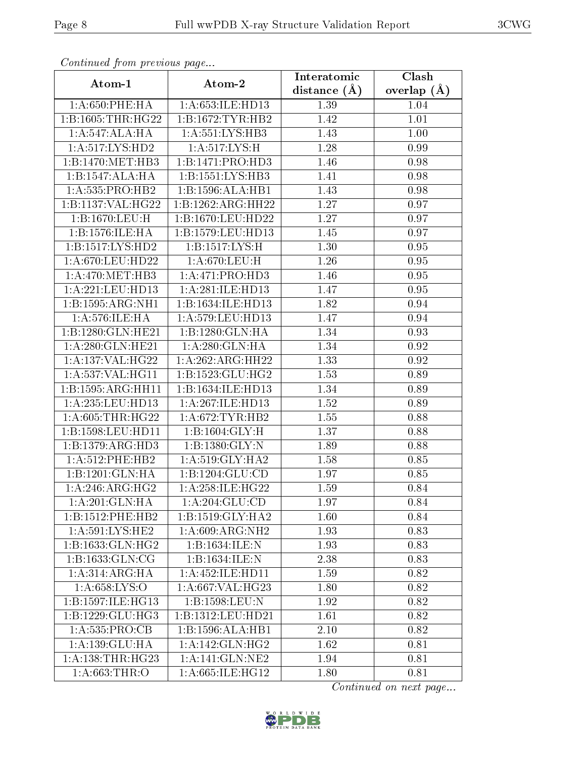| contentava promo procto ao pago |                      | Interatomic      | Clash         |
|---------------------------------|----------------------|------------------|---------------|
| Atom-1                          | Atom-2               | distance $(\AA)$ | overlap $(A)$ |
| $1: A:650:$ PHE:H $A$           | 1:A:653:ILE:HD13     | 1.39             | 1.04          |
| 1:B:1605:THR:HG22               | 1:B:1672:TYR:HB2     | 1.42             | 1.01          |
| 1:A:547:ALA:HA                  | 1: A: 551: LYS: HB3  | 1.43             | 1.00          |
| 1: A:517: LYS: HD2              | 1: A:517: LYS:H      | 1.28             | 0.99          |
| 1:B:1470:MET:HB3                | 1:B:1471:PRO:HD3     | 1.46             | 0.98          |
| 1:B:1547:ALA:HA                 | 1:B:1551:LYS:HB3     | 1.41             | 0.98          |
| 1:A:535:PRO:HB2                 | 1:B:1596:ALA:HB1     | 1.43             | 0.98          |
| 1:B:1137:VAL:HG22               | 1:B:1262:ARG:HH22    | 1.27             | 0.97          |
| 1:B:1670:LEU:H                  | 1:B:1670:LEU:HD22    | 1.27             | 0.97          |
| 1:B:1576:ILE:HA                 | 1:B:1579:LEU:HD13    | 1.45             | 0.97          |
| 1:B:1517:LYS:HD2                | 1: B: 1517: LYS: H   | 1.30             | 0.95          |
| 1: A:670:LEU:HD22               | 1: A:670:LEU:H       | 1.26             | 0.95          |
| 1: A:470:MET:HB3                | 1: A:471: PRO:HD3    | 1.46             | 0.95          |
| 1:A:221:LEU:HD13                | 1: A:281: ILE: HD13  | 1.47             | $\rm 0.95$    |
| 1:B:1595:ARG:NH1                | 1:B:1634:ILE:HD13    | <b>1.82</b>      | 0.94          |
| 1: A:576: ILE: HA               | 1: A: 579: LEU: HD13 | 1.47             | 0.94          |
| 1:B:1280:GLN:HE21               | 1:B:1280:GLN:HA      | 1.34             | 0.93          |
| 1:A:280:GLN:HE21                | 1:A:280:GLN:HA       | 1.34             | 0.92          |
| 1:A:137:VAL:HG22                | 1:A:262:ARG:HH22     | 1.33             | 0.92          |
| 1:A:537:VAL:HG11                | 1:B:1523:GLU:HG2     | 1.53             | 0.89          |
| 1:B:1595:ARG:HH11               | 1:B:1634:ILE:HD13    | 1.34             | 0.89          |
| 1:A:235:LEU:HD13                | 1:A:267:ILE:HD13     | 1.52             | 0.89          |
| 1: A:605:THR:HG22               | 1: A:672:TYR:HB2     | 1.55             | 0.88          |
| 1:B:1598:LEU:HD11               | 1:B:1604:GLY:H       | 1.37             | 0.88          |
| 1:B:1379:ARG:HD3                | 1:B:1380:GLY:N       | 1.89             | 0.88          |
| $1: A:512:$ PHE:HB2             | 1: A:519: GLY: HA2   | 1.58             | 0.85          |
| 1:B:1201:GLN:HA                 | 1:B:1204:GLU:CD      | 1.97             | 0.85          |
| 1: A:246:ARG:HG2                | 1: A:258: ILE: HG22  | 1.59             | 0.84          |
| 1:A:201:GLN:HA                  | 1:A:204:GLU:CD       | 1.97             | 0.84          |
| 1:B:1512:PHE:HB2                | 1:B:1519:GLY:HA2     | 1.60             | 0.84          |
| 1: A:591:LYS:HE2                | 1:A:609:ARG:NH2      | 1.93             | 0.83          |
| 1:B:1633:GLN:HG2                | 1:B:1634:ILE:N       | 1.93             | 0.83          |
| 1:B:1633:GLN:CG                 | 1:B:1634:ILE:N       | 2.38             | 0.83          |
| 1:A:314:ARG:HA                  | 1: A:452: ILE: HDI1  | 1.59             | 0.82          |
| 1: A:658: LYS:O                 | 1: A:667: VAL:HG23   | 1.80             | 0.82          |
| 1:B:1597:ILE:HG13               | 1:B:1598:LEU:N       | 1.92             | 0.82          |
| 1:B:1229:GLU:HG3                | 1:B:1312:LEU:HD21    | 1.61             | 0.82          |
| 1:A:535:PRO:CB                  | 1:B:1596:ALA:HB1     | 2.10             | 0.82          |
| 1:A:139:GLU:HA                  | 1: A:142: GLN: HG2   | 1.62             | 0.81          |
| 1: A: 138: THR: HG23            | 1:A:141:GLN:NE2      | 1.94             | 0.81          |
| 1: A:663:THR:O                  | 1:A:665:ILE:HG12     | 1.80             | 0.81          |

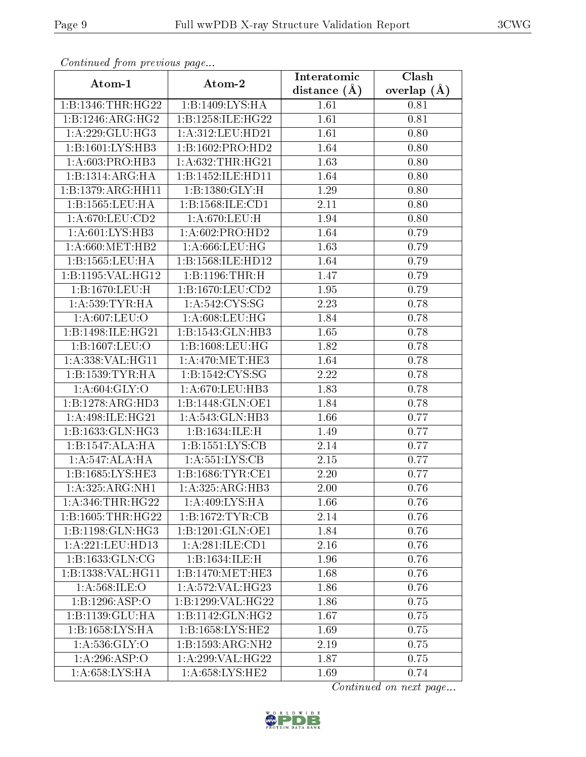| contentava promo proceso ao pago |                      | Interatomic      | $\overline{\text{Clash}}$ |
|----------------------------------|----------------------|------------------|---------------------------|
| Atom-1                           | Atom-2               | distance $(\AA)$ | overlap $(A)$             |
| 1:B:1346:THR:HG22                | 1:B:1409:LYS:HA      | 1.61             | 0.81                      |
| 1:B:1246:ARG:HG2                 | 1:B:1258:ILE:HG22    | 1.61             | 0.81                      |
| 1: A:229: GLU:HG3                | 1:A:312:LEU:HD21     | 1.61             | 0.80                      |
| 1:B:1601:LYS:HB3                 | 1:B:1602:PRO:HD2     | 1.64             | 0.80                      |
| 1: A:603: PRO:HB3                | 1: A:632:THR:HG21    | 1.63             | 0.80                      |
| 1:B:1314:ARG:HA                  | 1:B:1452:ILE:HD11    | 1.64             | 0.80                      |
| 1:B:1379:ARG:HH11                | 1:B:1380:GLY:H       | 1.29             | 0.80                      |
| 1:B:1565:LEU:HA                  | 1:B:1568:ILE:CD1     | 2.11             | 0.80                      |
| 1: A:670:LEU:CD2                 | 1:A:670:LEU:H        | 1.94             | 0.80                      |
| 1:A:601:LYS:HB3                  | 1: A:602:PRO:HD2     | 1.64             | 0.79                      |
| 1: A:660:MET:HB2                 | 1:A:666:LEU:HG       | 1.63             | 0.79                      |
| 1:B:1565:LEU:HA                  | 1:B:1568:ILE:HD12    | 1.64             | 0.79                      |
| 1:B:1195:VAL:HG12                | 1:B:1196:THR:H       | 1.47             | 0.79                      |
| 1:B:1670:LEU:H                   | 1:B:1670:LEU:CD2     | 1.95             | 0.79                      |
| 1: A:539:TYR:HA                  | 1: A:542: CYS:SG     | 2.23             | 0.78                      |
| 1: A:607:LEU:O                   | 1: A:608:LEU:HG      | 1.84             | 0.78                      |
| 1:B:1498:ILE:HG21                | 1:B:1543:GLN:HB3     | 1.65             | 0.78                      |
| 1:B:1607:LEU:O                   | 1:B:1608:LEU:HG      | 1.82             | 0.78                      |
| 1:A:338:VAL:HG11                 | 1: A:470:MET:HE3     | 1.64             | 0.78                      |
| 1:B:1539:TYR:HA                  | 1:B:1542:CYS:SG      | 2.22             | 0.78                      |
| 1: A:604: GLY:O                  | 1: A:670: LEU: HB3   | 1.83             | 0.78                      |
| 1:B:1278:ARG:HD3                 | 1:B:1448:GLN:OE1     | 1.84             | 0.78                      |
| 1: A:498: ILE: HG21              | 1: A:543: GLN:HB3    | 1.66             | 0.77                      |
| 1:B:1633:GLN:HG3                 | 1:B:1634:ILE:H       | 1.49             | 0.77                      |
| 1:B:1547:ALA:HA                  | 1:B:1551:LYS:CB      | 2.14             | 0.77                      |
| 1:A:547:ALA:HA                   | 1: A: 551: LYS: CB   | 2.15             | 0.77                      |
| 1:B:1685:LYS:HE3                 | 1: B: 1686: TYR: CE1 | 2.20             | 0.77                      |
| 1:A:325:ARG:NH1                  | 1:A:325:ARG:HB3      | 2.00             | 0.76                      |
| 1: A:346:THR:HG22                | 1: A:409: LYS: HA    | 1.66             | 0.76                      |
| 1:B:1605:THR:HG22                | 1:B:1672:TYR:CB      | 2.14             | 0.76                      |
| 1:B:1198:GLN:HG3                 | 1:B:1201:GLN:OE1     | 1.84             | 0.76                      |
| 1:A:221:LEU:HD13                 | 1:A:281:ILE:CD1      | 2.16             | 0.76                      |
| 1:B:1633:GLN:CG                  | 1:B:1634:ILE:H       | 1.96             | 0.76                      |
| 1:B:1338:VAL:HG11                | 1:B:1470:MET:HE3     | 1.68             | 0.76                      |
| 1: A:568: ILE: O                 | 1:A:572:VAL:H G23    | 1.86             | 0.76                      |
| 1:B:1296:ASP:O                   | 1:B:1299:VAL:HG22    | 1.86             | 0.75                      |
| 1:B:1139:GLU:HA                  | 1:B:1142:GLN:HG2     | 1.67             | 0.75                      |
| 1:B:1658:LYS:HA                  | 1:B:1658:LYS:HE2     | 1.69             | 0.75                      |
| 1: A: 536: GLY: O                | 1:B:1593:ARG:NH2     | 2.19             | 0.75                      |
| 1:A:296:ASP:O                    | 1:A:299:VAL:HG22     | 1.87             | 0.75                      |
| 1:A:658:LYS:HA                   | 1:A:658:LYS:HE2      | 1.69             | 0.74                      |

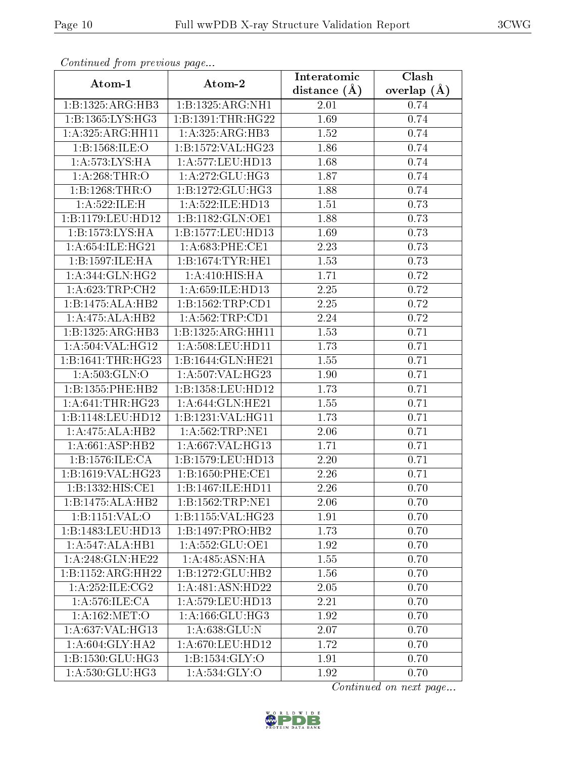| continuou promonous pago            |                      | Interatomic       | Clash         |
|-------------------------------------|----------------------|-------------------|---------------|
| Atom-1                              | Atom-2               | distance $(\AA)$  | overlap $(A)$ |
| 1:B:1325:ARG:HB3                    | 1:B:1325:ARG:NH1     | 2.01              | 0.74          |
| 1:B:1365:LYS:HG3                    | 1:B:1391:THR:HG22    | 1.69              | 0.74          |
| 1:A:325:ARG:HH11                    | 1:A:325:ARG:HB3      | 1.52              | 0.74          |
| 1:B:1568:ILE:O                      | 1:B:1572:VAL:HG23    | 1.86              | 0.74          |
| 1: A:573: LYS: HA                   | 1:A:577:LEU:HD13     | 1.68              | 0.74          |
| 1: A:268:THR:O                      | 1: A:272: GLU:HG3    | 1.87              | 0.74          |
| 1:B:1268:THR:O                      | 1:B:1272:GLU:HG3     | 1.88              | 0.74          |
| 1: A:522: ILE:H                     | 1: A:522: ILE: HD13  | 1.51              | 0.73          |
| 1:B:1179:LEU:HD12                   | 1:B:1182:GLN:OE1     | 1.88              | 0.73          |
| 1: B: 1573: LYS: HA                 | 1:B:1577:LEU:HD13    | 1.69              | 0.73          |
| $1: A:654: ILE:H\overline{G21}$     | 1: A:683:PHE:CE1     | 2.23              | 0.73          |
| 1:B:1597:ILE:HA                     | 1: B: 1674: TYR: HE1 | 1.53              | 0.73          |
| 1: A:344: GLN: HG2                  | 1: A:410:HIS:HA      | 1.71              | 0.72          |
| 1:A:623:TRP:CH2                     | 1: A:659: ILE: HD13  | 2.25              | 0.72          |
| 1:B:1475:ALA:HB2                    | 1: B: 1562: TRP: CD1 | 2.25              | 0.72          |
| 1:A:475:ALA:HB2                     | 1: A:562:TRP:CD1     | 2.24              | 0.72          |
| 1:B:1325:ARG:HB3                    | 1:B:1325:ARG:HH11    | 1.53              | 0.71          |
| 1:A:504:VAL:HG12                    | 1:A:508:LEU:HD11     | 1.73              | 0.71          |
| 1:B:1641:THR:HG23                   | 1:B:1644:GLN:HE21    | $\overline{1.55}$ | 0.71          |
| 1: A:503: GLN:O                     | 1:A:507:VAL:HG23     | 1.90              | 0.71          |
| 1:B:1355:PHE:HB2                    | 1:B:1358:LEU:HD12    | 1.73              | 0.71          |
| 1: A:641:THR:HG23                   | 1: A:644: GLN: HE21  | 1.55              | 0.71          |
| 1:B:1148:LEU:HD12                   | 1:B:1231:VAL:HG11    | 1.73              | 0.71          |
| 1:A:475:ALA:HB2                     | 1: A:562:TRP:NE1     | 2.06              | 0.71          |
| 1: A:661:ASP:HB2                    | 1:A:667:VAL:HG13     | 1.71              | 0.71          |
| 1:B:1576:ILE:CA                     | 1:B:1579:LEU:HD13    | 2.20              | 0.71          |
| 1:B:1619:VAL:HG23                   | 1:B:1650:PHE:CE1     | 2.26              | 0.71          |
| 1:B:1332:HIS:CE1                    | 1:B:1467:ILE:HD11    | 2.26              | 0.70          |
| 1:B:1475:ALA:HB2                    | 1:B:1562:TRP:NE1     | 2.06              | 0.70          |
| 1:B:1151:VAL:O                      | 1:B:1155:VAL:HG23    | 1.91              | 0.70          |
| 1:B:1483:LEU:HD13                   | 1:B:1497:PRO:HB2     | 1.73              | 0.70          |
| 1:A:547:ALA:HB1                     | 1: A: 552: GLU: OE1  | 1.92              | 0.70          |
| 1:A:248:GLN:HE22                    | 1: A:485: ASN: HA    | 1.55              | 0.70          |
| 1:B:1152:ARG:HH22                   | 1:B:1272:GLU:HB2     | 1.56              | 0.70          |
| 1:A:252:ILE:CG2                     | 1:A:481:ASN:HD22     | 2.05              | 0.70          |
| 1: A:576: ILE: CA                   | 1: A: 579: LEU: HD13 | 2.21              | 0.70          |
| $1:A:162:\overline{\mathrm{MET:O}}$ | 1: A: 166: GLU: HG3  | 1.92              | 0.70          |
| 1: A:637: VAL: HG13                 | 1:A:638:GLU:N        | 2.07              | 0.70          |
| 1: A:604: GLY:HA2                   | 1:A:670:LEU:HD12     | 1.72              | 0.70          |
| 1:B:1530:GLU:HG3                    | 1: B: 1534: GLY: O   | 1.91              | 0.70          |
| $1: A:530: \overline{GLU:HG3}$      | 1:A:534:GLY:O        | 1.92              | 0.70          |

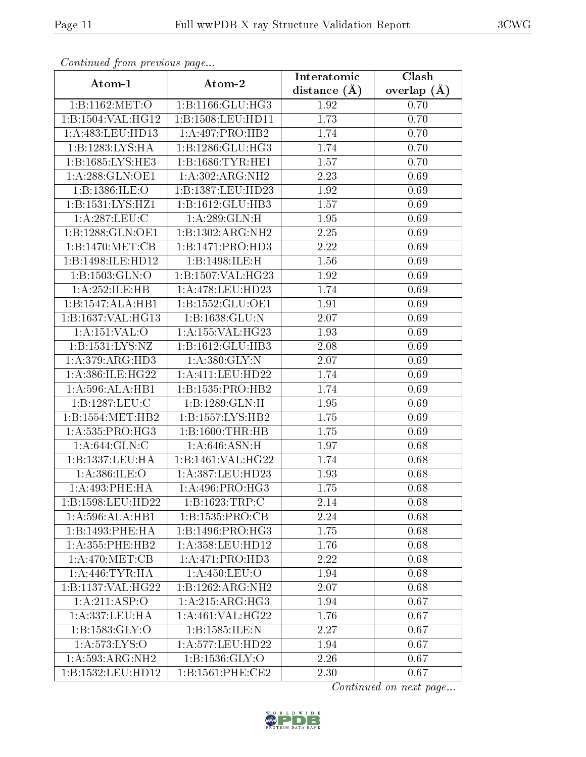|                            | Atom-2                            | Interatomic      | $\overline{\text{Clash}}$ |
|----------------------------|-----------------------------------|------------------|---------------------------|
| Atom-1                     |                                   | distance $(\AA)$ | overlap $(A)$             |
|                            | 1:B:1162:MET:O   1:B:1166:GLU:HG3 | 1.92             | 0.70                      |
| 1:B:1504:VAL:HG12          | 1:B:1508:LEU:HD11                 | 1.73             | 0.70                      |
| 1:A:483:LEU:HD13           | 1:A:497:PRO:HB2                   | 1.74             | 0.70                      |
| 1:B:1283:LYS:HA            | 1:B:1286:GLU:HG3                  | 1.74             | 0.70                      |
| 1:B:1685:LYS:HE3           | 1: B: 1686: TYR: HE1              | 1.57             | 0.70                      |
| 1: A:288: GLN:OE1          | 1: A:302: ARG: NH2                | 2.23             | 0.69                      |
| 1:B:1386:ILE:O             | 1:B:1387:LEU:HD23                 | 1.92             | 0.69                      |
| 1:B:1531:LYS:HZ1           | 1:B:1612:GLU:HB3                  | 1.57             | 0.69                      |
| 1: A:287:LEU:C             | 1: A:289: GLN: H                  | 1.95             | 0.69                      |
| 1:B:1288:GLN:OE1           | 1:B:1302:ARG:NH2                  | 2.25             | 0.69                      |
| 1: B: 1470: MET: CB        | 1:B:1471:PRO:HD3                  | 2.22             | 0.69                      |
| 1:B:1498:ILE:HD12          | 1:B:1498:ILE:H                    | 1.56             | 0.69                      |
| 1: B: 1503: GLN:O          | 1:B:1507:VAL:HG23                 | 1.92             | 0.69                      |
| 1:A:252:ILE:HB             | 1:A:478:LEU:HD23                  | 1.74             | 0.69                      |
| 1:B:1547:ALA:HB1           | 1: B: 1552: GLU: OE1              | 1.91             | 0.69                      |
| 1:B:1637:VAL:HG13          | 1:B:1638:GLU:N                    | 2.07             | 0.69                      |
| 1: A: 151: VAL: O          | 1:A:155:VAL:HG23                  | 1.93             | 0.69                      |
| 1:B:1531:LYS:NZ            | 1:B:1612:GLU:HB3                  | 2.08             | 0.69                      |
| 1: A:379: ARG:HD3          | 1:A:380:GLY:N                     | 2.07             | 0.69                      |
| 1: A: 386: ILE: HG22       | 1:A:411:LEU:HD22                  | 1.74             | 0.69                      |
| 1: A:596:ALA:HB1           | 1:B:1535:PRO:HB2                  | 1.74             | 0.69                      |
| 1:B:1287:LEU:C             | 1:B:1289:GLN:H                    | 1.95             | 0.69                      |
| 1:B:1554:MET:HB2           | 1: B: 1557: LYS: HB2              | 1.75             | 0.69                      |
| 1: A: 535: PRO:HG3         | 1:B:1600:THR:HB                   | 1.75             | 0.69                      |
| 1: A:644: GLN: C           | 1:A:646:ASN:H                     | 1.97             | 0.68                      |
| 1:B:1337:LEU:HA            | 1:B:1461:VAL:HG22                 | 1.74             | 0.68                      |
| 1: A:386: ILE: O           | 1: A: 387: LEU: HD23              | 1.93             | 0.68                      |
| 1:A:493:PHE:HA             | 1: A:496: PRO:HG3                 | 1.75             | 0.68                      |
| 1:B:1598:LEU:HD22          | 1:B:1623:TRP:C                    | 2.14             | 0.68                      |
| 1: A:596:ALA:HB1           | 1:B:1535:PRO:CB                   | 2.24             | 0.68                      |
| 1:B:1493:PHE:HA            | 1:B:1496:PRO:HG3                  | 1.75             | 0.68                      |
| $1: A:355:$ PHE:HB2        | 1: A: 358: LEU: HD12              | 1.76             | 0.68                      |
| 1: A:470:MET:CB            | 1:A:471:PRO:HD3                   | 2.22             | 0.68                      |
| 1: A:446: TYR: HA          | 1:A:450:LEU:O                     | 1.94             | 0.68                      |
| 1:B:1137:VAL:HG22          | 1:B:1262:ARG:NH2                  | 2.07             | 0.68                      |
| $1:A:2\overline{11:ASP:O}$ | 1: A:215: ARG: HG3                | 1.94             | 0.67                      |
| 1:A:337:LEU:HA             | 1:A:461:VAL:HG22                  | 1.76             | 0.67                      |
| 1: B: 1583: GLY:O          | 1:B:1585:ILE:N                    | 2.27             | 0.67                      |
| 1: A: 573: LYS: O          | 1: A: 577: LEU: HD22              | 1.94             | 0.67                      |
| 1:A:593:ARG:NH2            | 1:B:1536:GLY:O                    | 2.26             | 0.67                      |
| 1:B:1532:LEU:HD12          | 1:B:1561:PHE:CE2                  | 2.30             | 0.67                      |

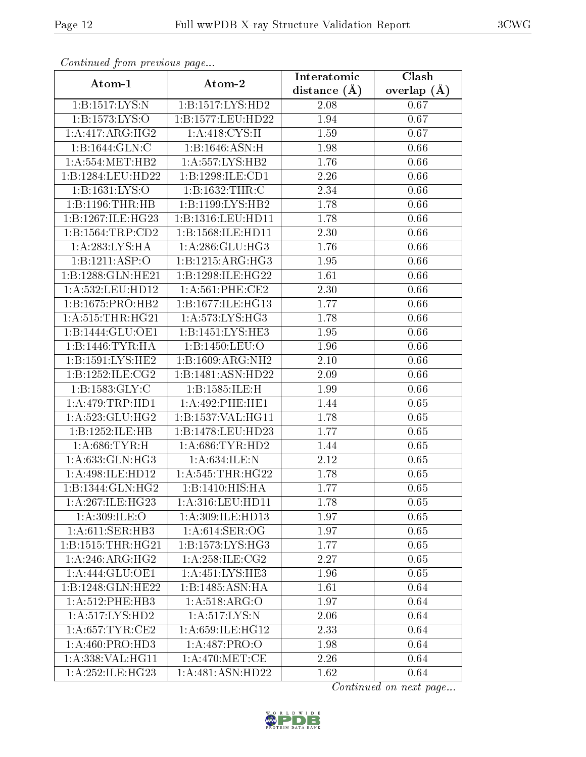| Continually from providuo puga |                     | Interatomic      | Clash         |
|--------------------------------|---------------------|------------------|---------------|
| Atom-1                         | Atom-2              | distance $(\AA)$ | overlap $(A)$ |
| 1:B:1517:LYS:N                 | 1:B:1517:LYS:HD2    | 2.08             | 0.67          |
| 1:B:1573:LYS:O                 | 1:B:1577:LEU:HD22   | 1.94             | 0.67          |
| 1:A:417:ARG:HG2                | 1: A:418: CYS:H     | 1.59             | 0.67          |
| 1:B:1644:GLN:C                 | 1:B:1646:ASN:H      | 1.98             | 0.66          |
| 1: A: 554: MET: HB2            | 1:A:557:LYS:HB2     | 1.76             | 0.66          |
| 1:B:1284:LEU:HD22              | 1:B:1298:ILE:CD1    | 2.26             | 0.66          |
| 1:B:1631:LYS:O                 | 1:B:1632:THR:C      | 2.34             | 0.66          |
| 1:B:1196:THR:HB                | 1:B:1199:LYS:HB2    | 1.78             | 0.66          |
| 1:B:1267:ILE:HG23              | 1:B:1316:LEU:HD11   | 1.78             | 0.66          |
| 1:B:1564:TRP:CD2               | 1:B:1568:ILE:HD11   | 2.30             | 0.66          |
| 1:A:283:LYS:HA                 | 1: A:286: GLU:HG3   | 1.76             | 0.66          |
| 1:B:1211:ASP:O                 | 1:B:1215:ARG:HG3    | 1.95             | 0.66          |
| 1:B:1288:GLN:HE21              | 1:B:1298:ILE:HG22   | 1.61             | 0.66          |
| 1:A:532:LEU:HD12               | 1: A:561:PHE:CE2    | 2.30             | 0.66          |
| 1:B:1675:PRO:HB2               | 1:B:1677:ILE:HG13   | 1.77             | 0.66          |
| 1: A:515:THR:HG21              | 1: A: 573: LYS: HG3 | 1.78             | 0.66          |
| 1:B:1444:GLU:OE1               | 1:B:1451:LYS:HE3    | 1.95             | 0.66          |
| 1:B:1446:TYR:HA                | 1:B:1450:LEU:O      | 1.96             | 0.66          |
| 1: B: 1591: LYS: HE2           | 1:B:1609:ARG:NH2    | 2.10             | 0.66          |
| 1: B: 1252: ILE: CG2           | 1:B:1481:ASN:HD22   | 2.09             | 0.66          |
| 1: B: 1583: GLY: C             | 1:B:1585:ILE:H      | 1.99             | 0.66          |
| 1: A:479:TRP:HD1               | 1:A:492:PHE:HE1     | 1.44             | 0.65          |
| 1: A:523: GLU: HG2             | 1:B:1537:VAL:HG11   | 1.78             | 0.65          |
| 1:B:1252:ILE:HB                | 1:B:1478:LEU:HD23   | 1.77             | 0.65          |
| 1: A:686:TYR:H                 | 1: A:686: TYR: HD2  | 1.44             | 0.65          |
| 1: A:633: GLN: HG3             | 1:A:634:ILE:N       | 2.12             | 0.65          |
| 1:A:498:ILE:HD12               | 1: A:545:THR:HG22   | 1.78             | 0.65          |
| 1:B:1344:GLN:HG2               | 1:B:1410:HIS:HA     | 1.77             | 0.65          |
| 1: A:267: ILE:HG23             | 1:A:316:LEU:HD11    | 1.78             | 0.65          |
| 1: A:309: ILE: O               | 1:A:309:ILE:HD13    | 1.97             | 0.65          |
| 1:A:611:SER:HB3                | 1: A:614: SER:OG    | 1.97             | 0.65          |
| 1:B:1515:THR:HG21              | 1:B:1573:LYS:HG3    | 1.77             | 0.65          |
| 1: A:246: ARG: HG2             | 1: A:258: ILE: CG2  | 2.27             | 0.65          |
| 1:A:444:GLU:OE1                | 1:A:451:LYS:HE3     | 1.96             | 0.65          |
| 1:B:1248:GLN:HE22              | 1:B:1485:ASN:HA     | 1.61             | 0.64          |
| 1: A:512: PHE:HB3              | 1: A:518: ARG:O     | 1.97             | 0.64          |
| 1: A:517: LYS: HD2             | 1: A:517: LYS:N     | 2.06             | 0.64          |
| 1: A:657:TYR:CE2               | 1:A:659:ILE:HG12    | 2.33             | 0.64          |
| 1:A:460:PRO:HD3                | 1:A:487:PRO:O       | 1.98             | 0.64          |
| 1: A: 338: VAL: HG11           | 1: A:470:MET:CE     | 2.26             | 0.64          |
| 1: A:252: ILE:HG23             | 1:A:481:ASN:HD22    | 1.62             | 0.64          |

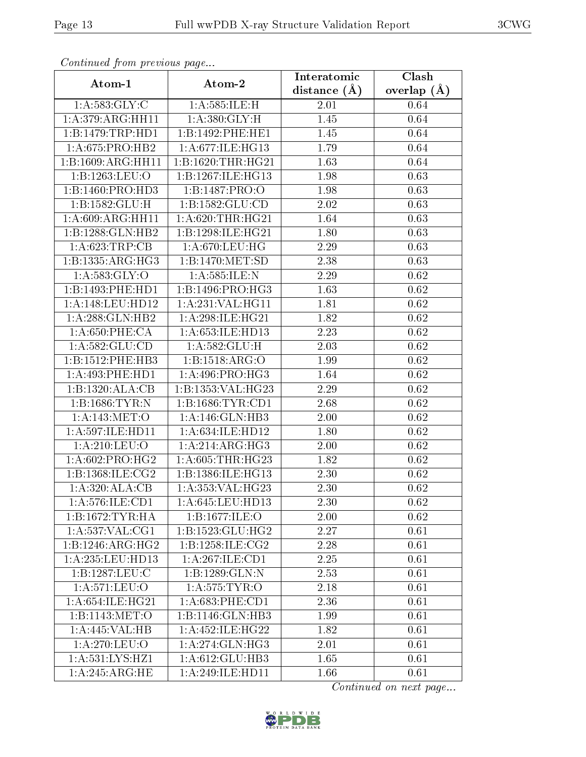|                     |                              | Interatomic    | Clash         |
|---------------------|------------------------------|----------------|---------------|
| Atom-1              | Atom-2                       | distance $(A)$ | overlap $(A)$ |
| 1: A: 583: GLY: C   | 1:A:585:ILE:H                | 2.01           | 0.64          |
| 1: A:379: ARG: HH11 | 1: A:380: GLY: H             | 1.45           | 0.64          |
| 1:B:1479:TRP:HD1    | 1:B:1492:PHE:HE1             | 1.45           | 0.64          |
| 1:A:675:PRO:HB2     | 1:A:677:ILE:HG13             | 1.79           | 0.64          |
| 1:B:1609:ARG:HH11   | 1:B:1620:THR:HG21            | 1.63           | 0.64          |
| 1:B:1263:LEU:O      | 1:B:1267:ILE:HG13            | 1.98           | 0.63          |
| 1:B:1460:PRO:HD3    | 1:B:1487:PRO:O               | 1.98           | 0.63          |
| 1:B:1582:GLU:H      | 1: B: 1582: GLU: CD          | 2.02           | 0.63          |
| 1: A:609: ARG: HH11 | 1: A:620:THR:HG21            | 1.64           | 0.63          |
| 1:B:1288:GLN:HB2    | 1:B:1298:ILE:HG21            | 1.80           | 0.63          |
| 1: A:623:TRP:CB     | 1: A:670:LEU:HG              | 2.29           | 0.63          |
| 1:B:1335:ARG:HG3    | 1:B:1470:MET:SD              | 2.38           | 0.63          |
| 1: A:583: GLY:O     | 1: A:585: ILE:N              | 2.29           | 0.62          |
| 1:B:1493:PHE:HD1    | 1:B:1496:PRO:HG3             | 1.63           | 0.62          |
| 1:A:148:LEU:HD12    | 1:A:231:VAL:H <sub>G11</sub> | 1.81           | 0.62          |
| 1:A:288:GLN:HB2     | 1: A:298: ILE: HG21          | 1.82           | 0.62          |
| 1: A:650: PHE:CA    | 1: A:653: ILE: HD13          | 2.23           | 0.62          |
| 1: A: 582: GLU: CD  | 1: A:582: GLU: H             | 2.03           | $0.62\,$      |
| 1:B:1512:PHE:HB3    | 1: B: 1518: ARG: O           | 1.99           | 0.62          |
| 1:A:493:PHE:HD1     | 1: A:496: PRO:HG3            | 1.64           | 0.62          |
| 1:B:1320:ALA:CB     | 1:B:1353:VAL:HG23            | 2.29           | 0.62          |
| 1:B:1686:TYR:N      | 1:B:1686:TYR:CD1             | 2.68           | 0.62          |
| 1: A:143:MET:O      | 1: A:146: GLN:HB3            | 2.00           | 0.62          |
| 1:A:597:ILE:HD11    | 1: A:634: ILE: HD12          | 1.80           | 0.62          |
| 1: A:210:LEU:O      | 1:A:214:ARG:HG3              | 2.00           | 0.62          |
| 1: A:602: PRO:HG2   | 1:A:605:THR:HG23             | 1.82           | 0.62          |
| 1:B:1368:ILE:CG2    | 1:B:1386:ILE:HG13            | 2.30           | 0.62          |
| 1:A:320:ALA:CB      | 1:A:353:VAL:HG23             | 2.30           | 0.62          |
| 1: A: 576: ILE: CD1 | 1: A:645:LEU:HD13            | 2.30           | 0.62          |
| 1: B: 1672: TYR: HA | 1:B:1677:ILE:O               | 2.00           | 0.62          |
| 1:A:537:VAL:CG1     | 1:B:1523:GLU:HG2             | 2.27           | 0.61          |
| 1:B:1246:ARG:HG2    | 1: B: 1258: ILE: CG2         | 2.28           | 0.61          |
| 1:A:235:LEU:HD13    | 1:A:267:ILE:CD1              | 2.25           | 0.61          |
| 1:B:1287:LEU:C      | 1:B:1289:GLN:N               | 2.53           | 0.61          |
| 1:A:571:LEU:O       | 1: A: 575: TYR: O            | 2.18           | 0.61          |
| 1: A:654: ILE: HG21 | 1: A:683:PHE:CD1             | 2.36           | 0.61          |
| 1:B:1143:MET:O      | 1:B:1146:GLN:HB3             | 1.99           | 0.61          |
| 1:A:445:VAL:HB      | 1:A:452:ILE:HG22             | 1.82           | 0.61          |
| 1:A:270:LEU:O       | 1: A:274: GLN: HG3           | 2.01           | 0.61          |
| 1:A:531:LYS:HZ1     | 1:A:612:GLU:HB3              | 1.65           | 0.61          |
| 1:A:245:ARG:HE      | 1: A:249: ILE: HD11          | 1.66           | 0.61          |

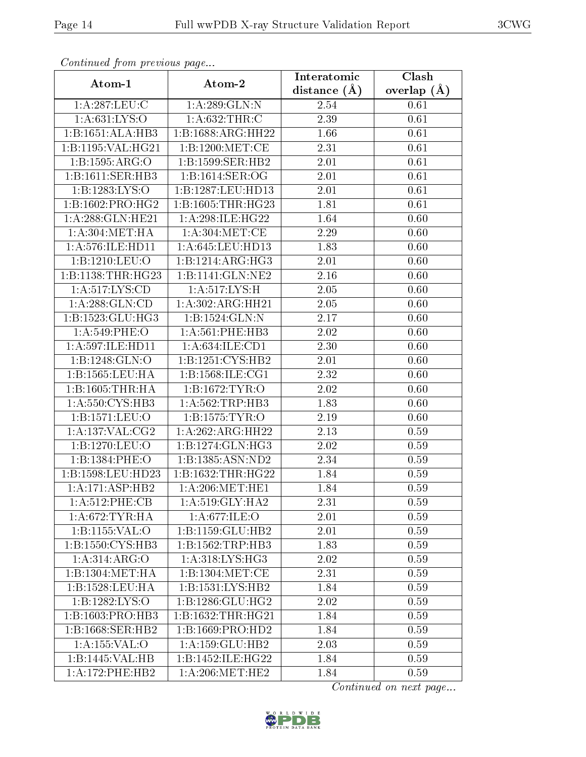| Atom-1                       | Atom-2               | Interatomic    | $\overline{\text{Clash}}$ |
|------------------------------|----------------------|----------------|---------------------------|
|                              |                      | distance $(A)$ | overlap $(A)$             |
| 1:A:287:LEU:C                | 1: A:289: GLN:N      | 2.54           | 0.61                      |
| 1: A:631:LYS:O               | 1: A:632:THR:C       | 2.39           | 0.61                      |
| 1:B:1651:ALA:HB3             | 1:B:1688:ARG:HH22    | 1.66           | 0.61                      |
| 1:B:1195:VAL:HG21            | 1:B:1200:MET:CE      | 2.31           | 0.61                      |
| 1:B:1595:ARG:O               | 1:B:1599:SER:HB2     | 2.01           | 0.61                      |
| 1:B:1611:SER:HB3             | 1:B:1614:SER:OG      | 2.01           | 0.61                      |
| 1:B:1283:LYS:O               | 1:B:1287:LEU:HD13    | 2.01           | 0.61                      |
| 1:B:1602:PRO:HG2             | 1:B:1605:THR:HG23    | 1.81           | 0.61                      |
| 1:A:288:GLN:HE21             | 1: A:298: ILE: HG22  | 1.64           | 0.60                      |
| 1: A:304: MET:HA             | 1: A:304: MET:CE     | 2.29           | 0.60                      |
| 1: A:576: ILE: HD11          | 1: A:645:LEU:HD13    | 1.83           | 0.60                      |
| 1:B:1210:LEU:O               | 1:B:1214:ARG:HG3     | 2.01           | 0.60                      |
| 1:B:1138:THR:HG23            | 1:B:1141:GLN:NE2     | 2.16           | 0.60                      |
| 1: A: 517: LYS: CD           | 1: A:517: LYS:H      | 2.05           | 0.60                      |
| 1: A:288: GLN:CD             | 1:A:302:ARG:HH21     | 2.05           | 0.60                      |
| 1:B:1523:GLU:HG3             | 1:Bi:1524:GLN:N      | 2.17           | 0.60                      |
| $1: A:549:$ PHE:O            | 1: A:561:PHE:HB3     | 2.02           | 0.60                      |
| 1:A:597:ILE:HD11             | 1:A:634:ILE:CD1      | 2.30           | 0.60                      |
| 1:B:1248:GLN:O               | 1:B:1251:CYS:HB2     | 2.01           | 0.60                      |
| 1: B: 1565: LEU: HA          | 1: B: 1568: ILE: CG1 | 2.32           | 0.60                      |
| 1: B: 1605: THR: HA          | 1: B: 1672: TYR: O   | 2.02           | 0.60                      |
| 1: A:550: CYS:HB3            | 1: A:562:TRP:HB3     | 1.83           | 0.60                      |
| 1:B:1571:LEU:O               | 1: B: 1575: TYR: O   | 2.19           | 0.60                      |
| 1:A:137:VAL:CG2              | 1:A:262:ARG:HH22     | 2.13           | 0.59                      |
| 1:B:1270:LEU:O               | 1:B:1274:GLN:HG3     | 2.02           | 0.59                      |
| 1:B:1384:PHE:O               | 1:B:1385:ASN:ND2     | 2.34           | 0.59                      |
| 1:B:1598:LEU:HD23            | 1:B:1632:THR:HG22    | 1.84           | 0.59                      |
| $1:A:171:ASP:H\overline{B2}$ | 1: A:206:MET:HE1     | 1.84           | 0.59                      |
| 1:A:512:PHE:CB               | 1: A:519: GLY:HA2    | 2.31           | 0.59                      |
| 1: A:672:TYR:HA              | 1: A:677: ILE: O     | 2.01           | 0.59                      |
| 1: B: 1155: VAL: O           | 1:B:1159:GLU:HB2     | 2.01           | 0.59                      |
| 1:B:1550:CYS:HB3             | 1:B:1562:TRP:HB3     | 1.83           | 0.59                      |
| 1:A:314:ARG:O                | 1: A:318: LYS: HG3   | 2.02           | 0.59                      |
| 1:B:1304:MET:HA              | 1:B:1304:MET:CE      | 2.31           | 0.59                      |
| 1:B:1528:LEU:HA              | 1:B:1531:LYS:HB2     | 1.84           | 0.59                      |
| 1:B:1282:LYS:O               | 1:B:1286:GLU:HG2     | 2.02           | 0.59                      |
| 1:B:1603:PRO:HB3             | 1:B:1632:THR:HG21    | 1.84           | 0.59                      |
| 1:B:1668:SER:HB2             | 1:B:1669:PRO:HD2     | 1.84           | 0.59                      |
| 1:A:155:VAL:O                | 1: A: 159: GLU: HB2  | 2.03           | 0.59                      |
| 1:B:1445:VAL:HB              | 1:B:1452:ILE:HG22    | 1.84           | 0.59                      |
| 1: A:172: PHE:HB2            | 1: A:206: MET:HE2    | 1.84           | 0.59                      |

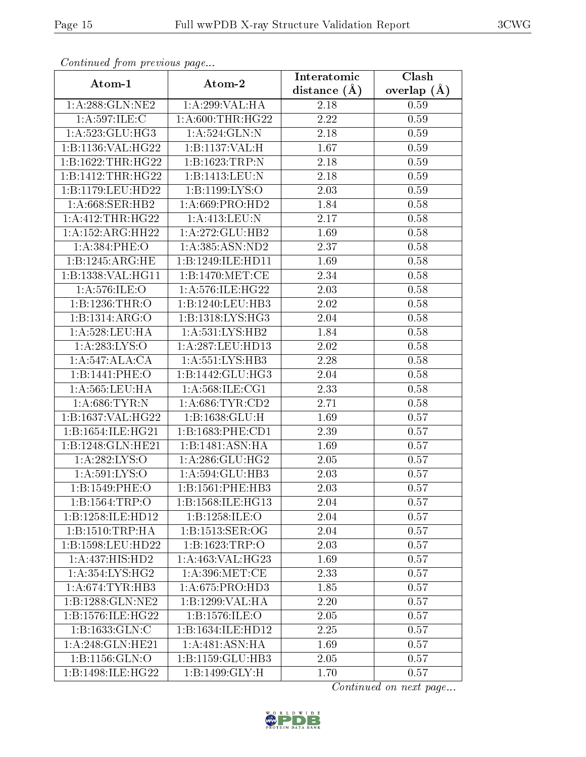| Atom-1                                | Atom-2                                | Interatomic    | Clash           |
|---------------------------------------|---------------------------------------|----------------|-----------------|
|                                       |                                       | distance $(A)$ | overlap $(\AA)$ |
| 1: A:288: GLN:NE2                     | 1:A:299:VAL:HA                        | 2.18           | 0.59            |
| 1: A:597: ILE:C                       | 1: A:600:THR:HG22                     | 2.22           | 0.59            |
| 1: A:523: GLU:HG3                     | 1: A:524: GLN:N                       | 2.18           | 0.59            |
| 1:B:1136:VAL:HG22                     | 1:B:1137:VAL:H                        | 1.67           | 0.59            |
| 1:B:1622:THR:HG22                     | 1:B:1623:TRP:N                        | 2.18           | 0.59            |
| 1:B:1412:THR:HG22                     | 1:B:1413:LEU:N                        | 2.18           | 0.59            |
| 1:B:1179:LEU:HD22                     | 1:B:1199:LYS:O                        | 2.03           | 0.59            |
| 1: A:668: SER: HB2                    | 1: A:669: PRO:HD2                     | 1.84           | 0.58            |
| 1: A: 412: THR: HG22                  | 1:A:413:LEU:N                         | 2.17           | 0.58            |
| 1:A:152:ARG:HH22                      | 1: A:272: GLU:HB2                     | 1.69           | 0.58            |
| 1: A:384:PHE:O                        | 1: A: 385: ASN: ND2                   | 2.37           | 0.58            |
| 1:B:1245:ARG:HE                       | 1:B:1249:ILE:HD11                     | 1.69           | 0.58            |
| 1:B:1338:VAL:HG11                     | 1: B: 1470: MET: CE                   | 2.34           | 0.58            |
| 1: A:576: ILE: O                      | 1: A:576: ILE: HG22                   | 2.03           | $0.58\,$        |
| 1:B:1236:THR:O                        | 1:B:1240:LEU:HB3                      | 2.02           | 0.58            |
| 1:B:1314:ARG:O                        | 1:B:1318:LYS:HG3                      | 2.04           | 0.58            |
| 1: A:528:LEU:HA                       | 1: A: 531: LYS: HB2                   | 1.84           | 0.58            |
| 1: A: 283: LYS: O                     | 1:A:287:LEU:HD13                      | 2.02           | 0.58            |
| 1:A:547:ALA:CA                        | $1: A:551: \overline{\text{LYS:HB3}}$ | 2.28           | 0.58            |
| 1:B:1441:PHE:O                        | 1:B:1442:GLU:HG3                      | 2.04           | 0.58            |
| 1:A:565:LEU:HA                        | 1:A:568:ILE:CG1                       | 2.33           | 0.58            |
| 1: A:686:TYR:N                        | 1: A:686:TYR:CD2                      | 2.71           | 0.58            |
| 1:B:1637:VAL:HG22                     | 1: B: 1638: GLU: H                    | 1.69           | 0.57            |
| 1:B:1654:ILE:HG21                     | 1:B:1683:PHE:CD1                      | 2.39           | 0.57            |
| 1:B:1248:GLN:HE21                     | 1:B:1481:ASN:HA                       | 1.69           | 0.57            |
| 1:A:282:LYS:O                         | 1:A:286:GLU:HG2                       | 2.05           | 0.57            |
| 1: A:591: LYS:O                       | 1: A: 594: GLU: HB3                   | 2.03           | 0.57            |
| 1:B:1549:PHE:O                        | 1:B:1561:PHE:HB3                      | 2.03           | 0.57            |
| 1:B:1564:TRP:O                        | 1:B:1568:ILE:HG13                     | 2.04           | 0.57            |
| 1:B:1258:ILE:HD12                     | 1:B:1258:ILE:O                        | 2.04           | 0.57            |
| 1: B: 1510: TRP: HA                   | 1:B:1513:SER:OG                       | 2.04           | 0.57            |
| 1:B:1598:LEU:HD22                     | 1:B:1623:TRP:O                        | 2.03           | 0.57            |
| 1:A:437:HIS:HD2                       | 1:A:463:VAL:HG23                      | 1.69           | 0.57            |
| $1: A:354: \overline{\text{LYS:HG2}}$ | 1: A:396: MET:CE                      | 2.33           | 0.57            |
| 1: A:674:TYR:HB3                      | 1: A:675: PRO:HD3                     | 1.85           | 0.57            |
| 1:B:1288:GLN:NE2                      | 1:B:1299:VAL:HA                       | 2.20           | 0.57            |
| 1:B:1576:ILE:HG22                     | 1:B:1576:ILE:O                        | 2.05           | 0.57            |
| 1:B:1633:GLN:C                        | 1:B:1634:ILE:HD12                     | 2.25           | 0.57            |
| 1:A:248:GLN:HE21                      | 1: A:481: ASN: HA                     | 1.69           | 0.57            |
| 1:B:1156:GLN:O                        | 1:B:1159:GLU:HB3                      | 2.05           | 0.57            |
| 1:B:1498:ILE:HG22                     | 1:B:1499:GLY:H                        | 1.70           | 0.57            |

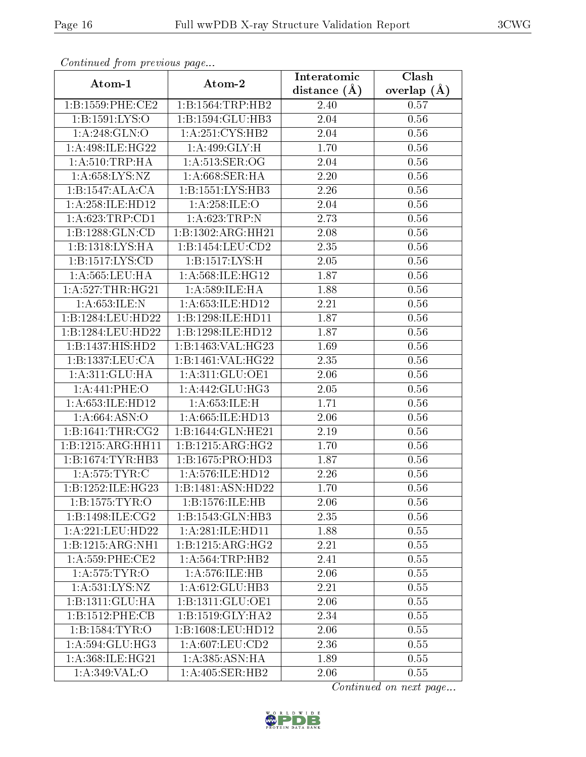|                      |                             | Interatomic       | Clash         |
|----------------------|-----------------------------|-------------------|---------------|
| Atom-1               | Atom-2                      | distance $(\AA)$  | overlap $(A)$ |
| 1: B: 1559: PHE: CE2 | 1:B:1564:TRP:HB2            | 2.40              | 0.57          |
| 1:B:1591:LYS:O       | 1:B:1594:GLU:HB3            | 2.04              | 0.56          |
| 1: A:248: GLN:O      | 1: A:251: CYS:HB2           | 2.04              | 0.56          |
| 1: A:498: ILE:HG22   | 1:A:499:GLY:H               | 1.70              | 0.56          |
| 1: A:510:TRP:HA      | 1: A:513: SER:OG            | 2.04              | 0.56          |
| 1: A:658: LYS: NZ    | 1: A:668:SER:HA             | 2.20              | 0.56          |
| 1:B:1547:ALA:CA      | 1:B:1551:LYS:HB3            | 2.26              | 0.56          |
| 1:A:258:ILE:HD12     | 1:A:258:ILE:O               | 2.04              | 0.56          |
| 1:A:623:TRP:CD1      | 1:A:623:TRP:N               | $\overline{2.73}$ | 0.56          |
| 1: B: 1288: GLN:CD   | 1:B:1302:ARG:HH21           | 2.08              | 0.56          |
| 1:B:1318:LYS:HA      | 1:B:1454:LEU:CD2            | 2.35              | 0.56          |
| 1: B: 1517: LYS: CD  | 1: B: 1517: LYS: H          | 2.05              | 0.56          |
| 1: A:565:LEU:HA      | 1: A:568: ILE: HG12         | 1.87              | 0.56          |
| 1: A:527:THR:HG21    | 1: A:589: ILE: HA           | 1.88              | 0.56          |
| 1: A:653: ILE:N      | 1: A:653: ILE: HD12         | 2.21              | 0.56          |
| 1:B:1284:LEU:HD22    | 1:B:1298:ILE:HD11           | 1.87              | $0.56\,$      |
| 1:B:1284:LEU:HD22    | 1:B:1298:ILE:HD12           | 1.87              | 0.56          |
| 1:B:1437:HIS:HD2     | 1:B:1463:VAL:HG23           | 1.69              | $0.56\,$      |
| 1:B:1337:LEU:CA      | 1:B:1461:VAL:HG22           | 2.35              | 0.56          |
| 1: A:311: GLU: HA    | 1: A:311: GLU:OE1           | 2.06              | 0.56          |
| 1: A:441: PHE:O      | 1: A:442: GLU:HG3           | 2.05              | 0.56          |
| 1:A:653:ILE:HD12     | 1:A:653:ILE:H               | 1.71              | 0.56          |
| 1: A:664: ASN:O      | 1: A:665: ILE: HD13         | 2.06              | 0.56          |
| 1:B:1641:THR:CG2     | 1:B:1644:GLN:HE21           | 2.19              | 0.56          |
| 1:B:1215:ARG:HH11    | 1:B:1215:ARG:HG2            | 1.70              | 0.56          |
| 1:B:1674:TYR:HB3     | 1:B:1675:PRO:HD3            | $\overline{1.87}$ | 0.56          |
| 1: A:575: TYR: C     | 1: A:576: ILE: HD12         | 2.26              | 0.56          |
| 1:B:1252:ILE:HG23    | 1:B:1481:ASN:HD22           | 1.70              | 0.56          |
| 1:B:1575:TYR:O       | 1:B:1576:ILE:HB             | 2.06              | 0.56          |
| 1:B:1498:ILE:CG2     | 1:B:1543:GLN:HB3            | 2.35              | 0.56          |
| 1:A:221:LEU:HD22     | 1: A:281: ILE: HDI1         | 1.88              | 0.55          |
| 1:B:1215:ARG:NH1     | 1:B:1215:ARG:HG2            | 2.21              | 0.55          |
| 1: A:559:PHE:CE2     | 1: A:564:TRP:HB2            | 2.41              | 0.55          |
| 1: A:575: TYR:O      | 1:A:576:ILE:HB              | 2.06              | 0.55          |
| 1: A: 531: LYS: NZ   | 1:A:612:GLU:HB3             | 2.21              | 0.55          |
| 1:B:1311:GLU:HA      | 1:B:1311:GLU:OE1            | 2.06              | 0.55          |
| 1:B:1512:PHE:CB      | 1:B:1519:GLY:HA2            | 2.34              | 0.55          |
| 1:B:1584:TYR:O       | 1:B:1608:LEU:HD12           | 2.06              | 0.55          |
| 1:A:594:GLU:HG3      | 1:A:607:LEU:CD2             | 2.36              | 0.55          |
| 1:A:368:ILE:HG21     | $1:A:385:\overline{ASN:HA}$ | 1.89              | 0.55          |
| 1:A:349:VAL:O        | 1:A:405:SER:HB2             | 2.06              | 0.55          |

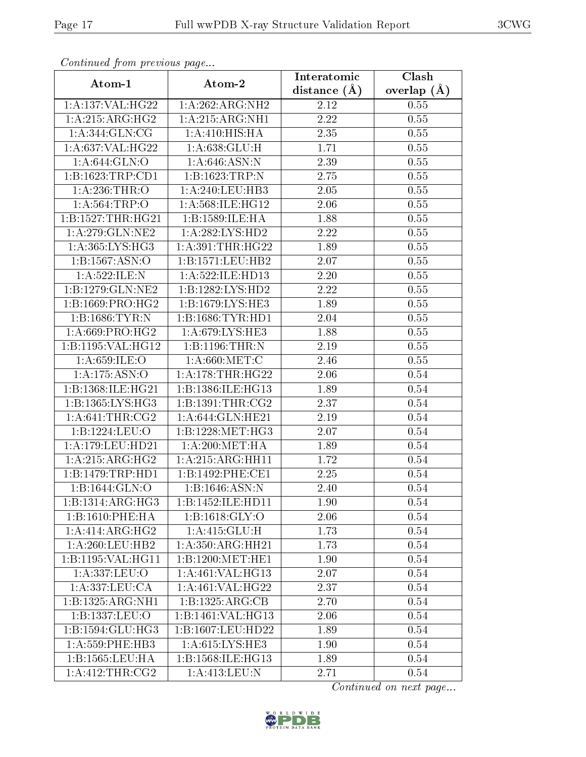| Contentaca from precious page     |                     | Interatomic      | Clash           |
|-----------------------------------|---------------------|------------------|-----------------|
| Atom-1                            | Atom-2              | distance $(\AA)$ | overlap $(\AA)$ |
| 1:A:137:VAL:HG22                  | 1:A:262:ARG:NH2     | 2.12             | 0.55            |
| 1: A: 215: ARG: HG2               | 1: A:215: ARG: NH1  | 2.22             | 0.55            |
| 1: A:344: GLN: CG                 | 1: A:410:HIS:HA     | 2.35             | 0.55            |
| 1: A:637: VAL:HG22                | 1: A:638: GLU: H    | 1.71             | 0.55            |
| 1: A:644: GLN:O                   | 1: A:646: ASN:N     | 2.39             | 0.55            |
| 1: B: 1623: TRP: CD1              | 1:B:1623:TRP:N      | 2.75             | 0.55            |
| 1:A:236:THR:O                     | 1:A:240:LEU:HB3     | 2.05             | 0.55            |
| 1: A:564:TRP:O                    | 1:A:568:ILE:HG12    | 2.06             | 0.55            |
| 1:B:1527:THR:HG21                 | 1:B:1589:ILE:HA     | 1.88             | 0.55            |
| 1: A:279: GLN:NE2                 | 1: A:282:LYS:HD2    | 2.22             | 0.55            |
| 1: A: 365: LYS: HG3               | 1: A:391:THR:HG22   | 1.89             | 0.55            |
| 1:B:1567:ASN:O                    | 1:B:1571:LEU:HB2    | 2.07             | 0.55            |
| 1: A:522: ILE:N                   | 1: A:522: ILE: HD13 | 2.20             | 0.55            |
| $1: B: 1279: GLN: \overline{NE2}$ | 1:B:1282:LYS:HD2    | 2.22             | 0.55            |
| 1:B:1669:PRO:HG2                  | 1:B:1679:LYS:HE3    | 1.89             | 0.55            |
| 1: B: 1686: TYR: N                | 1:B:1686:TYR:HDI    | 2.04             | 0.55            |
| 1: A:669: PRO:HG2                 | 1: A:679: LYS: HE3  | 1.88             | 0.55            |
| 1:B:1195:VAL:HG12                 | 1:B:1196:THR:N      | 2.19             | 0.55            |
| 1: A:659: ILE: O                  | 1: A:660:MET:C      | 2.46             | 0.55            |
| 1: A: 175: ASN: O                 | 1: A:178:THR:HG22   | 2.06             | 0.54            |
| 1:B:1368:ILE:HG21                 | 1:B:1386:ILE:HG13   | 1.89             | 0.54            |
| 1:B:1365:LYS:HG3                  | 1:B:1391:THR:CG2    | 2.37             | 0.54            |
| 1: A:641:THR:CG2                  | 1: A:644: GLN: HE21 | 2.19             | 0.54            |
| 1:B:1224:LEU:O                    | 1:B:1228:MET:HG3    | 2.07             | 0.54            |
| 1:A:179:LEU:HD21                  | 1: A:200:MET:HA     | 1.89             | 0.54            |
| 1: A: 215: ARG: HG2               | 1:A:215:ARG:HH11    | 1.72             | 0.54            |
| 1:B:1479:TRP:HD1                  | 1:B:1492:PHE:CE1    | 2.25             | 0.54            |
| 1:B:1644:GLN:O                    | 1:B:1646:ASN:N      | 2.40             | 0.54            |
| 1: B: 1314: ARG: HG3              | 1:B:1452:ILE:HD11   | 1.90             | 0.54            |
| 1:B:1610:PHE:HA                   | 1: B: 1618: GLY: O  | 2.06             | 0.54            |
| 1:A:414:ARG:HG2                   | 1: A: 415: GLU: H   | 1.73             | 0.54            |
| 1: A:260:LEU:HB2                  | 1:A:350:ARG:HH21    | 1.73             | 0.54            |
| 1:B:1195:VAL:HGI1                 | 1:B:1200:MET:HE1    | 1.90             | 0.54            |
| 1:A:337:LEU:O                     | 1:A:461:VAL:HG13    | 2.07             | 0.54            |
| 1:A:337:LEU:CA                    | 1:A:461:VAL:HG22    | 2.37             | 0.54            |
| 1:B:1325:ARG:NH1                  | 1:B:1325:ARG:CB     | 2.70             | 0.54            |
| 1:B:1337:LEU:O                    | 1:B:1461:VAL:HG13   | 2.06             | 0.54            |
| 1: B: 1594: GLU: HG3              | 1:B:1607:LEU:HD22   | 1.89             | 0.54            |
| $1: A:559:$ PHE:HB3               | 1: A:615:LYS:HE3    | 1.90             | 0.54            |
| 1:B:1565:LEU:HA                   | 1:B:1568:ILE:HG13   | 1.89             | 0.54            |
| 1:A:412:THR:CG2                   | 1:A:413:LEU:N       | 2.71             | 0.54            |

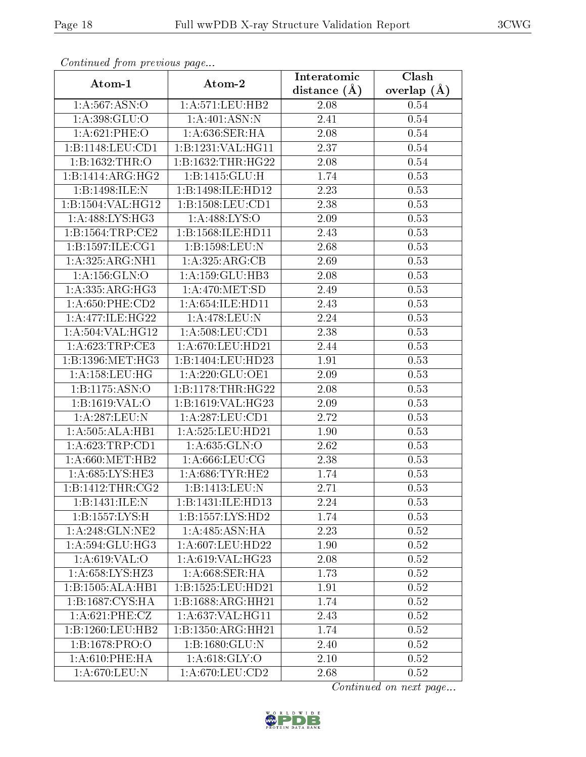| contentava promono ao pago |                                | Interatomic    | Clash         |
|----------------------------|--------------------------------|----------------|---------------|
| Atom-1                     | Atom-2                         | distance $(A)$ | overlap $(A)$ |
| 1: A:567: ASN:O            | 1:A:571:LEU:HB2                | 2.08           | 0.54          |
| 1: A: 398: GLU:O           | 1:A:401:ASN:N                  | 2.41           | 0.54          |
| 1: A:621:PHE:O             | 1: A:636:SER:HA                | 2.08           | 0.54          |
| 1:B:1148:LEU:CD1           | 1:B:1231:VAL:HG11              | 2.37           | $0.54\,$      |
| 1:B:1632:THR:O             | 1:B:1632:THR:HG22              | 2.08           | $0.54\,$      |
| 1:B:1414:ARG:HG2           | 1:B:1415:GLU:H                 | 1.74           | 0.53          |
| 1:B:1498:ILE:N             | 1:B:1498:ILE:HD12              | 2.23           | 0.53          |
| 1:B:1504:VAL:HG12          | 1: B: 1508: LEU: CD1           | 2.38           | 0.53          |
| 1:A:488:LYS:HG3            | 1:A:488:LYS:O                  | 2.09           | 0.53          |
| 1: B: 1564: TRP: CE2       | 1:B:1568:ILE:HD11              | 2.43           | 0.53          |
| 1:B:1597:ILE:CG1           | 1:B:1598:LEU:N                 | 2.68           | 0.53          |
| 1:A:325:ARG:NH1            | 1: A:325: ARG:CB               | 2.69           | 0.53          |
| 1:A:156:GLN:O              | 1:A:159:GLU:HB3                | 2.08           | 0.53          |
| 1:A:335:ARG:HG3            | 1: A:470:MET:SD                | 2.49           | 0.53          |
| $1: A:650:$ PHE: $CD2$     | 1: A:654: ILE: HDI1            | 2.43           | 0.53          |
| 1: A:477: ILE: HG22        | 1:A:478:LEU:N                  | 2.24           | 0.53          |
| 1: A: 504: VAL: HG12       | 1: A:508:LEU:CD1               | 2.38           | 0.53          |
| 1: A:623:TRP:CE3           | 1: A:670: LEU: HD21            | 2.44           | 0.53          |
| 1:B:1396:MET:HG3           | 1:B:1404:LEU:HD23              | 1.91           | 0.53          |
| 1: A: 158: LEU: HG         | 1: A:220: GLU:OE1              | 2.09           | 0.53          |
| 1:B:1175:ASN:O             | 1:B:1178:THR:HG22              | 2.08           | 0.53          |
| 1:B:1619:VAL:O             | 1:B:1619:VAL:HG23              | 2.09           | 0.53          |
| 1:A:287:LEU:N              | 1: A:287:LEU:CD1               | 2.72           | 0.53          |
| 1:A:505:ALA:HB1            | 1:A:525:LEU:HD21               | 1.90           | 0.53          |
| 1:A:623:TRP:CD1            | 1: A:635: GLN:O                | 2.62           | 0.53          |
| 1: A:660:MET:HB2           | 1: A:666:LEU:CG                | 2.38           | 0.53          |
| 1:A:685:LYS:HE3            | 1: A:686:TYR:HE2               | 1.74           | 0.53          |
| 1:B:1412:THR:CG2           | 1:B:1413:LEU:N                 | 2.71           | 0.53          |
| 1:B:1431:ILE:N             | 1:B:1431:ILE:HD13              | 2.24           | 0.53          |
| 1:B:1557:LYS:H             | 1:B:1557:LYS:HD2               | 1.74           | 0.53          |
| 1: A:248: GLN:NE2          | 1: A:485: ASN: HA              | 2.23           | 0.52          |
| 1: A:594: GLU:HG3          | 1: A:607:LEU:HD22              | 1.90           | 0.52          |
| 1: A:619: VAL:O            | 1:A:619:VAL:HG23               | 2.08           | 0.52          |
| 1:A:658:LYS:HZ3            | $1: A:668$ : SER: HA           | 1.73           | 0.52          |
| 1:B:1505:ALA:HB1           | 1:B:1525:LEU:HD21              | 1.91           | 0.52          |
| 1:B:1687:CYS:HA            | $1:B:1688:A\overline{RG:HH21}$ | 1.74           | 0.52          |
| 1: A:621:PHE:CZ            | 1:A:637:VAL:HG11               | 2.43           | 0.52          |
| 1:B:1260:LEU:HB2           | $1:B:1350:AR\overline{G:HH21}$ | 1.74           | 0.52          |
| 1:B:1678:PRO:O             | 1:B:1680:GLU:N                 | 2.40           | 0.52          |
| 1: A:610: PHE: HA          | 1: A:618: GLY:O                | 2.10           | 0.52          |
| 1:A:670:LEU:N              | $1: A:670:LEU:$ CD2            | 2.68           | 0.52          |

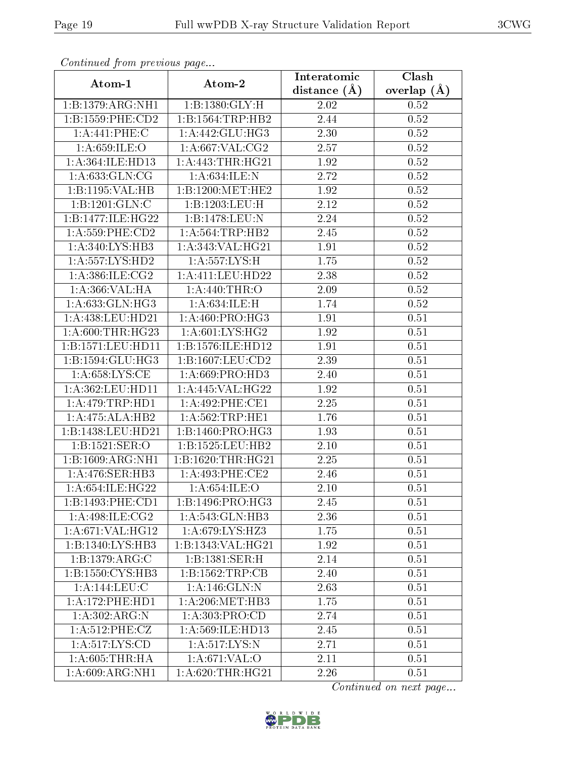|                               |                      | Interatomic      | Clash         |
|-------------------------------|----------------------|------------------|---------------|
| Atom-1                        | Atom-2               | distance $(\AA)$ | overlap $(A)$ |
| 1:B:1379:ARG:NH1              | 1:B:1380:GLY:H       | 2.02             | 0.52          |
| 1:B:1559:PHE:CD2              | 1:B:1564:TRP:HB2     | 2.44             | 0.52          |
| 1:A:441:PHE:C                 | 1: A:442: GLU:HG3    | 2.30             | 0.52          |
| 1: A:659: ILE: O              | 1: A:667: VAL: CG2   | 2.57             | 0.52          |
| 1:A:364:ILE:HD13              | 1: A:443:THR:HG21    | 1.92             | 0.52          |
| 1: A:633: GLN: CG             | 1: A:634: ILE:N      | 2.72             | 0.52          |
| 1:B:1195:VAL:HB               | 1:B:1200:MET:HE2     | 1.92             | 0.52          |
| 1:B:1201:GLN:C                | 1:B:1203:LEU:H       | 2.12             | 0.52          |
| 1:B:1477:ILE:HG22             | 1:B:1478:LEU:N       | 2.24             | 0.52          |
| 1: A: 559: PHE: CD2           | 1:A:564:TRP:HB2      | 2.45             | 0.52          |
| 1: A:340: LYS: HB3            | 1:A:343:VAL:HG21     | 1.91             | 0.52          |
| 1: A: 557: LYS: HD2           | 1: A: 557: LYS: H    | 1.75             | 0.52          |
| 1: A:386: ILE: CG2            | 1: A: 411: LEU: HD22 | 2.38             | 0.52          |
| 1: A:366: VAL:HA              | 1: A:440:THR:O       | 2.09             | 0.52          |
| 1: A:633: GLN: HG3            | 1:A:634:ILE:H        | 1.74             | 0.52          |
| 1:A:438:LEU:HD21              | 1: A:460: PRO:HG3    | 1.91             | 0.51          |
| 1: A:600:THR:HG23             | 1: A:601:LYS:HG2     | 1.92             | 0.51          |
| 1:B:1571:LEU:HD11             | 1:B:1576:ILE:HD12    | 1.91             | 0.51          |
| 1:B:1594:GLU:HG3              | 1:B:1607:LEU:CD2     | 2.39             | 0.51          |
| 1: A:658:LYS:CE               | 1: A:669: PRO:HD3    | 2.40             | 0.51          |
| 1:A:362:LEU:HD11              | 1:A:445:VAL:HG22     | 1.92             | 0.51          |
| 1: A:479:TRP:HD1              | 1:A:492:PHE:CE1      | 2.25             | 0.51          |
| 1:A:475:ALA:HB2               | 1: A:562:TRP:HE1     | 1.76             | 0.51          |
| 1:B:1438:LEU:HD21             | 1:B:1460:PRO:HG3     | 1.93             | 0.51          |
| 1:B:1521:SER:O                | 1:B:1525:LEU:HB2     | 2.10             | 0.51          |
| 1:B:1609:ARG:NH1              | 1:B:1620:THR:HG21    | 2.25             | 0.51          |
| 1:A:476:SER:HB3               | 1:A:493:PHE:CE2      | 2.46             | 0.51          |
| 1: A:654: ILE:HG22            | 1: A:654: ILE: O     | 2.10             | 0.51          |
| 1:B:1493:PHE:CD1              | 1:B:1496:PRO:HG3     | 2.45             | 0.51          |
| 1:A:498:ILE:CG2               | 1: A:543: GLN:HB3    | 2.36             | 0.51          |
| 1:A:671:VAL:HG12              | 1: A:679: LYS: HZ3   | 1.75             | $0.51\,$      |
| $1:B:1340:LYS:H\overline{B3}$ | 1:B:1343:VAL:HG21    | 1.92             | 0.51          |
| 1:B:1379:ARG:C                | 1:B:1381:SER:H       | 2.14             | 0.51          |
| 1:B:1550:CYS:HB3              | 1:B:1562:TRP:CB      | 2.40             | 0.51          |
| 1:A:144:LEU:C                 | 1:A:146:GLN:N        | 2.63             | 0.51          |
| 1:A:172:PHE:HD1               | 1: A:206:MET:HB3     | 1.75             | 0.51          |
| $1:A:302.\overline{ARG:N}$    | 1:A:303:PRO:CD       | 2.74             | 0.51          |
| 1:A:512:PHE:CZ                | 1:A:569:ILE:HD13     | 2.45             | 0.51          |
| 1: A: 517: LYS: CD            | 1: A:517: LYS:N      | 2.71             | 0.51          |
| 1: A:605:THR:HA               | 1: A:671: VAL:O      | 2.11             | 0.51          |
| 1:A:609:ARG:NH1               | 1: A:620:THR:HG21    | 2.26             | 0.51          |

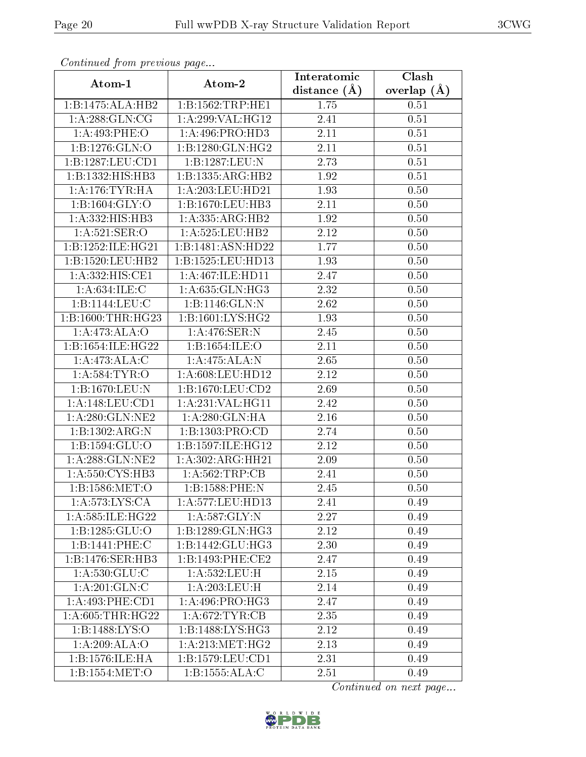| contentava promo provisão pago |                              | Interatomic      | Clash         |
|--------------------------------|------------------------------|------------------|---------------|
| Atom-1                         | Atom-2                       | distance $(\AA)$ | overlap $(A)$ |
| 1:B:1475:ALA:HB2               | 1:B:1562:TRP:HE1             | 1.75             | 0.51          |
| 1: A:288: GLN:CG               | 1:A:299:VAL:H <sub>G12</sub> | 2.41             | 0.51          |
| 1:A:493:PHE:O                  | 1:A:496:PRO:HD3              | 2.11             | 0.51          |
| 1:B:1276:GLN:O                 | 1:B:1280:GLN:HG2             | 2.11             | 0.51          |
| 1:B:1287:LEU:CD1               | 1:B:1287:LEU:N               | 2.73             | 0.51          |
| 1:B:1332:HIS:HB3               | 1:B:1335:ARG:HB2             | 1.92             | 0.51          |
| 1: A:176:TYR:HA                | 1:A:203:LEU:HD21             | 1.93             | 0.50          |
| 1: B: 1604: GLY:O              | 1:B:1670:LEU:HB3             | 2.11             | 0.50          |
| 1:A:332:HIS:HB3                | 1: A: 335: ARG: HB2          | 1.92             | 0.50          |
| 1: A:521: SER:O                | 1:A:525:LEU:HB2              | 2.12             | 0.50          |
| 1:B:1252:ILE:HG21              | 1:B:1481:ASN:HD22            | 1.77             | 0.50          |
| 1:B:1520:LEU:HB2               | 1:B:1525:LEU:HD13            | 1.93             | 0.50          |
| 1:A:332:HIS:CE1                | 1: A:467: ILE: HDI1          | 2.47             | 0.50          |
| 1: A:634: ILE:C                | 1: A:635: GLN: HG3           | 2.32             | 0.50          |
| 1:B:1144:LEU:C                 | 1: B: 1146: GLN: N           | 2.62             | 0.50          |
| 1:B:1600:THR:HG23              | 1:B:1601:LYS:HG2             | 1.93             | 0.50          |
| 1:A:473:ALA:O                  | 1:A:476:SER:N                | 2.45             | 0.50          |
| 1:B:1654:ILE:HG22              | 1:B:1654:ILE:O               | 2.11             | 0.50          |
| $1:A:473.\overline{ALA:C}$     | 1:A:475:ALA:N                | 2.65             | 0.50          |
| 1: A:584:TYR:O                 | 1: A:608:LEU:HD12            | 2.12             | 0.50          |
| 1:B:1670:LEU:N                 | 1:B:1670:LEU:CD2             | 2.69             | 0.50          |
| 1: A:148:LEU:CD1               | 1:A:231:VAL:HG11             | 2.42             | 0.50          |
| 1: A:280: GLN:NE2              | 1: A:280: GLN: HA            | 2.16             | 0.50          |
| 1:B:1302:ARG:N                 | 1:B:1303:PRO:CD              | 2.74             | 0.50          |
| 1:B:1594:GLU:O                 | 1:B:1597:ILE:HG12            | 2.12             | 0.50          |
| 1:A:288:GLN:NE2                | 1:A:302:ARG:HH21             | 2.09             | 0.50          |
| 1: A:550: CYS:HB3              | 1:A:562:TRP:CB               | 2.41             | 0.50          |
| 1:B:1586:MET:O                 | 1:B:1588:PHE:N               | 2.45             | 0.50          |
| 1: A:573:LYS:CA                | 1:A:577:LEU:HD13             | 2.41             | 0.49          |
| 1:A:585:ILE:HG22               | 1: A:587: GLY:N              | 2.27             | 0.49          |
| 1:B:1285:GLU:O                 | 1:B:1289:GLN:HG3             | 2.12             | 0.49          |
| 1:B:1441:PHE:C                 | 1:B:1442:GLU:HG3             | 2.30             | 0.49          |
| 1:B:1476:SER:HB3               | 1:B:1493:PHE:CE2             | 2.47             | 0.49          |
| 1:A:530:GLU:C                  | 1:A:532:LEU:H                | 2.15             | 0.49          |
| 1:A:201:GLN:C                  | 1:A:203:LEU:H                | 2.14             | 0.49          |
| 1:A:493:PHE:CD1                | 1: A:496: PRO:HG3            | 2.47             | 0.49          |
| 1: A:605:THR:HG22              | 1: A:672:TYR:CB              | 2.35             | 0.49          |
| 1:B:1488:LYS:O                 | 1:B:1488:LYS:HG3             | 2.12             | 0.49          |
| 1:A:209:ALA:O                  | 1: A:213:MET:HG2             | 2.13             | 0.49          |
| 1:B:1576:ILE:HA                | 1: B: 1579: LEU: CD1         | 2.31             | 0.49          |
| 1:B:1554:MET:O                 | 1:B:1555:ALA:C               | 2.51             | 0.49          |

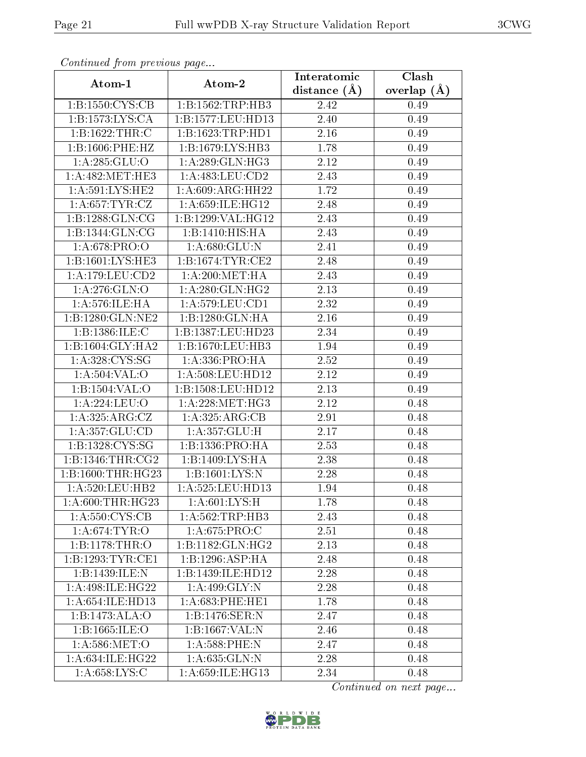|                             |                              | Interatomic    | $\overline{\text{Clash}}$ |
|-----------------------------|------------------------------|----------------|---------------------------|
| Atom-1                      | Atom-2                       | distance $(A)$ | overlap $(\AA)$           |
| 1:B:1550:CYS:CB             | 1:B:1562:TRP:HB3             | 2.42           | 0.49                      |
| 1: B: 1573: LYS: CA         | 1:B:1577:LEU:HD13            | 2.40           | 0.49                      |
| 1:B:1622:THR:C              | 1:B:1623:TRP:HD1             | 2.16           | 0.49                      |
| 1:B:1606:PHE:HZ             | 1:B:1679:LYS:HB3             | 1.78           | 0.49                      |
| 1:A:285:GLU:O               | 1: A:289: GLN: HG3           | 2.12           | 0.49                      |
| 1: A:482: MET:HE3           | 1:A:483:LEU:CD2              | 2.43           | 0.49                      |
| 1: A:591: LYS: HE2          | 1:A:609:ARG:HH22             | 1.72           | 0.49                      |
| 1:A:657:TYR:CZ              | 1:A:659:ILE:HG12             | 2.48           | 0.49                      |
| 1: B: 1288: GLN: CG         | 1:B:1299:VAL:HG12            | 2.43           | 0.49                      |
| 1: B: 1344: GLN: CG         | 1: B: 1410: HIS: HA          | 2.43           | 0.49                      |
| 1: A:678: PRO:O             | 1: A:680: GLU: N             | 2.41           | 0.49                      |
| 1:B:1601:LYS:HE3            | 1:B:1674:TYR:CE2             | 2.48           | 0.49                      |
| 1:A:179:LEU:CD2             | 1: A:200:MET:HA              | 2.43           | 0.49                      |
| $1: A:276:\overline{GLN:O}$ | 1: A:280: GLN: HG2           | 2.13           | 0.49                      |
| 1:A:576:ILE:HA              | 1:A:579:LEU:CD1              | 2.32           | 0.49                      |
| 1:B:1280:GLN:NE2            | 1:B:1280:GLN:HA              | 2.16           | 0.49                      |
| 1:B:1386:ILE:C              | 1:B:1387:LEU:HD23            | 2.34           | 0.49                      |
| 1:B:1604:GLY:HA2            | 1:B:1670:LEU:HB3             | 1.94           | 0.49                      |
| 1: A:328: CYS:SG            | 1: A: 336: PRO: HA           | 2.52           | 0.49                      |
| 1: A:504:VAL:O              | 1: A:508:LEU:HD12            | 2.12           | 0.49                      |
| 1:B:1504:VAL:O              | $1:$ B:1508:LEU:HD12         | 2.13           | 0.49                      |
| 1:A:224:LEU:O               | 1: A:228:MET:HG3             | 2.12           | 0.48                      |
| 1: A:325: ARG: CZ           | 1: A:325: ARG:CB             | 2.91           | 0.48                      |
| 1: A: 357: GLU: CD          | 1:A:357:GLU:H                | 2.17           | 0.48                      |
| 1:B:1328:CYS:SG             | 1: B: 1336: PRO: HA          | 2.53           | 0.48                      |
| 1:B:1346:THR:CG2            | 1:B:1409:LYS:HA              | 2.38           | 0.48                      |
| 1:B:1600:THR:HG23           | 1:B:1601:LYS:N               | 2.28           | 0.48                      |
| 1: A:520:LEU:HB2            | 1:A:525:LEU:HD13             | 1.94           | 0.48                      |
| 1: A:600:THR:HG23           | 1: A:601:LYS:H               | 1.78           | 0.48                      |
| 1: A:550: CYS:CB            | $1:A:562:TRP:\overline{HB3}$ | 2.43           | 0.48                      |
| 1: A:674:TYR:O              | 1: A:675: PRO:C              | 2.51           | 0.48                      |
| 1:B:1178:THR:O              | 1:B:1182:GLN:HG2             | 2.13           | 0.48                      |
| 1:B:1293:TYR:CE1            | 1:B:1296:ASP:HA              | 2.48           | 0.48                      |
| 1:B:1439:ILE:N              | 1:B:1439:ILE:HD12            | 2.28           | 0.48                      |
| 1: A:498: ILE:HG22          | 1:A:499:GLY:N                | 2.28           | 0.48                      |
| 1: A:654: ILE: HD13         | $1: A:683:$ PHE:HE1          | 1.78           | 0.48                      |
| 1:B:1473:ALA:O              | 1:B:1476:SER:N               | 2.47           | 0.48                      |
| 1:B:1665:ILE:O              | 1:B:1667:VAL:N               | 2.46           | 0.48                      |
| 1: A:586: MET:O             | 1:A:588:PHE:N                | 2.47           | 0.48                      |
| 1: A:634: ILE: HG22         | 1:A:635:GLN:N                | 2.28           | 0.48                      |
| 1: A:658: LYS:C             | 1:A:659:ILE:HG13             | 2.34           | 0.48                      |

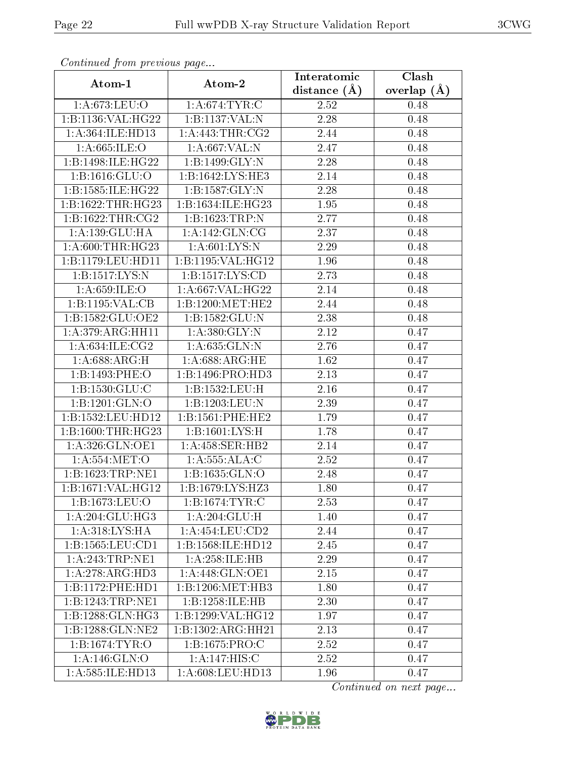| $P$ is a set of $P$ is a set of $P$ is a set of $P$ is a set of $P$ is a set of $P$ is a set of $P$ |                                 | Interatomic      | Clash         |  |
|-----------------------------------------------------------------------------------------------------|---------------------------------|------------------|---------------|--|
| Atom-1                                                                                              | Atom-2                          | distance $(\AA)$ | overlap $(A)$ |  |
| 1: A:673:LEU:O                                                                                      | 1: A:674:TYR:C                  | 2.52             | 0.48          |  |
| 1:B:1136:VAL:HG22                                                                                   | 1:B:1137:VAL:N                  | 2.28             | 0.48          |  |
| 1:A:364:ILE:HD13                                                                                    | 1: A:443:THR:CG2                | 2.44             | 0.48          |  |
| 1: A:665: ILE: O                                                                                    | 1:A:667:VAL:N                   | 2.47             | 0.48          |  |
| 1:B:1498:ILE:HG22                                                                                   | 1:B:1499:GLY:N                  | 2.28             | 0.48          |  |
| 1: B: 1616: GLU: O                                                                                  | 1:B:1642:LYS:HE3                | 2.14             | 0.48          |  |
| 1:B:1585:ILE:HG22                                                                                   | 1: B: 1587: GLY: N              | 2.28             | 0.48          |  |
| 1:B:1622:THR:HG23                                                                                   | 1:B:1634:ILE:HG23               | 1.95             | 0.48          |  |
| 1: B: 1622: THR: CG2                                                                                | 1:B:1623:TRP:N                  | 2.77             | 0.48          |  |
| 1:A:139:GLU:HA                                                                                      | 1: A:142: GLN: CG               | 2.37             | 0.48          |  |
| 1: A:600:THR:HG23                                                                                   | 1: A:601:LYS:N                  | 2.29             | 0.48          |  |
| 1:B:1179:LEU:HD11                                                                                   | 1:B:1195:VAL:HG12               | 1.96             | 0.48          |  |
| 1: B: 1517: LYS: N                                                                                  | 1:B:1517:LYS:CD                 | 2.73             | 0.48          |  |
| 1: A:659: ILE: O                                                                                    | 1:A:667:VAL:HG22                | 2.14             | 0.48          |  |
| 1:B:1195:VAL:CB                                                                                     | 1:B:1200:MET:HE2                | 2.44             | 0.48          |  |
| 1:B:1582:GLU:OE2                                                                                    | 1: B: 1582: GLU:N               | 2.38             | 0.48          |  |
| 1: A:379: ARG: HH11                                                                                 | 1: A:380: GLY:N                 | 2.12             | 0.47          |  |
| 1: A:634: ILE: CG2                                                                                  | 1:A:635:GLN:N                   | 2.76             | 0.47          |  |
| 1: A:688:ARG:H                                                                                      | 1: A:688:ARG:HE                 | 1.62             | 0.47          |  |
| 1:B:1493:PHE:O                                                                                      | 1:B:1496:PRO:HD3                | 2.13             | 0.47          |  |
| 1: B: 1530: GLU: C                                                                                  | 1:B:1532:LEU:H                  | 2.16             | 0.47          |  |
| 1:B:1201:GLN:O                                                                                      | 1:B:1203:LEU:N                  | 2.39             | 0.47          |  |
| 1:B:1532:LEU:HD12                                                                                   | 1:B:1561:PHE:HE2                | 1.79             | 0.47          |  |
| 1:B:1600:THR:HG23                                                                                   | 1:B:1601:LYS:H                  | 1.78             | 0.47          |  |
| 1: A:326: GLN:OE1                                                                                   | 1: A: 458: SER: HB2             | 2.14             | 0.47          |  |
| 1:A:554:MET:O                                                                                       | 1:A:555:ALA:C                   | 2.52             | 0.47          |  |
| 1:B:1623:TRP:NE1                                                                                    | 1:B:1635:GLN:O                  | 2.48             | 0.47          |  |
| 1:B:1671:VAL:HG12                                                                                   | 1:B:1679:LYS:HZ3                | 1.80             | 0.47          |  |
| 1:B:1673:LEU:O                                                                                      | 1:B:1674:TYR:C                  | 2.53             | 0.47          |  |
| 1: A:204: GLU:HG3                                                                                   | 1: A:204: GLU: H                | 1.40             | 0.47          |  |
| 1: A:318: LYS: HA                                                                                   | 1: A: 454: LEU: CD2             | 2.44             | 0.47          |  |
| 1:B:1565:LEU:CD1                                                                                    | 1:B:1568:ILE:HD12               | 2.45             | 0.47          |  |
| 1: A:243:TRP:NE1                                                                                    | 1:A:258:ILE:HB                  | 2.29             | 0.47          |  |
| 1:A:278:ARG:HD3                                                                                     | 1: A:448: GLN:OE1               | 2.15             | 0.47          |  |
| 1:B:1172:PHE:HD1                                                                                    | 1:B:1206:MET:HB3                | 1.80             | 0.47          |  |
| 1:B:1243:TRP:NE1                                                                                    | 1:B:1258:ILE:HB                 | 2.30             | 0.47          |  |
| 1:B:1288:GLN:HG3                                                                                    | 1:B:1299:VAL:HG12               | 1.97             | 0.47          |  |
| 1:B:1288:GLN:NE2                                                                                    | 1:B:1302:ARG:HH21               | 2.13             | 0.47          |  |
| 1:B:1674:TYR:O                                                                                      | 1:B:1675:PRO:C                  | 2.52             | 0.47          |  |
| 1:A:146:GLN:O                                                                                       | 1:A:147:HIS:C                   | 2.52             | 0.47          |  |
| 1:A:585:ILE:HD13                                                                                    | $1: A:608: \overline{LEU:HD13}$ | 1.96             | 0.47          |  |

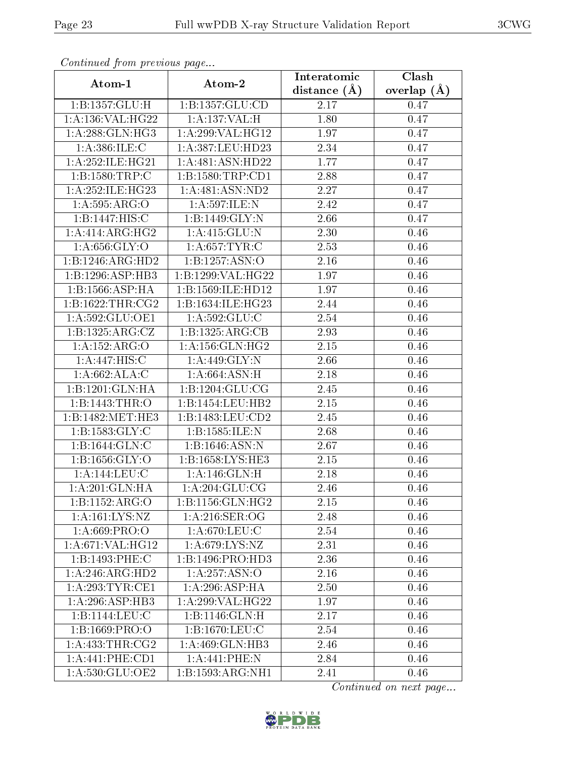| $\sum_{i=1}^{n}$<br>Atom-1   | Atom-2                               | Interatomic    | Clash         |  |
|------------------------------|--------------------------------------|----------------|---------------|--|
|                              |                                      | distance $(A)$ | overlap $(A)$ |  |
| 1:B:1357:GLU:H               | 1:B:1357:GLU:CD                      | 2.17           | 0.47          |  |
| 1:A:136:VAL:HG22             | 1:A:137:VAL:H                        | 1.80           | 0.47          |  |
| 1: A:288: GLN:HG3            | 1:A:299:VAL:HG12                     | 1.97           | 0.47          |  |
| 1: A:386: ILE:C              | 1: A: 387: LEU: HD23                 | 2.34           | 0.47          |  |
| 1: A:252: ILE:HG21           | 1:A:481:ASN:HD22                     | 1.77           | 0.47          |  |
| 1:B:1580:TRP:C               | 1:B:1580:TRP:CD1                     | 2.88           | 0.47          |  |
| 1: A:252: ILE:HG23           | 1: A:481: ASN:ND2                    | 2.27           | 0.47          |  |
| 1: A:595: ARG:O              | 1:A:597:ILE:N                        | 2.42           | 0.47          |  |
| 1:B:1447:HIS:C               | 1:B:1449:GLY:N                       | 2.66           | 0.47          |  |
| 1: A:414: ARG: HG2           | 1: A:415: GLU:N                      | 2.30           | 0.46          |  |
| 1: A:656: GLY:O              | 1: A:657:TYR:C                       | 2.53           | 0.46          |  |
| 1:B:1246:ARG:HD2             | 1:B:1257:ASN:O                       | $2.16\,$       | 0.46          |  |
| 1:B:1296:ASP:HB3             | $1:$ B:1299:VAL:HG22                 | 1.97           | 0.46          |  |
| 1:B:1566:ASP:HA              | 1:B:1569:ILE:HD12                    | 1.97           | 0.46          |  |
| 1: B: 1622: THR: CG2         | 1:B:1634:ILE:HG23                    | 2.44           | 0.46          |  |
| 1:A:592:GLU:OE1              | 1: A:592: GLU: C                     | 2.54           | 0.46          |  |
| 1:B:1325:ARG:CZ              | 1:B:1325:ARG:CB                      | 2.93           | 0.46          |  |
| 1:A:152:ARG:O                | 1: A: 156: GLN: HG2                  | 2.15           | 0.46          |  |
| 1:A:447:HIS:C                | 1: A:449: GLY:N                      | $2.66\,$       | 0.46          |  |
| 1:A:662:ALA:C                | 1: A:664: ASN:H                      | 2.18           | 0.46          |  |
| $1:B:1201:GLN:\overline{HA}$ | 1: B: 1204: GLU: CG                  | 2.45           | 0.46          |  |
| 1:B:1443:THR:O               | 1:B:1454:LEU:HB2                     | 2.15           | 0.46          |  |
| 1:B:1482:MET:HE3             | 1:B:1483:LEU:CD2                     | 2.45           | 0.46          |  |
| 1:B:1583:GLY:C               | 1:B:1585:ILE:N                       | 2.68           | 0.46          |  |
| 1:B:1644:GLN:C               | 1: B: 1646: ASN: N                   | 2.67           | 0.46          |  |
| 1: B: 1656: GLY:O            | 1:B:1658:LYS:HE3                     | 2.15           | 0.46          |  |
| 1:A:144:LEU:C                | 1: A:146: GLN:H                      | 2.18           | 0.46          |  |
| 1: A:201: GLN: HA            | 1: A:204: GLU:CG                     | 2.46           | 0.46          |  |
| 1:B:1152:ARG:O               | 1: B: 1156: GLN: HG2                 | 2.15           | 0.46          |  |
| 1: A: 161: LYS: NZ           | 1: A:216: SER:OG                     | 2.48           | 0.46          |  |
| 1: A:669: PRO:O              | 1: A:670: LEU: C                     | 2.54           | 0.46          |  |
| 1: A:671:VAL:HG12            | 1: A:679: LYS: NZ                    | 2.31           | 0.46          |  |
| 1:B:1493:PHE:C               | 1:B:1496:PRO:HD3                     | 2.36           | 0.46          |  |
| 1:A:246:ARG:HD2              | 1: A:257:ASN:O                       | 2.16           | 0.46          |  |
| 1:A:293:TYR:CE1              | 1:A:296:ASP:HA                       | 2.50           | 0.46          |  |
| 1:A:296:ASP:HB3              | $1:A:299:\overline{\text{VAL}:HG22}$ | 1.97           | 0.46          |  |
| 1:B:1144:LEU:C               | 1:B:1146:GLN:H                       | 2.17           | 0.46          |  |
| 1:B:1669:PRO:O               | 1:B:1670:LEU:C                       | 2.54           | 0.46          |  |
| 1:A:433:THR:CG2              | 1:A:469:GLN:HB3                      | 2.46           | 0.46          |  |
| 1:A:441:PHE:CD1              | 1:A:441:PHE:N                        | 2.84           | 0.46          |  |
| 1:A:530:GLU:OE2              | 1:B:1593:ARG:NH1                     | 2.41           | 0.46          |  |

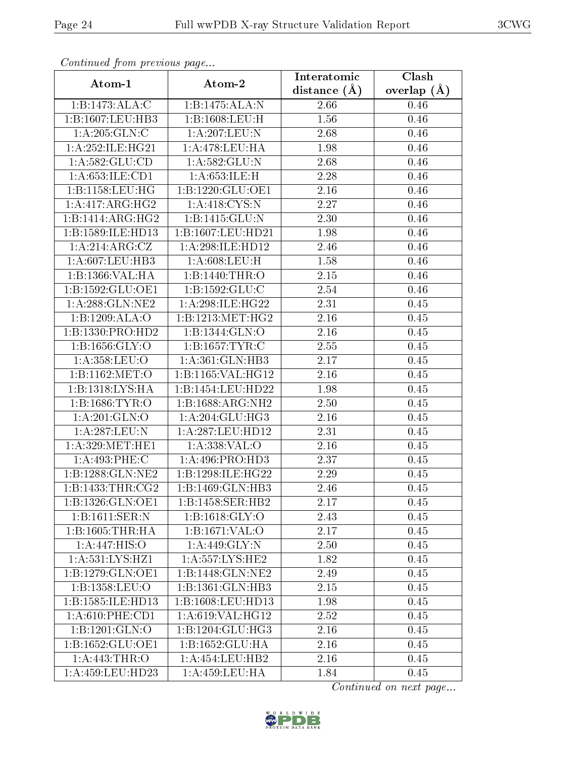| Contentaca from precious page |                               | Interatomic    | $\overline{\text{Clash}}$ |  |
|-------------------------------|-------------------------------|----------------|---------------------------|--|
| Atom-1                        | Atom-2                        | distance $(A)$ | overlap $(A)$             |  |
| 1:B:1473:ALA:C                | 1:B:1475:ALA:N                | 2.66           | 0.46                      |  |
| 1:B:1607:LEU:HB3              | 1:B:1608:LEU:H                | 1.56           | 0.46                      |  |
| 1: A:205: GLN:C               | 1:A:207:LEU:N                 | 2.68           | 0.46                      |  |
| 1: A:252: ILE:HG21            | 1: A:478:LEU:HA               | 1.98           | 0.46                      |  |
| 1: A: 582: GLU: CD            | 1:A:582:GLU:N                 | 2.68           | 0.46                      |  |
| 1:A:653:ILE:CD1               | 1: A:653: ILE:H               | 2.28           | 0.46                      |  |
| 1:B:1158:LEU:HG               | 1:B:1220:GLU:OE1              | 2.16           | $0.46\,$                  |  |
| 1:A:417:ARG:HG2               | 1: A:418: CYS:N               | 2.27           | 0.46                      |  |
| 1:B:1414:ARG:HG2              | 1:B:1415:GLU:N                | 2.30           | 0.46                      |  |
| 1:B:1589:ILE:HD13             | 1:B:1607:LEU:HD21             | 1.98           | 0.46                      |  |
| 1:A:214:ARG:CZ                | 1:A:298:ILE:HD12              | 2.46           | 0.46                      |  |
| 1: A:607:LEU:HB3              | 1: A:608:LEU:H                | 1.58           | 0.46                      |  |
| 1:B:1366:VAL:HA               | 1:B:1440:THR:O                | 2.15           | 0.46                      |  |
| 1:B:1592:GLU:OE1              | 1: B: 1592: GLU: C            | 2.54           | 0.46                      |  |
| 1: A:288: GLN:NE2             | 1:A:298:ILE:HG22              | 2.31           | 0.45                      |  |
| 1:B:1209:ALA:O                | 1:B:1213:MET:HG2              | 2.16           | 0.45                      |  |
| 1:B:1330:PRO:HD2              | 1:B:1344:GLN:O                | 2.16           | 0.45                      |  |
| 1: B: 1656: GLY:O             | 1:B:1657:TYR:C                | 2.55           | 0.45                      |  |
| 1: A:358:LEU:O                | 1: A:361: GLN:HB3             | 2.17           | 0.45                      |  |
| 1:B:1162:MET:O                | 1:B:1165:VAL:HG12             | 2.16           | 0.45                      |  |
| 1:B:1318:LYS:HA               | 1:B:1454:LEU:HD22             | 1.98           | 0.45                      |  |
| 1:B:1686:TYR:O                | 1:B:1688:ARG:NH2              | 2.50           | 0.45                      |  |
| 1: A:201: GLN:O               | 1: A:204: GLU:HG3             | 2.16           | 0.45                      |  |
| 1:A:287:LEU:N                 | 1:A:287:LEU:HD12              | 2.31           | 0.45                      |  |
| 1: A:329: MET:HE1             | 1:A:338:VAL:O                 | 2.16           | 0.45                      |  |
| 1:A:493:PHE:C                 | 1: A:496: PRO:HD3             | 2.37           | 0.45                      |  |
| 1:B:1288:GLN:NE2              | 1:B:1298:ILE:HG22             | 2.29           | 0.45                      |  |
| 1: B: 1433: THR: CG2          | 1:B:1469:GLN:HB3              | 2.46           | 0.45                      |  |
| 1:B:1326:GLN:OE1              | 1:B:1458:SER:HB2              | 2.17           | 0.45                      |  |
| 1:B:1611:SER:N                | 1: B: 1618: GLY: O            | 2.43           | 0.45                      |  |
| 1:B:1605:THR:HA               | 1:B:1671:VAL:O                | 2.17           | 0.45                      |  |
| 1:A:447:HIS:O                 | 1:A:449:GLY:N                 | 2.50           | 0.45                      |  |
| 1: A: 531: LYS: HZ1           | 1: A: 557: LYS: HE2           | 1.82           | 0.45                      |  |
| 1:B:1279:GLN:OE1              | 1:B:1448:GLN:NE2              | 2.49           | 0.45                      |  |
| 1:B:1358:LEU:O                | $1:B:1361:GLN:H\overline{B3}$ | 2.15           | 0.45                      |  |
| 1:B:1585:ILE:HD13             | 1:B:1608:LEU:HD13             | 1.98           | 0.45                      |  |
| 1: A:610: PHE:CD1             | 1:A:619:VAL:HG12              | 2.52           | 0.45                      |  |
| 1:B:1201:GLN:O                | 1:B:1204:GLU:HG3              | 2.16           | 0.45                      |  |
| 1:B:1652:GLU:OE1              | 1:B:1652:GLU:HA               | $2.16\,$       | 0.45                      |  |
| 1: A:443:THR:O                | 1:A:454:LEU:HB2               | 2.16           | 0.45                      |  |
| 1:A:459:LEU:HD23              | 1:A:459:LEU:HA                | 1.84           | 0.45                      |  |

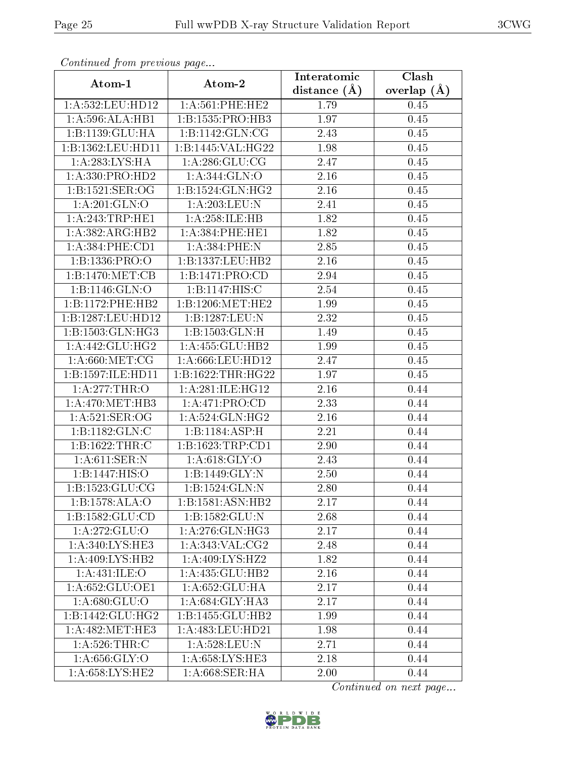| Atom-1                     |                     | Interatomic       | $\overline{\text{Clash}}$ |  |
|----------------------------|---------------------|-------------------|---------------------------|--|
|                            | Atom-2              | distance $(\AA)$  | overlap $(A)$             |  |
| 1: A: 532: LEU: HD12       | 1: A:561:PHE:HE2    | 1.79              | 0.45                      |  |
| 1: A:596:ALA:HB1           | 1:B:1535:PRO:HB3    | 1.97              | 0.45                      |  |
| 1:B:1139:GLU:HA            | 1:B:1142:GLN:CG     | 2.43              | 0.45                      |  |
| 1:B:1362:LEU:HD11          | 1:B:1445:VAL:HG22   | 1.98              | 0.45                      |  |
| 1:A:283:LYS:HA             | 1: A:286: GLU:CG    | 2.47              | 0.45                      |  |
| 1:A:330:PRO:HD2            | 1: A:344: GLN:O     | 2.16              | 0.45                      |  |
| 1:B:1521:SER:OG            | 1:B:1524:GLN:HG2    | 2.16              | 0.45                      |  |
| 1: A:201: GLN:O            | 1:A:203:LEU:N       | 2.41              | 0.45                      |  |
| 1: A:243:TRP:HE1           | 1:A:258:ILE:HB      | 1.82              | 0.45                      |  |
| 1:A:382:ARG:HB2            | 1: A:384: PHE:HE1   | 1.82              | 0.45                      |  |
| 1: A: 384: PHE: CD1        | 1:A:384:PHE:N       | 2.85              | 0.45                      |  |
| 1: B: 1336: PRO: O         | 1:B:1337:LEU:HB2    | 2.16              | 0.45                      |  |
| 1:B:1470:MET:CB            | 1:B:1471:PRO:CD     | 2.94              | 0.45                      |  |
| 1: B: 1146: GLN: O         | 1:B:1147:HIS:C      | 2.54              | 0.45                      |  |
| 1:B:1172:PHE:HB2           | 1:B:1206:MET:HE2    | 1.99              | 0.45                      |  |
| 1:B:1287:LEU:HD12          | 1:B:1287:LEU:N      | 2.32              | 0.45                      |  |
| 1:B:1503:GLN:HG3           | 1:B:1503:GLN:H      | 1.49              | 0.45                      |  |
| 1: A:442: GLU:HG2          | 1: A: 455: GLU: HB2 | 1.99              | 0.45                      |  |
| 1: A:660:MET:CG            | 1:A:666:LEU:HD12    | 2.47              | 0.45                      |  |
| 1:B:1597:ILE:HD11          | 1:B:1622:THR:HG22   | 1.97              | 0.45                      |  |
| 1:A:277:THR:O              | 1: A:281: ILE: HG12 | $\overline{2.16}$ | 0.44                      |  |
| 1: A:470:MET:HB3           | 1:A:471:PRO:CD      | 2.33              | 0.44                      |  |
| 1: A:521: SER:OG           | 1: A:524: GLN: HG2  | 2.16              | 0.44                      |  |
| 1:B:1182:GLN:C             | 1:B:1184:ASP:H      | 2.21              | 0.44                      |  |
| 1: B: 1622: THR: C         | 1:B:1623:TRP:CD1    | 2.90              | 0.44                      |  |
| 1: A:611:SER:N             | 1: A:618: GLY:O     | 2.43              | 0.44                      |  |
| 1:B:1447:HIS:O             | 1:B:1449:GLY:N      | 2.50              | 0.44                      |  |
| 1: B: 1523: GLU: CG        | 1:B:1524:GLN:N      | 2.80              | 0.44                      |  |
| 1:B:1578:ALA:O             | 1:B:1581:ASN:HB2    | 2.17              | 0.44                      |  |
| 1:B:1582:GLU:CD            | 1:B:1582:GLU:N      | 2.68              | 0.44                      |  |
| 1: A:272: GLU:O            | 1: A:276: GLN: HG3  | 2.17              | 0.44                      |  |
| 1: A:340: LYS: HE3         | 1: A:343: VAL:CG2   | 2.48              | 0.44                      |  |
| 1:A:409:LYS:HB2            | 1:A:409:LYS:HZ2     | 1.82              | 0.44                      |  |
| 1:A:431:ILE:O              | 1:A:435:GLU:HB2     | 2.16              | 0.44                      |  |
| 1:A:652:GLU:OE1            | 1:A:652:GLU:HA      | 2.17              | 0.44                      |  |
| $1:\overline{A:680:GLU:O}$ | 1:A:684:GLY:HA3     | 2.17              | 0.44                      |  |
| 1:B:1442:GLU:HG2           | 1:B:1455:GLU:HB2    | 1.99              | 0.44                      |  |
| 1: A:482: MET:HE3          | 1:A:483:LEU:HD21    | 1.98              | 0.44                      |  |
| 1: A:526:THR:C             | 1:A:528:LEU:N       | 2.71              | 0.44                      |  |
| 1: A:656: GLY:O            | 1:A:658:LYS:HE3     | 2.18              | 0.44                      |  |
| 1: A:658: LYS: HE2         | 1: A:668:SER:HA     | 2.00              | 0.44                      |  |

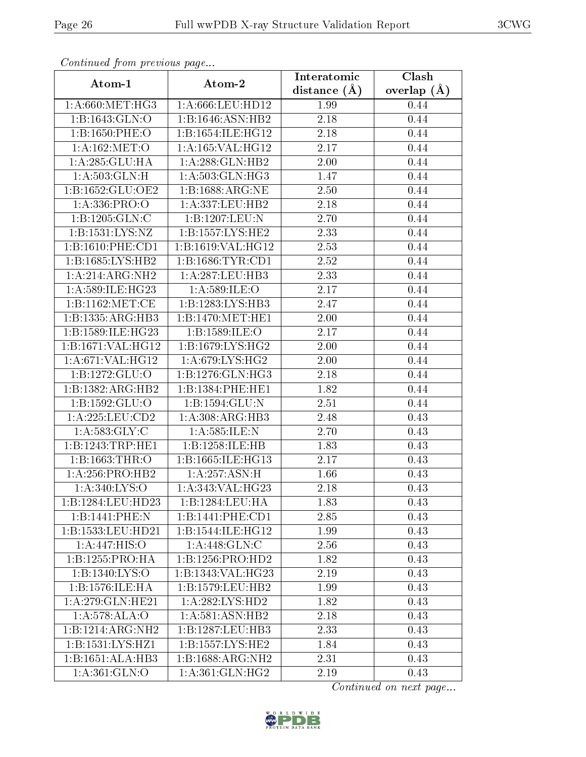|                      |                      | Interatomic       | $\overline{\text{Clash}}$ |  |
|----------------------|----------------------|-------------------|---------------------------|--|
| Atom-1               | Atom-2               | distance $(\AA)$  | overlap $(A)$             |  |
| 1: A:660:MET:HG3     | 1:A:666:LEU:HD12     | 1.99              | 0.44                      |  |
| 1:B:1643:GLN:O       | 1:B:1646:ASN:HB2     | $2.18\,$          | 0.44                      |  |
| 1:B:1650:PHE:O       | 1:B:1654:ILE:HG12    | 2.18              | 0.44                      |  |
| 1: A:162: MET:O      | 1:A:165:VAL:HG12     | $\overline{2.17}$ | 0.44                      |  |
| 1:A:285:GLU:HA       | 1: A:288: GLN:HB2    | 2.00              | 0.44                      |  |
| 1:A:503:GLN:H        | 1: A:503: GLN: HG3   | 1.47              | 0.44                      |  |
| 1:B:1652:GLU:OE2     | 1:B:1688:ARG:NE      | 2.50              | 0.44                      |  |
| 1:A:336:PRO:O        | 1:A:337:LEU:HB2      | 2.18              | 0.44                      |  |
| 1:B:1205:GLN:C       | 1:B:1207:LEU:N       | 2.70              | 0.44                      |  |
| 1:B:1531:LYS:NZ      | 1:B:1557:LYS:HE2     | 2.33              | 0.44                      |  |
| 1: B: 1610: PHE: CD1 | 1:B:1619:VAL:HG12    | 2.53              | 0.44                      |  |
| 1:B:1685:LYS:HB2     | 1: B: 1686: TYR: CD1 | $2.52\,$          | 0.44                      |  |
| 1:A:214:ARG:NH2      | 1:A:287:LEU:HB3      | 2.33              | 0.44                      |  |
| 1: A:589: ILE: HG23  | 1: A:589: ILE:O      | 2.17              | 0.44                      |  |
| 1: B: 1162: MET:CE   | 1:B:1283:LYS:HB3     | 2.47              | 0.44                      |  |
| 1:B:1335:ARG:HB3     | 1:B:1470:MET:HE1     | 2.00              | 0.44                      |  |
| 1:B:1589:ILE:HG23    | 1:B:1589:ILE:O       | 2.17              | 0.44                      |  |
| 1:B:1671:VAL:HG12    | 1:B:1679:LYS:HG2     | 2.00              | 0.44                      |  |
| 1: A:671: VAL: HG12  | 1: A:679: LYS: HG2   | 2.00              | 0.44                      |  |
| 1:B:1272:GLU:O       | 1:B:1276:GLN:HG3     | 2.18              | 0.44                      |  |
| 1:B:1382:ARG:HB2     | 1:B:1384:PHE:HE1     | 1.82              | 0.44                      |  |
| 1:B:1592:GLU:O       | 1:B:1594:GLU:N       | 2.51              | 0.44                      |  |
| 1: A: 225: LEU: CD2  | 1: A:308:ARG:HB3     | 2.48              | 0.43                      |  |
| 1: A: 583: GLY: C    | 1: A:585: ILE:N      | 2.70              | 0.43                      |  |
| 1:B:1243:TRP:HE1     | 1:B:1258:ILE:HB      | 1.83              | 0.43                      |  |
| 1:B:1663:THR:O       | 1:B:1665:ILE:HG13    | 2.17              | 0.43                      |  |
| 1: A:256: PRO:HB2    | 1:A:257:ASN:H        | 1.66              | 0.43                      |  |
| 1: A:340: LYS:O      | 1:A:343:VAL:HG23     | 2.18              | 0.43                      |  |
| 1:B:1284:LEU:HD23    | 1:B:1284:LEU:HA      | 1.83              | 0.43                      |  |
| 1:B:1441:PHE:N       | 1:B:1441:PHE:CD1     | 2.85              | 0.43                      |  |
| 1:B:1533:LEU:HD21    | 1:B:1544:ILE:HG12    | 1.99              | 0.43                      |  |
| 1:A:447:HIS:O        | 1:A:448:GLN:C        | 2.56              | 0.43                      |  |
| 1:B:1255:PRO:HA      | 1:B:1256:PRO:HD2     | 1.82              | 0.43                      |  |
| 1:B:1340:LYS:O       | 1:B:1343:VAL:HG23    | 2.19              | 0.43                      |  |
| 1:B:1576:ILE:HA      | 1:B:1579:LEU:HB2     | 1.99              | 0.43                      |  |
| 1: A:279: GLN: HE21  | 1: A:282: LYS: HD2   | 1.82              | 0.43                      |  |
| 1:A:578:ALA:O        | 1:A:581:ASN:HB2      | 2.18              | 0.43                      |  |
| 1:B:1214:ARG:NH2     | 1:B:1287:LEU:HB3     | 2.33              | 0.43                      |  |
| 1:B:1531:LYS:HZ1     | 1:B:1557:LYS:HE2     | 1.84              | 0.43                      |  |
| 1:B:1651:ALA:HB3     | 1:B:1688:ARG:NH2     | 2.31              | 0.43                      |  |
| 1: A: 361: GLN:O     | 1: A:361: GLN: HG2   | 2.19              | 0.43                      |  |

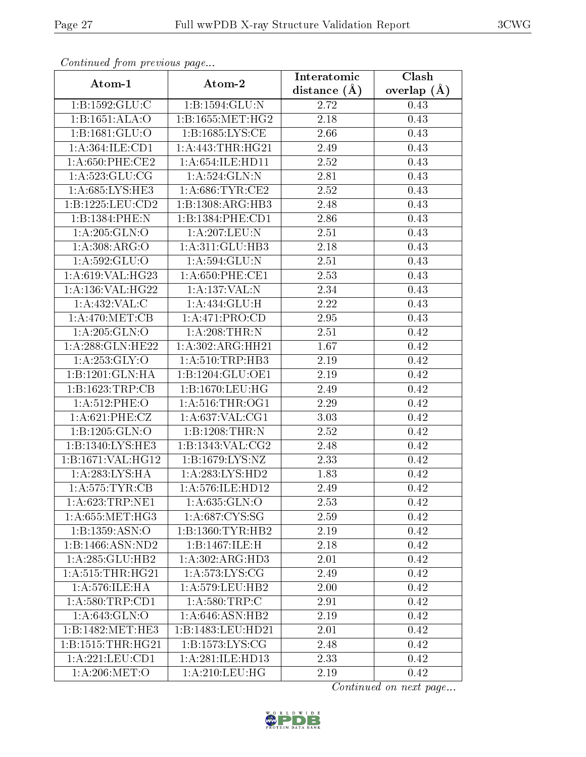|                              |                                      | Interatomic      | Clash         |  |
|------------------------------|--------------------------------------|------------------|---------------|--|
| Atom-1                       | Atom-2                               | distance $(\AA)$ | overlap $(A)$ |  |
| 1:B:1592:GLU:C               | 1:B:1594:GLU:N                       | 2.72             | 0.43          |  |
| 1:B:1651:ALA:O               | 1:B:1655:MET:HG2                     | $2.18\,$         | 0.43          |  |
| 1:B:1681:GLU:O               | 1:B:1685:LYS:CE                      | 2.66             | 0.43          |  |
| 1:A:364:ILE:CD1              | 1:A:443:THR:HG21                     | 2.49             | 0.43          |  |
| 1: A:650:PHE:CE2             | 1: A:654: ILE: HDI1                  | 2.52             | 0.43          |  |
| 1: A:523: GLU:CG             | 1: A:524: GLN:N                      | 2.81             | 0.43          |  |
| 1:A:685:LYS:HE3              | 1: A:686:TYR:CE2                     | 2.52             | 0.43          |  |
| 1:B:1225:LEU:CD2             | 1:B:1308:ARG:HB3                     | 2.48             | 0.43          |  |
| 1:B:1384:PHE:N               | 1:B:1384:PHE:CD1                     | 2.86             | 0.43          |  |
| 1: A:205: GLN:O              | 1:A:207:LEU:N                        | 2.51             | 0.43          |  |
| 1: A:308: ARG:O              | 1: A:311: GLU:HB3                    | 2.18             | 0.43          |  |
| 1: A:592: GLU:O              | 1: A:594: GLU:N                      | 2.51             | 0.43          |  |
| 1:A:619:VAL:HG23             | 1: A:650: PHE:CE1                    | 2.53             | 0.43          |  |
| 1: A: 136: VAL: HG22         | 1:A:137:VAL:N                        | 2.34             | 0.43          |  |
| 1: A:432: VAL:C              | 1: A: 434: GLU: H                    | 2.22             | 0.43          |  |
| 1: A:470:MET:CB              | 1:A:471:PRO:CD                       | 2.95             | 0.43          |  |
| 1: A:205: GLN:O              | 1:A:208:THR:N                        | 2.51             | 0.42          |  |
| 1:A:288:GLN:HE22             | 1:A:302:ARG:HH21                     | 1.67             | 0.42          |  |
| 1: A: 253: GLY: O            | 1: A:510:TRP:HB3                     | 2.19             | 0.42          |  |
| 1:B:1201:GLN:HA              | 1:B:1204:GLU:OE1                     | 2.19             | 0.42          |  |
| 1:B:1623:TRP:CB              | 1: B: 1670: LEU: HG                  | 2.49             | 0.42          |  |
| 1: A:512:PHE:O               | 1: A:516:THR:OG1                     | 2.29             | 0.42          |  |
| $1: A:621:$ PHE:CZ           | 1: A:637: VAL:CG1                    | 3.03             | 0.42          |  |
| 1:B:1205:GLN:O               | 1:B:1208:THR:N                       | 2.52             | 0.42          |  |
| 1:B:1340:LYS:HE3             | 1:B:1343:VAL:CG2                     | 2.48             | 0.42          |  |
| 1:B:1671:VAL:HG12            | 1:B:1679:LYS:NZ                      | 2.33             | 0.42          |  |
| 1: A:283:LYS:HA              | 1: A:283:LYS:HD2                     | 1.83             | 0.42          |  |
| 1: A:575: TYR: CB            | 1: A:576: ILE: HD12                  | 2.49             | 0.42          |  |
| 1:A:623:TRP:NE1              | 1: A:635: GLN:O                      | 2.53             | 0.42          |  |
| 1: A:655: MET:HG3            | 1: A:687:CYS:SG                      | 2.59             | 0.42          |  |
| 1:B:1359:ASN:O               | 1:B:1360:TYR:HB2                     | 2.19             | 0.42          |  |
| 1:B:1466:ASN:ND2             | 1:B:1467:ILE:H                       | 2.18             | 0.42          |  |
| 1:A:285:GLU:HB2              | 1:A:302:ARG:HD3                      | 2.01             | 0.42          |  |
| 1: A:515:THR:HG21            | $1: A:573: \overline{\text{LYS:CG}}$ | 2.49             | 0.42          |  |
| 1: A:576: ILE: HA            | 1: A: 579: LEU: HB2                  | 2.00             | 0.42          |  |
| 1: A:580:TRP:CD1             | 1: A:580:TRP:C                       | 2.91             | 0.42          |  |
| $1: A:643: \overline{GLN:O}$ | $1:A:646:\overline{ASN:HB2}$         | 2.19             | 0.42          |  |
| 1:B:1482:MET:HE3             | 1:B:1483:LEU:HD21                    | 2.01             | 0.42          |  |
| 1:B:1515:THR:HG21            | 1: B: 1573: LYS: CG                  | 2.48             | 0.42          |  |
| 1:A:221:LEU:CD1              | 1:A:281:ILE:HD13                     | 2.33             | 0.42          |  |
| 1:A:206:MET:O                | 1:A:210:LEU:HG                       | 2.19             | 0.42          |  |

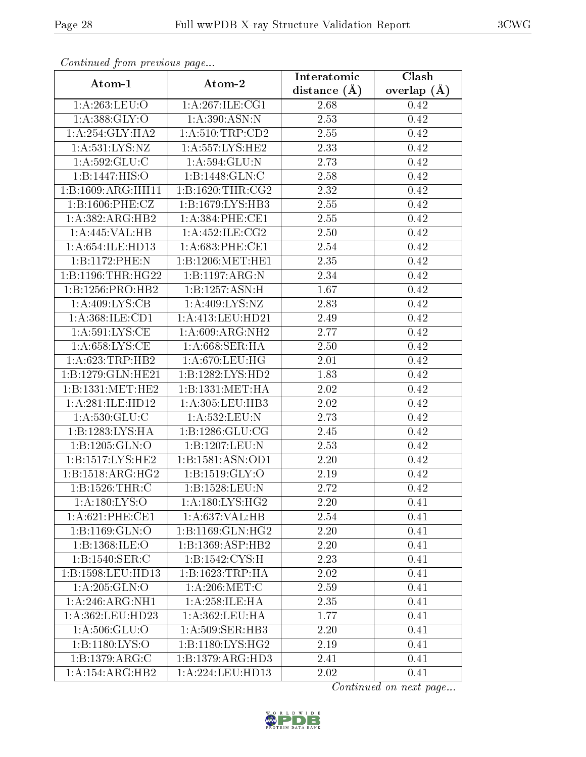| $\sum_{i=1}^{n}$               |                               | Interatomic    | Clash         |  |
|--------------------------------|-------------------------------|----------------|---------------|--|
| Atom-1                         | Atom-2                        | distance $(A)$ | overlap $(A)$ |  |
| 1:A:263:LEU:O                  | 1: A:267: ILE: CG1            | 2.68           | 0.42          |  |
| 1: A: 388: GLY:O               | 1: A:390: ASN:N               | 2.53           | 0.42          |  |
| 1: A:254: GLY:HA2              | 1: A:510:TRP:CD2              | 2.55           | 0.42          |  |
| 1: A: 531: LYS: NZ             | 1: A: 557: LYS: HE2           | 2.33           | 0.42          |  |
| 1: A:592: GLU: C               | 1: A:594: GLU:N               | 2.73           | 0.42          |  |
| 1:B:1447:HIS:O                 | 1:B:1448:GLN:C                | 2.58           | 0.42          |  |
| $1:B:1609:ARG:\overline{HH11}$ | 1: B: 1620: THR: CG2          | 2.32           | 0.42          |  |
| 1: B: 1606: PHE: CZ            | 1:B:1679:LYS:HB3              | 2.55           | 0.42          |  |
| 1:A:382:ARG:HB2                | 1: A:384:PHE:CE1              | 2.55           | 0.42          |  |
| 1:A:445:VAL:HB                 | 1: A: 452: ILE: CG2           | 2.50           | 0.42          |  |
| 1: A:654: ILE: HD13            | 1: A:683:PHE:CE1              | 2.54           | 0.42          |  |
| 1:B:1172:PHE:N                 | 1:B:1206:MET:HE1              | 2.35           | 0.42          |  |
| 1:B:1196:THR:HG22              | 1:B:1197:ARG:N                | 2.34           | 0.42          |  |
| 1:B:1256:PRO:HB2               | 1:B:1257:ASN:H                | 1.67           | $0.42\,$      |  |
| 1:A:409:LYS:CB                 | 1:A:409:LYS:NZ                | 2.83           | 0.42          |  |
| 1:A:368:ILE:CD1                | 1:A:413:LEU:HD21              | 2.49           | 0.42          |  |
| 1: A:591: LYS: CE              | 1: A:609: ARG: NH2            | 2.77           | 0.42          |  |
| 1: A:658:LYS:CE                | 1: A:668:SER:HA               | <b>2.50</b>    | 0.42          |  |
| 1: A:623:TRP:HB2               | 1:A:670:LEU:HG                | 2.01           | 0.42          |  |
| 1:B:1279:GLN:HE21              | 1:B:1282:LYS:HD2              | 1.83           | 0.42          |  |
| 1:B:1331:MET:HE2               | 1: B: 1331: MET: HA           | 2.02           | 0.42          |  |
| 1:A:281:ILE:HD12               | 1:A:305:LEU:HB3               | 2.02           | 0.42          |  |
| 1: A:530: GLU: C               | 1:A:532:LEU:N                 | 2.73           | 0.42          |  |
| 1:B:1283:LYS:HA                | 1: B: 1286: GLU: CG           | 2.45           | 0.42          |  |
| 1:B:1205:GLN:O                 | 1:B:1207:LEU:N                | 2.53           | 0.42          |  |
| 1:B:1517:LYS:HE2               | 1:B:1581:ASN:OD1              | 2.20           | 0.42          |  |
| 1:B:1518:ARG:HG2               | 1: B: 1519: GLY: O            | 2.19           | 0.42          |  |
| 1: B: 1526: THR:C              | 1:B:1528:LEU:N                | 2.72           | 0.42          |  |
| 1: A: 180: LYS:O               | 1:A:180:LYS:HG2               | 2.20           | 0.41          |  |
| 1: A:621:PHE:CE1               | 1:A:637:VAL:HB                | 2.54           | 0.41          |  |
| 1:B:1169:GLN:O                 | 1:B:1169:GLN:HG2              | 2.20           | 0.41          |  |
| 1: B: 1368: ILE: O             | 1:B:1369:ASP:HB2              | 2.20           | 0.41          |  |
| 1: B: 1540: SER:C              | 1:B:1542:CYS:H                | 2.23           | 0.41          |  |
| 1:B:1598:LEU:HD13              | 1:B:1623:TRP:HA               | 2.02           | 0.41          |  |
| 1:A:205:GLN:O                  | 1: A:206:MET:C                | 2.59           | 0.41          |  |
| $1:A:\overline{246:ARG:NH1}$   | 1: A:258: ILE: HA             | 2.35           | 0.41          |  |
| 1:A:362:LEU:HD23               | 1:A:362:LEU:HA                | 1.77           | 0.41          |  |
| 1: A:506: GLU:O                | 1:A:509:SER:HB3               | 2.20           | 0.41          |  |
| 1:B:1180:LYS:O                 | 1:B:1180:LYS:HG2              | 2.19           | 0.41          |  |
| 1:B:1379:ARG:C                 | 1:B:1379:ARG:HD3              | 2.41           | 0.41          |  |
| 1:A:154:ARG:HB2                | $1:A:224:L\overline{EU:HD13}$ | 2.02           | 0.41          |  |

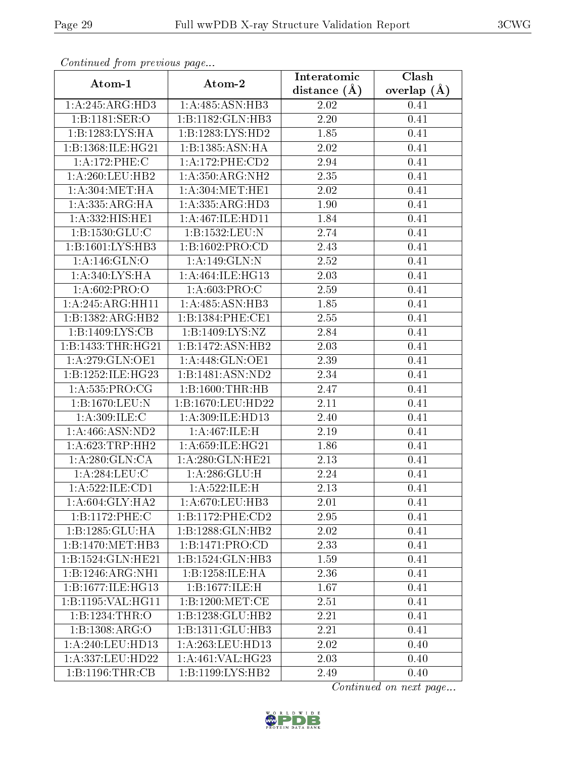| Atom-1                       |                               | Interatomic      | $\overline{\text{Clash}}$ |  |
|------------------------------|-------------------------------|------------------|---------------------------|--|
|                              | Atom-2                        | distance $(\AA)$ | overlap $(A)$             |  |
| 1:A:245:ARG:HD3              | 1:A:485:ASN:HB3               | 2.02             | 0.41                      |  |
| 1:B:1181:SER:O               | 1:B:1182:GLN:HB3              | 2.20             | 0.41                      |  |
| 1:B:1283:LYS:HA              | 1:B:1283:LYS:HD2              | 1.85             | 0.41                      |  |
| 1:B:1368:ILE:HG21            | 1:B:1385:ASN:HA               | 2.02             | 0.41                      |  |
| 1:A:172:PHE:C                | 1:A:172:PHE:CD2               | 2.94             | 0.41                      |  |
| 1: A:260:LEU:HB2             | 1: A:350:ARG:NH2              | 2.35             | 0.41                      |  |
| 1: A:304:MET:HA              | 1: A:304:MET:HE1              | 2.02             | 0.41                      |  |
| 1: A: 335: ARG: HA           | 1: A: 335: ARG: HD3           | 1.90             | 0.41                      |  |
| 1:A:332:HIS:HE1              | 1: A:467: ILE: HDI1           | 1.84             | 0.41                      |  |
| 1:B:1530:GLU:C               | 1:B:1532:LEU:N                | 2.74             | 0.41                      |  |
| 1:B:1601:LYS:HB3             | 1:B:1602:PRO:CD               | 2.43             | 0.41                      |  |
| 1:A:146:GLN:O                | 1:A:149:GLN:N                 | 2.52             | 0.41                      |  |
| 1: A:340: LYS: HA            | 1: A:464: ILE: HG13           | 2.03             | 0.41                      |  |
| 1: A:602:PRO:O               | 1: A:603: PRO:C               | 2.59             | 0.41                      |  |
| 1:A:245:ARG:HH11             | 1:A:485:ASN:HB3               | 1.85             | 0.41                      |  |
| 1:B:1382:ARG:HB2             | 1:B:1384:PHE:CE1              | 2.55             | 0.41                      |  |
| 1:B:1409:LYS:CB              | 1:B:1409:LYS:NZ               | 2.84             | 0.41                      |  |
| 1:B:1433:THR:HG21            | 1:B:1472:ASN:HB2              | 2.03             | 0.41                      |  |
| $1:A:279:\overline{GLN:OE1}$ | 1: A:448: GLN:OE1             | 2.39             | 0.41                      |  |
| 1:B:1252:ILE:HG23            | 1:B:1481:ASN:ND2              | 2.34             | 0.41                      |  |
| 1:A:535:PRO:CG               | 1:B:1600:THR:HB               | 2.47             | 0.41                      |  |
| 1:B:1670:LEU:N               | 1:B:1670:LEU:HD22             | 2.11             | 0.41                      |  |
| 1:A:309:ILE:C                | $1:$ A:309:ILE:HD13           | 2.40             | 0.41                      |  |
| 1: A:466: ASN:ND2            | 1:A:467:ILE:H                 | 2.19             | 0.41                      |  |
| 1: A:623:TRP:HH2             | 1: A:659: ILE: HG21           | 1.86             | 0.41                      |  |
| 1: A:280: GLN:CA             | 1:A:280:GLN:HE21              | 2.13             | 0.41                      |  |
| 1:A:284:LEU:C                | 1: A:286: GLU: H              | 2.24             | 0.41                      |  |
| 1:A:522:ILE:CD1              | 1:A:522:ILE:H                 | 2.13             | 0.41                      |  |
| 1: A:604: GLY:HA2            | 1: A:670:LEU:HB3              | 2.01             | 0.41                      |  |
| 1:B:1172:PHE:C               | 1:B:1172:PHE:CD2              | 2.95             | 0.41                      |  |
| 1:B:1285:GLU:HA              | 1:B:1288:GLN:HB2              | 2.02             | 0.41                      |  |
| 1:B:1470:MET:HB3             | 1:B:1471:PRO:CD               | 2.33             | 0.41                      |  |
| 1:B:1524:GLN:HE21            | 1:B:1524:GLN:HB3              | 1.59             | 0.41                      |  |
| 1:B:1246:ARG:NH1             | 1:B:1258:ILE:HA               | 2.36             | 0.41                      |  |
| 1:B:1677:ILE:HG13            | 1:B:1677:ILE:H                | 1.67             | 0.41                      |  |
| 1:B:1195:VAL:HG11            | 1:B:1200:MET:CE               | 2.51             | 0.41                      |  |
| 1:B:1234:THR:O               | 1:B:1238:GLU:HB2              | 2.21             | 0.41                      |  |
| 1: B: 1308: ARG: O           | 1:B:1311:GLU:HB3              | 2.21             | 0.41                      |  |
| 1:A:240:LEU:HD13             | 1:A:263:LEU:HD13              | 2.02             | 0.40                      |  |
| 1:A:337:LEU:HD22             | $1:A:461:V\overline{AL:HG23}$ | 2.03             | 0.40                      |  |
| 1:B:1196:THR:CB              | 1:B:1199:LYS:HB2              | 2.49             | 0.40                      |  |

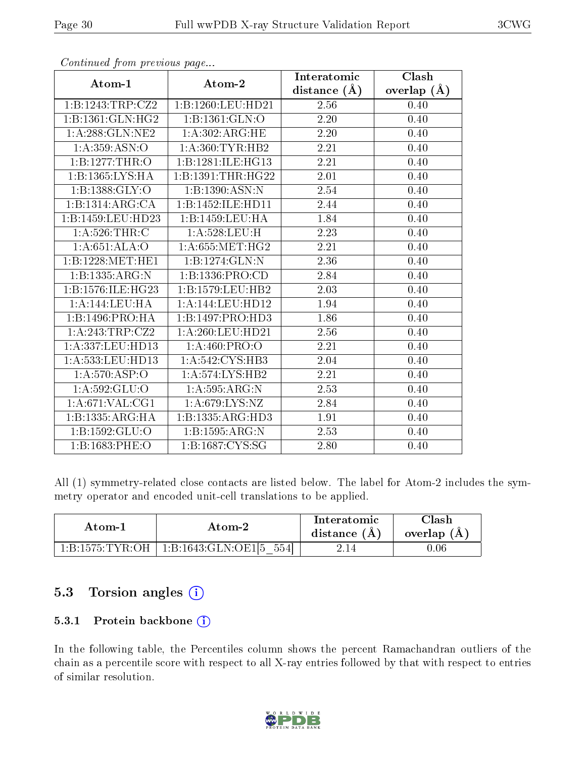|                            | $\frac{1}{2}$ $\frac{1}{2}$ | Interatomic       | Clash           |
|----------------------------|-----------------------------|-------------------|-----------------|
| Atom-1                     | Atom-2                      | distance $(A)$    | overlap $(\AA)$ |
| 1:B:1243:TRP:CZ2           | 1:B:1260:LEU:HD21           | 2.56              | 0.40            |
| 1:B:1361:GLN:HG2           | 1:B:1361:GLN:O              | 2.20              | 0.40            |
| 1: A:288: GLN:NE2          | 1: A:302: ARG: HE           | 2.20              | 0.40            |
| 1: A: 359: ASN:O           | 1: A:360: TYR: HB2          | 2.21              | 0.40            |
| 1:B:1277:THR:O             | 1:B:1281:ILE:HG13           | 2.21              | 0.40            |
| 1:B:1365:LYS:HA            | 1:B:1391:THR:HG22           | 2.01              | 0.40            |
| 1:B:1388:GLY:O             | 1:B:1390:ASN:N              | 2.54              | 0.40            |
| 1:B:1314:ARG:CA            | 1:B:1452:ILE:HD11           | 2.44              | 0.40            |
| 1:B:1459:LEU:HD23          | 1:B:1459:LEU:HA             | 1.84              | 0.40            |
| 1: A:526:THR:C             | 1:A:528:LEU:H               | 2.23              | 0.40            |
| 1:A:651:ALA:O              | 1: A:655: MET:HG2           | 2.21              | 0.40            |
| 1:B:1228:MET:HE1           | 1:B:1274:GLN:N              | 2.36              | 0.40            |
| 1:B:1335:ARG:N             | 1:B:1336:PRO:CD             | 2.84              | 0.40            |
| 1:B:1576:ILE:HG23          | 1:B:1579:LEU:HB2            | $\overline{2.03}$ | 0.40            |
| 1:A:144:LEU:HA             | 1:A:144:LEU:HD12            | 1.94              | 0.40            |
| 1:B:1496:PRO:HA            | 1:B:1497:PRO:HD3            | 1.86              | 0.40            |
| 1:A:243:TRP:CZ2            | 1: A:260:LEU:HD21           | 2.56              | 0.40            |
| 1:A:337:LEU:HD13           | 1: A:460: PRO:O             | 2.21              | 0.40            |
| 1:A:533:LEU:HD13           | 1: A:542: CYS:HB3           | 2.04              | $0.40\,$        |
| $1:A:570:A\overline{SP:O}$ | 1: A: 574: LYS: HB2         | 2.21              | 0.40            |
| 1: A:592: GLU:O            | 1:A:595:ARG:N               | 2.53              | 0.40            |
| 1: A:671: VAL:CG1          | 1:A:679:LYS:NZ              | 2.84              | 0.40            |
| 1:B:1335:ARG:HA            | 1:B:1335:ARG:HD3            | 1.91              | 0.40            |
| 1:B:1592:GLU:O             | 1:B:1595:ARG:N              | 2.53              | 0.40            |
| 1:B:1683:PHE:O             | 1: B: 1687: CYS: SG         | 2.80              | 0.40            |

All (1) symmetry-related close contacts are listed below. The label for Atom-2 includes the symmetry operator and encoded unit-cell translations to be applied.

| Atom-1            | Atom-2                      | Interatomic<br>distance $(A)$ | 7lash<br>overlap $(A)$ |
|-------------------|-----------------------------|-------------------------------|------------------------|
| $1:B:1575:TYR:OH$ | 554<br>  1:B:1643:GLN:OE1[5 | 2.14                          | $0.06\,$               |

### 5.3 Torsion angles (i)

#### 5.3.1 Protein backbone (i)

In the following table, the Percentiles column shows the percent Ramachandran outliers of the chain as a percentile score with respect to all X-ray entries followed by that with respect to entries of similar resolution.

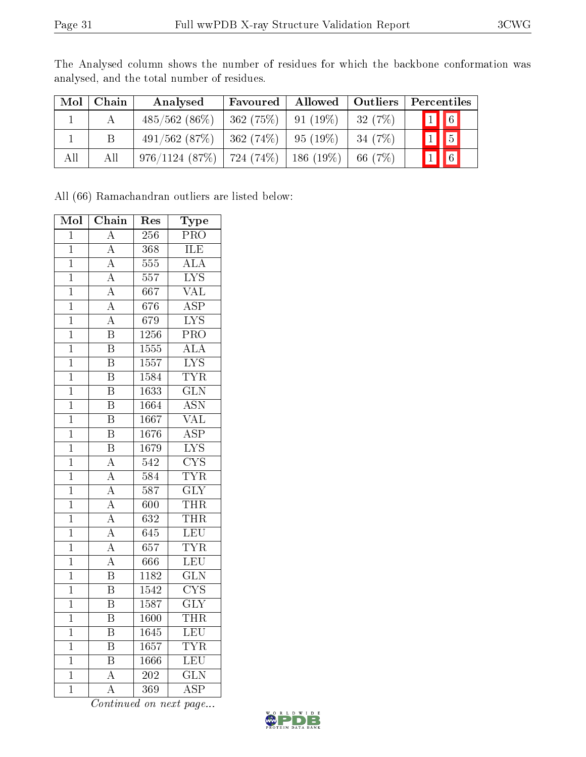| Mol | Chain | Analysed                                  | Favoured              | Allowed | Outliers <sup>1</sup> | Percentiles             |
|-----|-------|-------------------------------------------|-----------------------|---------|-----------------------|-------------------------|
|     |       | $485/562(86\%)$                           | $362(75\%)$ 91 (19\%) |         | 32(7%)                | $\boxed{1}$ $\boxed{6}$ |
|     |       | $491/562$ (87\%)   362 (74\%)   95 (19\%) |                       |         | $-34(7%)$             |                         |
| All | All   | 976/1124 (87%)   724 (74%)   186 (19%)    |                       |         | 66 (7%)               | $\sqrt{6}$              |

The Analysed column shows the number of residues for which the backbone conformation was analysed, and the total number of residues.

All (66) Ramachandran outliers are listed below:

| Mol            | Chain                   | Res               | Type                    |
|----------------|-------------------------|-------------------|-------------------------|
| $\overline{1}$ | $\overline{\rm A}$      | 256               | $\overline{\text{PRO}}$ |
| $\overline{1}$ | $\overline{A}$          | $\overline{368}$  | ILE                     |
| $\mathbf{1}$   | $\overline{\rm A}$      | $55\overline{5}$  | $\overline{\rm ALA}$    |
| $\overline{1}$ | $\overline{\rm A}$      | $\overline{557}$  | $\overline{\text{LYS}}$ |
| $\overline{1}$ | $\overline{\rm A}$      | $\overline{667}$  | $\overline{\text{VAL}}$ |
| $\overline{1}$ | $\overline{A}$          | $\overline{676}$  | $\overline{\text{ASP}}$ |
| $\overline{1}$ | $\overline{A}$          | 679               | $\overline{\text{LYS}}$ |
| $\overline{1}$ | $\overline{\mathbf{B}}$ | 1256              | $\overline{\text{PRO}}$ |
| $\overline{1}$ | $\overline{\mathrm{B}}$ | 1555              | $\overline{\rm ALA}$    |
| $\mathbf 1$    | $\overline{\mathrm{B}}$ | 1557              | <b>LYS</b>              |
| $\overline{1}$ | $\overline{\mathrm{B}}$ | 1584              | <b>TYR</b>              |
| $\overline{1}$ | $\overline{\mathrm{B}}$ | 1633              | $\overline{\text{GLN}}$ |
| $\overline{1}$ | $\overline{\mathrm{B}}$ | 1664              | $\overline{\rm ASN}$    |
| $\overline{1}$ | $\overline{\mathrm{B}}$ | 1667              | $\overline{\text{VAL}}$ |
| $\overline{1}$ | $\overline{\mathrm{B}}$ | 1676              | $\overline{\text{ASP}}$ |
| $\overline{1}$ | $\overline{\mathrm{B}}$ | 1679              | $\overline{\text{LYS}}$ |
| $\overline{1}$ | $\overline{\rm A}$      | $\overline{542}$  | $\overline{\text{CYS}}$ |
| $\overline{1}$ | $\overline{\rm A}$      | $\overline{584}$  | <b>TYR</b>              |
| $\overline{1}$ | $\overline{A}$          | $\overline{587}$  | $\overline{\text{GLY}}$ |
| $\mathbf{1}$   | $\overline{\rm A}$      | 600               | <b>THR</b>              |
| $\overline{1}$ | $\overline{\rm A}$      | $\overline{632}$  | <b>THR</b>              |
| $\mathbf{1}$   | $\overline{\rm A}$      | 645               | LEU                     |
| $\overline{1}$ | $\overline{\rm A}$      | 657               | <b>TYR</b>              |
| $\overline{1}$ | $\overline{\rm A}$      | $\overline{666}$  | LEU                     |
| $\mathbf 1$    | $\overline{\mathrm{B}}$ | 1182              | $\overline{\text{GLN}}$ |
| $\overline{1}$ | $\overline{\mathrm{B}}$ | $\overline{1542}$ | $\overline{\text{CYS}}$ |
| $\mathbf{1}$   | $\overline{\mathbf{B}}$ | 1587              | $\overline{\text{GLY}}$ |
| $\overline{1}$ | $\overline{\mathbf{B}}$ | 1600              | <b>THR</b>              |
| $\overline{1}$ | $\overline{\mathrm{B}}$ | 1645              | LEU                     |
| $\mathbf 1$    | $\overline{\mathrm{B}}$ | $\overline{1657}$ | <b>TYR</b>              |
| $\overline{1}$ | $\overline{\mathrm{B}}$ | 1666              | LEU                     |
| $\overline{1}$ | $\overline{\rm A}$      | $\overline{202}$  | $\overline{\text{GLN}}$ |
| $\overline{1}$ | $\overline{\rm A}$      | $\overline{369}$  | <b>ASP</b>              |

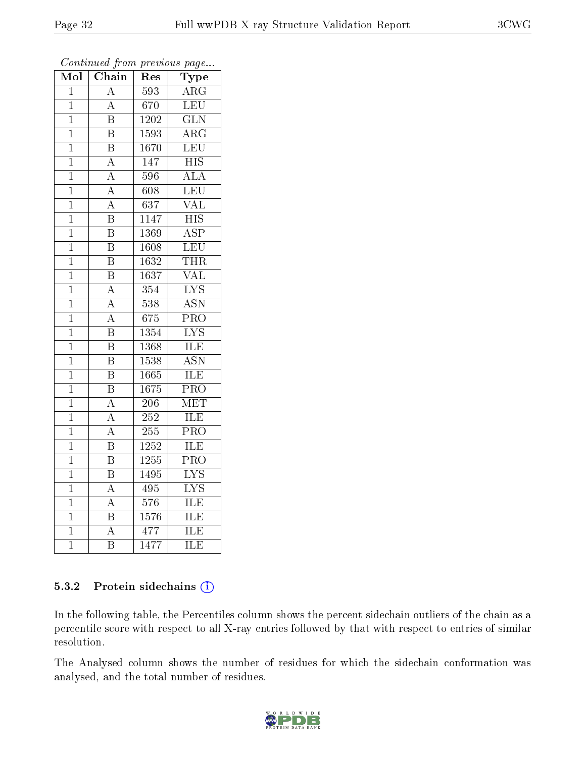| Mol            | Chain                   | Res               | ${\bf Type}$              |
|----------------|-------------------------|-------------------|---------------------------|
| $\overline{1}$ | $\overline{\rm A}$      | $\overline{593}$  | $\overline{\text{ARG}}$   |
| $\overline{1}$ | $\overline{\rm A}$      | 670               | $\overline{\text{LEU}}$   |
| $\mathbf{1}$   | $\overline{\mathrm{B}}$ | $\overline{1202}$ | $\overline{\text{GLN}}$   |
| $\overline{1}$ | $\overline{\mathrm{B}}$ | 1593              | $\bar{\rm{ARG}}$          |
| $\mathbf 1$    | $\overline{\mathrm{B}}$ | $\overline{1670}$ | LEU                       |
| $\overline{1}$ | $\overline{\rm A}$      | 147               | $\overline{\mathrm{HIS}}$ |
| $\mathbf{1}$   | $\overline{\rm A}$      | 596               | $\overline{\rm ALA}$      |
| $\overline{1}$ | $\overline{\rm A}$      | 608               | $\overline{\text{LEU}}$   |
| $\mathbf{1}$   | $\overline{A}$          | $\overline{637}$  | $\overline{\text{VAL}}$   |
| $\mathbf 1$    | $\overline{\mathrm{B}}$ | 1147              | $\overline{\mathrm{HIS}}$ |
| $\mathbf{1}$   | $\overline{\mathrm{B}}$ | 1369              | $\overline{\text{ASP}}$   |
| $\overline{1}$ | $\overline{\mathrm{B}}$ | 1608              | LEU                       |
| $\mathbf{1}$   | $\overline{\mathrm{B}}$ | 1632              | THR                       |
| $\mathbf{1}$   | $\overline{\mathrm{B}}$ | 1637              | $\overline{\text{VAL}}$   |
| $\overline{1}$ | $\overline{\rm A}$      | 354               | $\overline{\text{LYS}}$   |
| $\mathbf{1}$   | $\overline{\rm A}$      | 538               | <b>ASN</b>                |
| $\mathbf 1$    | $\overline{\rm A}$      | 675               | $\overline{\text{PRO}}$   |
| $\mathbf 1$    | $\overline{\mathrm{B}}$ | $\overline{13}54$ | $\overline{\text{LYS}}$   |
| $\mathbf{1}$   | $\overline{\mathrm{B}}$ | 1368              | $\overline{\text{ILE}}$   |
| $\overline{1}$ | $\overline{\mathrm{B}}$ | 1538              | <b>ASN</b>                |
| $\mathbf{1}$   | $\overline{\mathrm{B}}$ | 1665              | ILE                       |
| $\mathbf 1$    | $\overline{\mathrm{B}}$ | 1675              | $\overline{\text{PRO}}$   |
| $\mathbf 1$    | $\boldsymbol{A}$        | 206               | MET                       |
| $\overline{1}$ | $\overline{\rm A}$      | $\overline{252}$  | $\overline{\text{ILE}}$   |
| $\overline{1}$ | $\overline{\rm A}$      | 255               | $\overline{\text{PRO}}$   |
| $\mathbf 1$    | $\overline{\mathrm{B}}$ | 1252              | ILE                       |
| $\mathbf 1$    | $\overline{\mathrm{B}}$ | 1255              | $\overline{\mathrm{PRO}}$ |
| $\mathbf 1$    | $\overline{\mathrm{B}}$ | 1495              | <b>LYS</b>                |
| $\overline{1}$ | $\overline{A}$          | 495               | $\overline{\text{LYS}}$   |
| $\mathbf{1}$   | $\overline{\rm A}$      | 576               | ILE                       |
| $\mathbf{1}$   | $\overline{\mathrm{B}}$ | 1576              | ILE                       |
| $\mathbf 1$    | $\overline{\rm A}$      | 477               | ILE                       |
| $\mathbf 1$    | $\overline{\mathrm{B}}$ | 1477              | ILE                       |

#### 5.3.2 Protein sidechains (i)

In the following table, the Percentiles column shows the percent sidechain outliers of the chain as a percentile score with respect to all X-ray entries followed by that with respect to entries of similar resolution.

The Analysed column shows the number of residues for which the sidechain conformation was analysed, and the total number of residues.

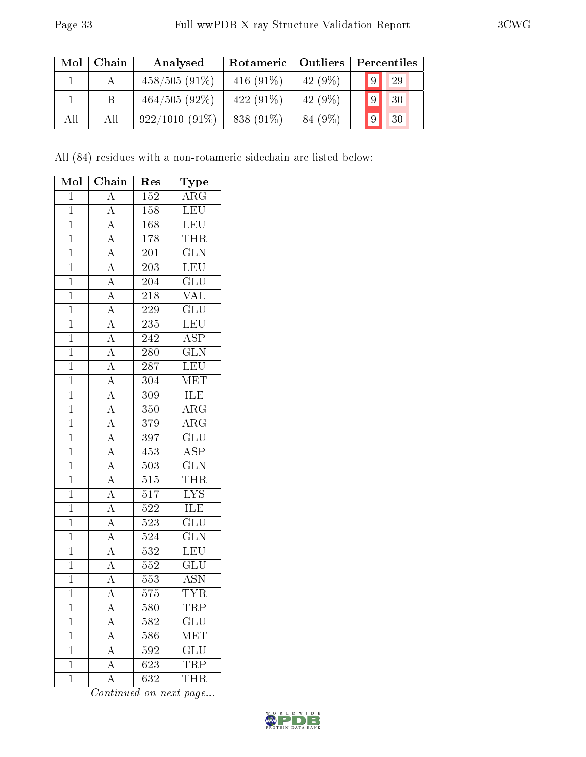| Mol | Chain | Analysed         | Rotameric    | <b>Outliers</b> |   | Percentiles |
|-----|-------|------------------|--------------|-----------------|---|-------------|
|     |       | $458/505(91\%)$  | 416 $(91\%)$ | 42 $(9\%)$      | 9 | 29          |
|     | B.    | $464/505(92\%)$  | 422 $(91\%)$ | 42 $(9\%)$      | 9 | 30          |
| All | All   | $922/1010(91\%)$ | 838 (91\%)   | 84 (9\%)        | 9 | 30          |

All (84) residues with a non-rotameric sidechain are listed below:

| Mol            | Chain                                                                                                                                                                               | Type<br>Res      |                           |
|----------------|-------------------------------------------------------------------------------------------------------------------------------------------------------------------------------------|------------------|---------------------------|
| $\mathbf 1$    | $\overline{A}$                                                                                                                                                                      | $1\overline{52}$ | $\overline{\text{ARG}}$   |
| $\mathbf{1}$   | $\overline{A}$                                                                                                                                                                      | 158              | LEU                       |
| $\overline{1}$ | $\overline{A}$                                                                                                                                                                      | 168              | $\overline{\text{LEU}}$   |
| $\overline{1}$ | $\frac{\overline{A}}{\overline{A}}$                                                                                                                                                 | 178              | <b>THR</b>                |
| $\overline{1}$ |                                                                                                                                                                                     | $\overline{201}$ | $\overline{\text{GLN}}$   |
| $\overline{1}$ |                                                                                                                                                                                     | <b>203</b>       | <b>LEU</b>                |
| $\mathbf{1}$   |                                                                                                                                                                                     | 204              | $\overline{{\rm GLU}}$    |
| $\overline{1}$ |                                                                                                                                                                                     | $\overline{218}$ | $\overline{\text{VAL}}$   |
| $\overline{1}$ | $\frac{\overline{A}}{\overline{A}}$ $\frac{\overline{A}}{\overline{A}}$                                                                                                             | 229              | $\overline{\text{GLU}}$   |
| $\overline{1}$ |                                                                                                                                                                                     | $\overline{235}$ | LEU                       |
| $\overline{1}$ | $\frac{\overline{A}}{\overline{A}}$                                                                                                                                                 | $\overline{242}$ | $\overline{\text{ASP}}$   |
| $\mathbf{1}$   | $\frac{\overline{A}}{\overline{A}}$ $\frac{\overline{A}}{\overline{A}}$ $\frac{\overline{A}}{\overline{A}}$ $\frac{\overline{A}}{\overline{A}}$ $\frac{\overline{A}}{\overline{A}}$ | $2\overline{80}$ | $\overline{\text{GLN}}$   |
| $\overline{1}$ |                                                                                                                                                                                     | $\overline{287}$ | LEU                       |
| $\overline{1}$ |                                                                                                                                                                                     | 304              | <b>MET</b>                |
| $\overline{1}$ |                                                                                                                                                                                     | 309              | <b>ILE</b>                |
| $\overline{1}$ |                                                                                                                                                                                     | 350              | ARG                       |
| $\overline{1}$ |                                                                                                                                                                                     | 379              | $\overline{\text{ARG}}$   |
| $\overline{1}$ |                                                                                                                                                                                     | $\overline{397}$ | $\overline{\mathrm{GLU}}$ |
| $\overline{1}$ |                                                                                                                                                                                     | 453              | $\overline{\text{ASP}}$   |
| $\overline{1}$ |                                                                                                                                                                                     | $\overline{503}$ | $\overline{\text{GLN}}$   |
| $\overline{1}$ | $\overline{A}$                                                                                                                                                                      | 515              | <b>THR</b>                |
| $\overline{1}$ | $\overline{A}$                                                                                                                                                                      | $\overline{517}$ | $\overline{\text{LYS}}$   |
| $\overline{1}$ | $\frac{\overline{A}}{A}$                                                                                                                                                            | 522              | ILE                       |
| $\overline{1}$ |                                                                                                                                                                                     | 523              | $\overline{\mathrm{GLU}}$ |
| $\overline{1}$ |                                                                                                                                                                                     | 524              | $\overline{\text{GLN}}$   |
| $\mathbf{1}$   | $\frac{\overline{A}}{\overline{A}}$                                                                                                                                                 | 532              | LEU                       |
| $\overline{1}$ | $\frac{A}{A}$                                                                                                                                                                       | $\overline{552}$ | $\overline{\text{GLU}}$   |
| $\overline{1}$ |                                                                                                                                                                                     | 553              | <b>ASN</b>                |
| $\overline{1}$ | $\overline{\rm A}$                                                                                                                                                                  | 575              | <b>TYR</b>                |
| $\mathbf 1$    | $\mathbf{A}$                                                                                                                                                                        | $580\,$          | TRP                       |
| $\mathbf 1$    | $\overline{A}$                                                                                                                                                                      | 582              | GLU                       |
| $\mathbf 1$    | $\overline{A}$                                                                                                                                                                      | 586              | $\widetilde{\text{MET}}$  |
| $\mathbf 1$    | $\overline{A}$                                                                                                                                                                      | 592              | $\overline{\text{GLU}}$   |
| $\mathbf 1$    | $\overline{A}$                                                                                                                                                                      | 623              | <b>TRP</b>                |
| $\mathbf 1$    | Ā                                                                                                                                                                                   | $\overline{632}$ | <b>THR</b>                |

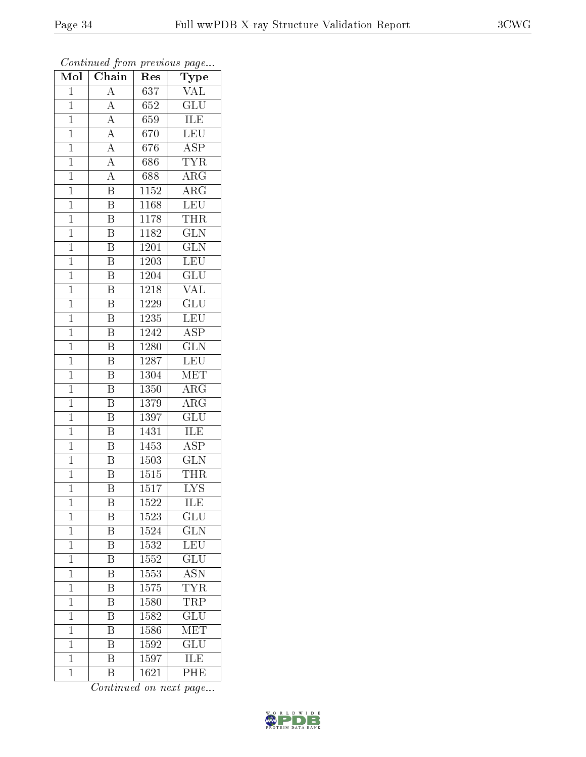| Mol            | Chain                               | Res               | Type                      |
|----------------|-------------------------------------|-------------------|---------------------------|
| $\mathbf{1}$   | $\overline{\rm A}$                  | 637               | $\rm \overline{VAL}$      |
| $\mathbf{1}$   | $\overline{A}$                      | 652               | $\overline{\text{GLU}}$   |
| $\mathbf{1}$   | $\frac{\overline{A}}{\overline{A}}$ | 659               | ILE                       |
| $\mathbf{1}$   |                                     | 670               | LEU                       |
| $\overline{1}$ | $\frac{\overline{A}}{\overline{A}}$ | 676               | $\overline{\text{ASP}}$   |
| $\mathbf{1}$   |                                     | 686               | <b>TYR</b>                |
| $\overline{1}$ | $\overline{A}$                      | 688               | $\rm{ARG}$                |
| $\overline{1}$ | $\overline{\mathrm{B}}$             | 1152              | $\overline{\rm{ARG}}$     |
| $\mathbf{1}$   | $\overline{\mathrm{B}}$             | 1168              | LEU                       |
| $\overline{1}$ | $\overline{\mathrm{B}}$             | 1178              | <b>THR</b>                |
| $\mathbf{1}$   | $\overline{\mathrm{B}}$             | 1182              | $\overline{\text{GLN}}$   |
| $\overline{1}$ | $\overline{\mathrm{B}}$             | 1201              | $\overline{\text{GLN}}$   |
| $\mathbf{1}$   | $\overline{\mathrm{B}}$             | 1203              | <b>LEU</b>                |
| $\mathbf{1}$   | $\overline{\mathrm{B}}$             | 1204              | GLU                       |
| $\overline{1}$ | $\overline{\mathrm{B}}$             | 1218              | $\overline{\text{VAL}}$   |
| $\mathbf{1}$   | B                                   | 1229              | $\overline{\text{GLU}}$   |
| $\overline{1}$ | $\overline{\mathrm{B}}$             | 1235              | LEU                       |
| $\mathbf{1}$   | $\overline{\mathrm{B}}$             | 1242              | ASP                       |
| $\mathbf 1$    | B                                   | 1280              | $\overline{\text{GLN}}$   |
| $\mathbf{1}$   | $\overline{\mathrm{B}}$             | 1287              | LEU                       |
| $\overline{1}$ | $\overline{\mathrm{B}}$             | 1304              | <b>MET</b>                |
| $\overline{1}$ | $\overline{\mathrm{B}}$             | 1350              | $\overline{\rm{ARG}}$     |
| $\mathbf{1}$   | B                                   | 1379              | $\rm{ARG}$                |
| $\overline{1}$ | $\overline{\mathrm{B}}$             | 1397              | $\overline{{\rm GLU}}$    |
| $\mathbf{1}$   | $\overline{\mathrm{B}}$             | 1431              | ILE                       |
| $\overline{1}$ | $\overline{\mathrm{B}}$             | 1453              | <b>ASP</b>                |
| $\overline{1}$ | $\overline{\mathrm{B}}$             | $\overline{1503}$ | $\overline{\text{GLN}}$   |
| $\mathbf{1}$   | B                                   | 1515              | THR                       |
| $\mathbf 1$    | $\overline{\mathrm{B}}$             | $\overline{15}17$ | $\overline{\mathrm{LYS}}$ |
| $\mathbf{1}$   | Β                                   | 1522              | ILE                       |
| $\mathbf{1}$   | Β                                   | 1523              | GLU                       |
| $\mathbf{1}$   | $\overline{\mathrm{B}}$             | 1524              | GLN                       |
| $\mathbf{1}$   | Β                                   | 1532              | LEU                       |
| $\mathbf{1}$   | $\overline{\mathrm{B}}$             | 1552              | $\overline{\text{GLU}}$   |
| $\mathbf{1}$   | Β                                   | 1553              | <b>ASN</b>                |
| $\overline{1}$ | $\overline{\mathrm{B}}$             | 1575              | <b>TYR</b>                |
| $\mathbf{1}$   | Β                                   | <b>1580</b>       | <b>TRP</b>                |
| $\mathbf 1$    | B                                   | 1582              | $\overline{{\rm GLU}}$    |
| $\mathbf{1}$   | Β                                   | 1586              | $\mathrm{MET}$            |
| $\mathbf{1}$   | Β                                   | 1592              | GLU                       |
| $\mathbf{1}$   | $\overline{\mathrm{B}}$             | 1597              | ILE                       |
| $\mathbf 1$    | Β                                   | 1621              | $\overline{\rm PHE}$      |

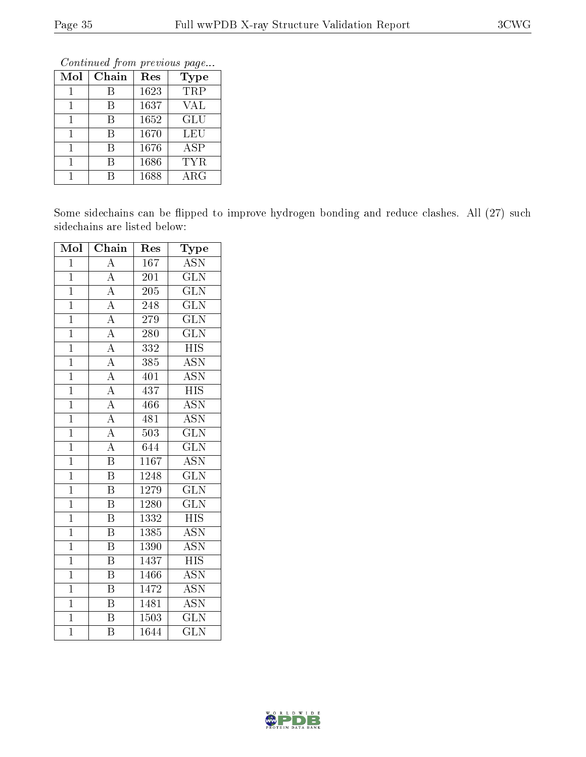Continued from previous page...

| Mol | Chain | Res  | <b>Type</b> |
|-----|-------|------|-------------|
|     |       | 1623 | TRP         |
|     | R     | 1637 | VAL         |
|     | В     | 1652 | GLU         |
|     | В     | 1670 | LEU         |
|     |       | 1676 | <b>ASP</b>  |
|     | R     | 1686 | TYR         |
|     |       | 1688 | $\rm{ARG}$  |

Some sidechains can be flipped to improve hydrogen bonding and reduce clashes. All (27) such sidechains are listed below:

| Mol            | Chain                   | Res               | Type                      |
|----------------|-------------------------|-------------------|---------------------------|
| $\mathbf{1}$   | $\overline{\rm A}$      | 167               | ĀSN                       |
| $\overline{1}$ | $\overline{A}$          | $\overline{201}$  | $\overline{\text{GLN}}$   |
| $\overline{1}$ | $\overline{A}$          | $20\overline{5}$  | $\overline{\text{GLN}}$   |
| $\overline{1}$ | $\overline{A}$          | 248               | $\overline{\text{GLN}}$   |
| $\overline{1}$ | $\overline{A}$          | 279               | $\overline{\text{GLN}}$   |
| $\overline{1}$ | $\overline{A}$          | $\overline{280}$  | $\overline{\text{GLN}}$   |
| $\overline{1}$ | $\overline{A}$          | $\overline{332}$  | $\overline{\mathrm{HIS}}$ |
| $\overline{1}$ | $\overline{A}$          | 385               | <b>ASN</b>                |
| $\mathbf{1}$   | $\overline{A}$          | 401               | ASN                       |
| $\overline{1}$ | $\overline{A}$          | 437               | <b>HIS</b>                |
| $\overline{1}$ | $\overline{A}$          | 466               | $\overline{\mathrm{ASN}}$ |
| $\overline{1}$ | $\overline{A}$          | 481               | $\overline{\mathrm{ASN}}$ |
| $\overline{1}$ | $\overline{A}$          | 503               | $\overline{\text{GLN}}$   |
| $\overline{1}$ | $\overline{\rm A}$      | $\overline{644}$  | $\overline{\text{GLN}}$   |
| $\overline{1}$ | $\overline{\mathrm{B}}$ | $1\overline{167}$ | <b>ASN</b>                |
| $\overline{1}$ | $\overline{\mathrm{B}}$ | 1248              | $\overline{\text{GLN}}$   |
| $\overline{1}$ | $\overline{\mathrm{B}}$ | 1279              | $\overline{\text{GLN}}$   |
| $\overline{1}$ | $\overline{\mathrm{B}}$ | 1280              | $\overline{\text{GLN}}$   |
| $\overline{1}$ | $\overline{\mathrm{B}}$ | 1332              | $\overline{\mathrm{HIS}}$ |
| $\overline{1}$ | $\overline{\mathrm{B}}$ | 1385              | $\overline{\mathrm{ASN}}$ |
| $\mathbf{1}$   | $\, {\bf B}$            | 1390              | <b>ASN</b>                |
| $\overline{1}$ | $\overline{\mathrm{B}}$ | 1437              | $\overline{HIS}$          |
| $\overline{1}$ | $\overline{\mathrm{B}}$ | 1466              | $\overline{\mathrm{ASN}}$ |
| $\mathbf{1}$   | $\overline{\mathrm{B}}$ | 1472              | <b>ASN</b>                |
| $\overline{1}$ | B                       | 1481              | ASN                       |
| $\overline{1}$ | $\overline{\mathrm{B}}$ | 1503              | $\overline{\text{GLN}}$   |
| $\overline{1}$ | $\overline{\mathrm{B}}$ | 1644              | $\overline{\text{GLN}}$   |

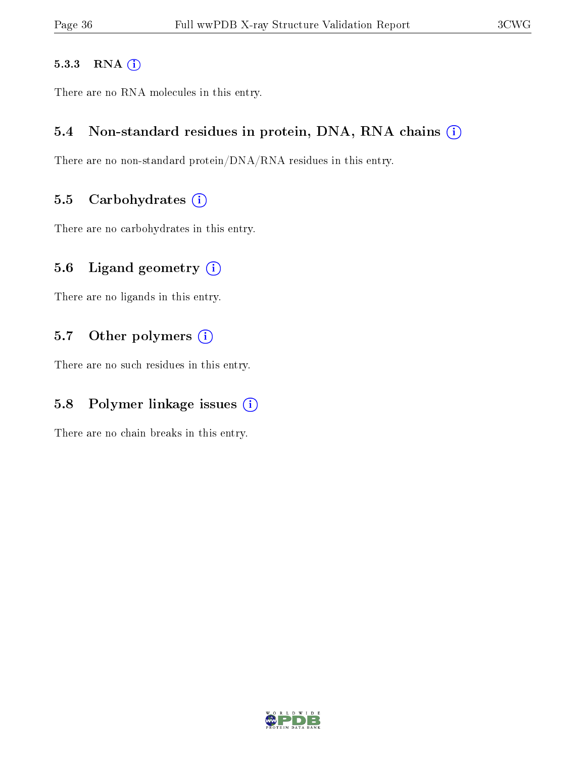#### 5.3.3 RNA [O](https://www.wwpdb.org/validation/2017/XrayValidationReportHelp#rna)i

There are no RNA molecules in this entry.

#### 5.4 Non-standard residues in protein, DNA, RNA chains (i)

There are no non-standard protein/DNA/RNA residues in this entry.

#### 5.5 Carbohydrates  $(i)$

There are no carbohydrates in this entry.

#### 5.6 Ligand geometry  $(i)$

There are no ligands in this entry.

#### 5.7 [O](https://www.wwpdb.org/validation/2017/XrayValidationReportHelp#nonstandard_residues_and_ligands)ther polymers (i)

There are no such residues in this entry.

### 5.8 Polymer linkage issues  $(i)$

There are no chain breaks in this entry.

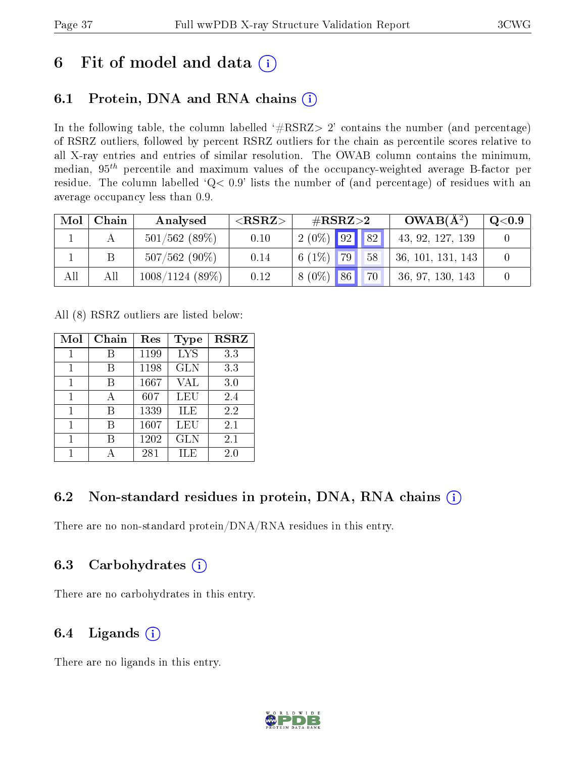# 6 Fit of model and data  $(i)$

### 6.1 Protein, DNA and RNA chains  $(i)$

In the following table, the column labelled  $#RSRZ> 2'$  contains the number (and percentage) of RSRZ outliers, followed by percent RSRZ outliers for the chain as percentile scores relative to all X-ray entries and entries of similar resolution. The OWAB column contains the minimum, median,  $95<sup>th</sup>$  percentile and maximum values of the occupancy-weighted average B-factor per residue. The column labelled ' $Q< 0.9$ ' lists the number of (and percentage) of residues with an average occupancy less than 0.9.

| Mol | Chain | Analysed          | ${ <\hspace{-1.5pt}{\mathrm{RSRZ}} \hspace{-1.5pt}>}$ | $\#\text{RSRZ}{>}2$ | $OWAB(A^2)$       | Q <sub>0.9</sub> |
|-----|-------|-------------------|-------------------------------------------------------|---------------------|-------------------|------------------|
|     |       | $501/562$ (89\%)  | 0.10                                                  | $2(0\%)$ 92 82      | 43, 92, 127, 139  |                  |
|     |       | $507/562(90\%)$   | 0.14                                                  | 6 $(1\%)$ 79<br>58  | 36, 101, 131, 143 |                  |
| All | Αll   | $1008/1124$ (89%) | 0.12                                                  | $8(0\%)$ 86<br>70   | 36, 97, 130, 143  |                  |

All (8) RSRZ outliers are listed below:

| Mol | Chain | Res  | Type       | <b>RSRZ</b> |
|-----|-------|------|------------|-------------|
|     |       | 1199 | <b>LYS</b> | 3.3         |
| 1   | В     | 1198 | <b>GLN</b> | 3.3         |
| 1   | В     | 1667 | VAL        | 3.0         |
| 1   | А     | 607  | LEU        | 2.4         |
| 1   | R     | 1339 | ILE        | 2.2         |
| 1   | R     | 1607 | LEU        | 2.1         |
|     |       | 1202 | <b>GLN</b> | 2.1         |
|     |       | 281  | ĦЕ         | 2.0         |

### 6.2 Non-standard residues in protein, DNA, RNA chains (i)

There are no non-standard protein/DNA/RNA residues in this entry.

### 6.3 Carbohydrates (i)

There are no carbohydrates in this entry.

### 6.4 Ligands  $(i)$

There are no ligands in this entry.